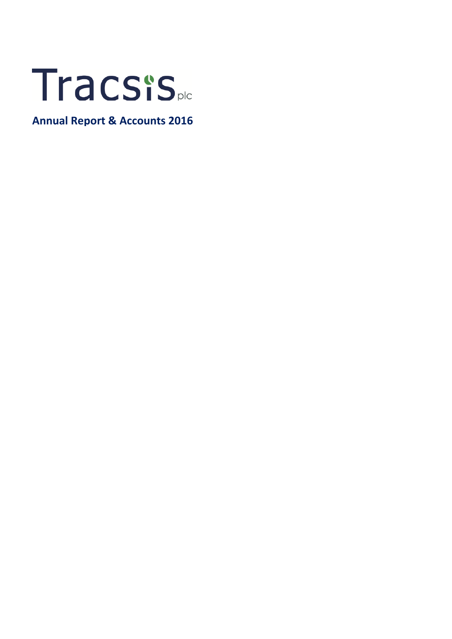

**Annual Report & Accounts 2016**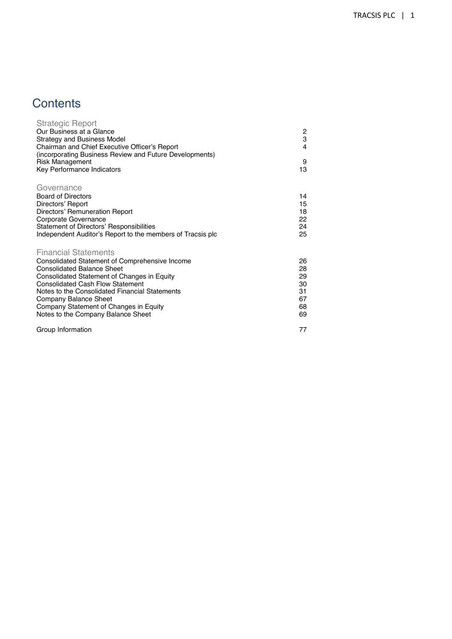### **Contents**

| <b>Strategic Report</b><br>Our Business at a Glance<br><b>Strategy and Business Model</b><br>Chairman and Chief Executive Officer's Report<br>(incorporating Business Review and Future Developments)<br><b>Risk Management</b><br>Key Performance Indicators                                                                                                           | $\overline{c}$<br>3<br>4<br>9<br>13          |
|-------------------------------------------------------------------------------------------------------------------------------------------------------------------------------------------------------------------------------------------------------------------------------------------------------------------------------------------------------------------------|----------------------------------------------|
| Governance<br><b>Board of Directors</b><br>Directors' Report<br>Directors' Remuneration Report<br>Corporate Governance<br>Statement of Directors' Responsibilities<br>Independent Auditor's Report to the members of Tracsis plc                                                                                                                                        | 14<br>15<br>18<br>22<br>24<br>25             |
| <b>Financial Statements</b><br>Consolidated Statement of Comprehensive Income<br><b>Consolidated Balance Sheet</b><br>Consolidated Statement of Changes in Equity<br><b>Consolidated Cash Flow Statement</b><br>Notes to the Consolidated Financial Statements<br>Company Balance Sheet<br>Company Statement of Changes in Equity<br>Notes to the Company Balance Sheet | 26<br>28<br>29<br>30<br>31<br>67<br>68<br>69 |
| Group Information                                                                                                                                                                                                                                                                                                                                                       | 77                                           |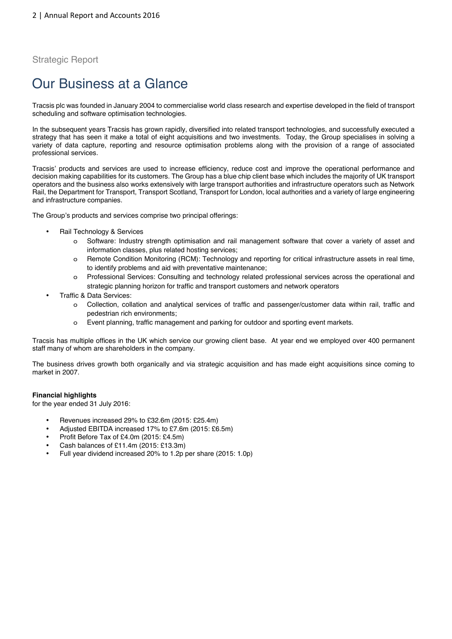# Our Business at a Glance

Tracsis plc was founded in January 2004 to commercialise world class research and expertise developed in the field of transport scheduling and software optimisation technologies.

In the subsequent years Tracsis has grown rapidly, diversified into related transport technologies, and successfully executed a strategy that has seen it make a total of eight acquisitions and two investments. Today, the Group specialises in solving a variety of data capture, reporting and resource optimisation problems along with the provision of a range of associated professional services.

Tracsis' products and services are used to increase efficiency, reduce cost and improve the operational performance and decision making capabilities for its customers. The Group has a blue chip client base which includes the majority of UK transport operators and the business also works extensively with large transport authorities and infrastructure operators such as Network Rail, the Department for Transport, Transport Scotland, Transport for London, local authorities and a variety of large engineering and infrastructure companies.

The Group's products and services comprise two principal offerings:

- Rail Technology & Services
	- o Software: Industry strength optimisation and rail management software that cover a variety of asset and information classes, plus related hosting services;
	- o Remote Condition Monitoring (RCM): Technology and reporting for critical infrastructure assets in real time, to identify problems and aid with preventative maintenance;
	- o Professional Services: Consulting and technology related professional services across the operational and strategic planning horizon for traffic and transport customers and network operators
- Traffic & Data Services:
	- o Collection, collation and analytical services of traffic and passenger/customer data within rail, traffic and pedestrian rich environments;
	- o Event planning, traffic management and parking for outdoor and sporting event markets.

Tracsis has multiple offices in the UK which service our growing client base. At year end we employed over 400 permanent staff many of whom are shareholders in the company.

The business drives growth both organically and via strategic acquisition and has made eight acquisitions since coming to market in 2007.

### **Financial highlights**

for the year ended 31 July 2016:

- Revenues increased 29% to £32.6m (2015: £25.4m)
- Adjusted EBITDA increased 17% to £7.6m (2015: £6.5m)
- Profit Before Tax of £4.0m (2015: £4.5m)
- Cash balances of £11.4m (2015: £13.3m)
- Full year dividend increased 20% to 1.2p per share (2015: 1.0p)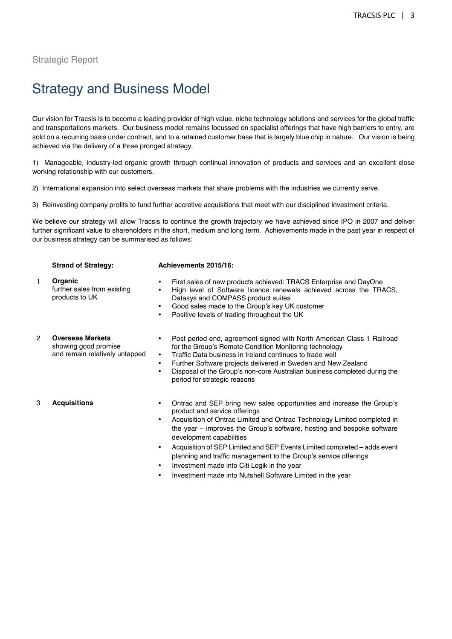## Strategy and Business Model

Our vision for Tracsis is to become a leading provider of high value, niche technology solutions and services for the global traffic and transportations markets. Our business model remains focussed on specialist offerings that have high barriers to entry, are sold on a recurring basis under contract, and to a retained customer base that is largely blue chip in nature. Our vision is being achieved via the delivery of a three pronged strategy.

1) Manageable, industry-led organic growth through continual innovation of products and services and an excellent close working relationship with our customers.

- 2) International expansion into select overseas markets that share problems with the industries we currently serve.
- 3) Reinvesting company profits to fund further accretive acquisitions that meet with our disciplined investment criteria.

We believe our strategy will allow Tracsis to continue the growth trajectory we have achieved since IPO in 2007 and deliver further significant value to shareholders in the short, medium and long term. Achievements made in the past year in respect of our business strategy can be summarised as follows:

|   | <b>Strand of Strategy:</b>                                                        | Achievements 2015/16:                                                                                                                                                                                                                                                                                                                                                                                                                                                                                                                                                     |
|---|-----------------------------------------------------------------------------------|---------------------------------------------------------------------------------------------------------------------------------------------------------------------------------------------------------------------------------------------------------------------------------------------------------------------------------------------------------------------------------------------------------------------------------------------------------------------------------------------------------------------------------------------------------------------------|
| 1 | Organic<br>further sales from existing<br>products to UK                          | First sales of new products achieved: TRACS Enterprise and DayOne<br>High level of Software licence renewals achieved across the TRACS,<br>٠<br>Datasys and COMPASS product suites<br>Good sales made to the Group's key UK customer<br>٠<br>Positive levels of trading throughout the UK<br>٠                                                                                                                                                                                                                                                                            |
| 2 | <b>Overseas Markets</b><br>showing good promise<br>and remain relatively untapped | Post period end, agreement signed with North American Class 1 Railroad<br>for the Group's Remote Condition Monitoring technology<br>Traffic Data business in Ireland continues to trade well<br>$\bullet$<br>Further Software projects delivered in Sweden and New Zealand<br>٠<br>Disposal of the Group's non-core Australian business completed during the<br>period for strategic reasons                                                                                                                                                                              |
| 3 | <b>Acquisitions</b>                                                               | Ontrac and SEP bring new sales opportunities and increase the Group's<br>product and service offerings<br>Acquisition of Ontrac Limited and Ontrac Technology Limited completed in<br>٠<br>the year – improves the Group's software, hosting and bespoke software<br>development capabilities<br>Acquisition of SEP Limited and SEP Events Limited completed – adds event<br>٠<br>planning and traffic management to the Group's service offerings<br>Investment made into Citi Logik in the year<br>٠<br>Investment made into Nutshell Software Limited in the year<br>٠ |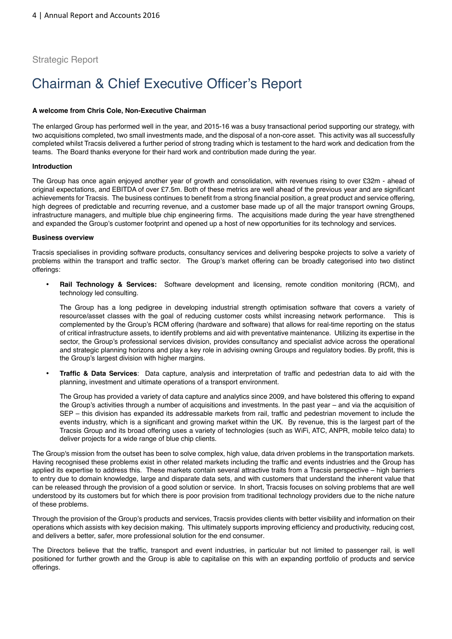# Chairman & Chief Executive Officer's Report

### **A welcome from Chris Cole, Non-Executive Chairman**

The enlarged Group has performed well in the year, and 2015-16 was a busy transactional period supporting our strategy, with two acquisitions completed, two small investments made, and the disposal of a non-core asset. This activity was all successfully completed whilst Tracsis delivered a further period of strong trading which is testament to the hard work and dedication from the teams. The Board thanks everyone for their hard work and contribution made during the year.

### **Introduction**

The Group has once again enjoyed another year of growth and consolidation, with revenues rising to over £32m - ahead of original expectations, and EBITDA of over £7.5m. Both of these metrics are well ahead of the previous year and are significant achievements for Tracsis. The business continues to benefit from a strong financial position, a great product and service offering, high degrees of predictable and recurring revenue, and a customer base made up of all the major transport owning Groups, infrastructure managers, and multiple blue chip engineering firms. The acquisitions made during the year have strengthened and expanded the Group's customer footprint and opened up a host of new opportunities for its technology and services.

### **Business overview**

Tracsis specialises in providing software products, consultancy services and delivering bespoke projects to solve a variety of problems within the transport and traffic sector. The Group's market offering can be broadly categorised into two distinct offerings:

• **Rail Technology & Services:** Software development and licensing, remote condition monitoring (RCM), and technology led consulting.

The Group has a long pedigree in developing industrial strength optimisation software that covers a variety of resource/asset classes with the goal of reducing customer costs whilst increasing network performance. This is complemented by the Group's RCM offering (hardware and software) that allows for real-time reporting on the status of critical infrastructure assets, to identify problems and aid with preventative maintenance. Utilizing its expertise in the sector, the Group's professional services division, provides consultancy and specialist advice across the operational and strategic planning horizons and play a key role in advising owning Groups and regulatory bodies. By profit, this is the Group's largest division with higher margins.

• **Traffic & Data Services**: Data capture, analysis and interpretation of traffic and pedestrian data to aid with the planning, investment and ultimate operations of a transport environment.

The Group has provided a variety of data capture and analytics since 2009, and have bolstered this offering to expand the Group's activities through a number of acquisitions and investments. In the past year – and via the acquisition of SEP – this division has expanded its addressable markets from rail, traffic and pedestrian movement to include the events industry, which is a significant and growing market within the UK. By revenue, this is the largest part of the Tracsis Group and its broad offering uses a variety of technologies (such as WiFi, ATC, ANPR, mobile telco data) to deliver projects for a wide range of blue chip clients.

The Group's mission from the outset has been to solve complex, high value, data driven problems in the transportation markets. Having recognised these problems exist in other related markets including the traffic and events industries and the Group has applied its expertise to address this. These markets contain several attractive traits from a Tracsis perspective – high barriers to entry due to domain knowledge, large and disparate data sets, and with customers that understand the inherent value that can be released through the provision of a good solution or service. In short, Tracsis focuses on solving problems that are well understood by its customers but for which there is poor provision from traditional technology providers due to the niche nature of these problems.

Through the provision of the Group's products and services, Tracsis provides clients with better visibility and information on their operations which assists with key decision making. This ultimately supports improving efficiency and productivity, reducing cost, and delivers a better, safer, more professional solution for the end consumer.

The Directors believe that the traffic, transport and event industries, in particular but not limited to passenger rail, is well positioned for further growth and the Group is able to capitalise on this with an expanding portfolio of products and service offerings.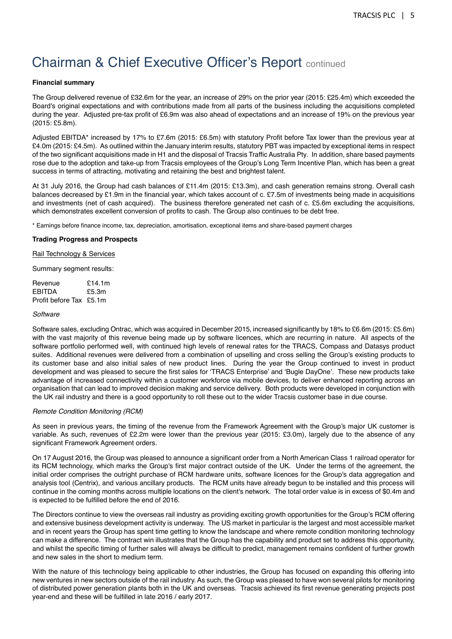### **Financial summary**

The Group delivered revenue of £32.6m for the year, an increase of 29% on the prior year (2015: £25.4m) which exceeded the Board's original expectations and with contributions made from all parts of the business including the acquisitions completed during the year. Adjusted pre-tax profit of £6.9m was also ahead of expectations and an increase of 19% on the previous year (2015: £5.8m).

Adjusted EBITDA\* increased by 17% to £7.6m (2015: £6.5m) with statutory Profit before Tax lower than the previous year at £4.0m (2015: £4.5m). As outlined within the January interim results, statutory PBT was impacted by exceptional items in respect of the two significant acquisitions made in H1 and the disposal of Tracsis Traffic Australia Pty. In addition, share based payments rose due to the adoption and take-up from Tracsis employees of the Group's Long Term Incentive Plan, which has been a great success in terms of attracting, motivating and retaining the best and brightest talent.

At 31 July 2016, the Group had cash balances of £11.4m (2015: £13.3m), and cash generation remains strong. Overall cash balances decreased by £1.9m in the financial year, which takes account of c. £7.5m of investments being made in acquisitions and investments (net of cash acquired). The business therefore generated net cash of c. £5.6m excluding the acquisitions, which demonstrates excellent conversion of profits to cash. The Group also continues to be debt free.

\* Earnings before finance income, tax, depreciation, amortisation, exceptional items and share-based payment charges

### **Trading Progress and Prospects**

### Rail Technology & Services

Summary segment results:

| Revenue                 | £14.1m |
|-------------------------|--------|
| FBITDA                  | £5.3m  |
| Profit before Tax £5.1m |        |

### *Software*

Software sales, excluding Ontrac, which was acquired in December 2015, increased significantly by 18% to £6.6m (2015: £5.6m) with the vast majority of this revenue being made up by software licences, which are recurring in nature. All aspects of the software portfolio performed well, with continued high levels of renewal rates for the TRACS, Compass and Datasys product suites. Additional revenues were delivered from a combination of upselling and cross selling the Group's existing products to its customer base and also initial sales of new product lines. During the year the Group continued to invest in product development and was pleased to secure the first sales for 'TRACS Enterprise' and 'Bugle DayOne'. These new products take advantage of increased connectivity within a customer workforce via mobile devices, to deliver enhanced reporting across an organisation that can lead to improved decision making and service delivery. Both products were developed in conjunction with the UK rail industry and there is a good opportunity to roll these out to the wider Tracsis customer base in due course.

### *Remote Condition Monitoring (RCM)*

As seen in previous years, the timing of the revenue from the Framework Agreement with the Group's major UK customer is variable. As such, revenues of £2.2m were lower than the previous year (2015: £3.0m), largely due to the absence of any significant Framework Agreement orders.

On 17 August 2016, the Group was pleased to announce a significant order from a North American Class 1 railroad operator for its RCM technology, which marks the Group's first major contract outside of the UK. Under the terms of the agreement, the initial order comprises the outright purchase of RCM hardware units, software licences for the Group's data aggregation and analysis tool (Centrix), and various ancillary products. The RCM units have already begun to be installed and this process will continue in the coming months across multiple locations on the client's network. The total order value is in excess of \$0.4m and is expected to be fulfilled before the end of 2016.

The Directors continue to view the overseas rail industry as providing exciting growth opportunities for the Group's RCM offering and extensive business development activity is underway. The US market in particular is the largest and most accessible market and in recent years the Group has spent time getting to know the landscape and where remote condition monitoring technology can make a difference. The contract win illustrates that the Group has the capability and product set to address this opportunity, and whilst the specific timing of further sales will always be difficult to predict, management remains confident of further growth and new sales in the short to medium term.

With the nature of this technology being applicable to other industries, the Group has focused on expanding this offering into new ventures in new sectors outside of the rail industry. As such, the Group was pleased to have won several pilots for monitoring of distributed power generation plants both in the UK and overseas. Tracsis achieved its first revenue generating projects post year-end and these will be fulfilled in late 2016 / early 2017.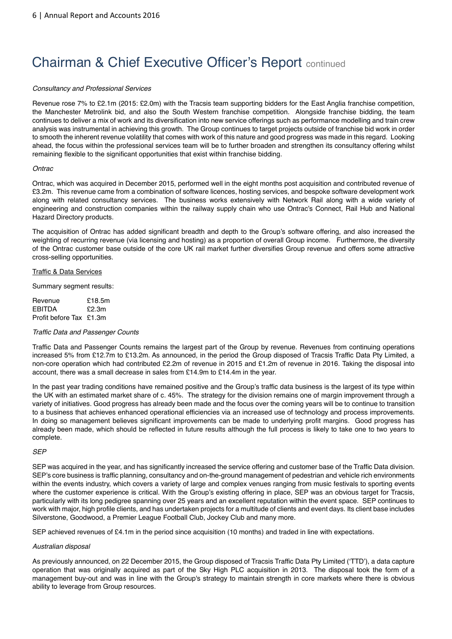### *Consultancy and Professional Services*

Revenue rose 7% to £2.1m (2015: £2.0m) with the Tracsis team supporting bidders for the East Anglia franchise competition, the Manchester Metrolink bid, and also the South Western franchise competition. Alongside franchise bidding, the team continues to deliver a mix of work and its diversification into new service offerings such as performance modelling and train crew analysis was instrumental in achieving this growth. The Group continues to target projects outside of franchise bid work in order to smooth the inherent revenue volatility that comes with work of this nature and good progress was made in this regard. Looking ahead, the focus within the professional services team will be to further broaden and strengthen its consultancy offering whilst remaining flexible to the significant opportunities that exist within franchise bidding.

### *Ontrac*

Ontrac, which was acquired in December 2015, performed well in the eight months post acquisition and contributed revenue of £3.2m. This revenue came from a combination of software licences, hosting services, and bespoke software development work along with related consultancy services. The business works extensively with Network Rail along with a wide variety of engineering and construction companies within the railway supply chain who use Ontrac's Connect, Rail Hub and National Hazard Directory products.

The acquisition of Ontrac has added significant breadth and depth to the Group's software offering, and also increased the weighting of recurring revenue (via licensing and hosting) as a proportion of overall Group income. Furthermore, the diversity of the Ontrac customer base outside of the core UK rail market further diversifies Group revenue and offers some attractive cross-selling opportunities.

### Traffic & Data Services

Summary segment results:

| Revenue                 | £18.5m |
|-------------------------|--------|
| <b>FBITDA</b>           | £2.3m  |
| Profit before Tax £1.3m |        |

### *Traffic Data and Passenger Counts*

Traffic Data and Passenger Counts remains the largest part of the Group by revenue. Revenues from continuing operations increased 5% from £12.7m to £13.2m. As announced, in the period the Group disposed of Tracsis Traffic Data Pty Limited, a non-core operation which had contributed £2.2m of revenue in 2015 and £1.2m of revenue in 2016. Taking the disposal into account, there was a small decrease in sales from £14.9m to £14.4m in the year.

In the past year trading conditions have remained positive and the Group's traffic data business is the largest of its type within the UK with an estimated market share of c. 45%. The strategy for the division remains one of margin improvement through a variety of initiatives. Good progress has already been made and the focus over the coming years will be to continue to transition to a business that achieves enhanced operational efficiencies via an increased use of technology and process improvements. In doing so management believes significant improvements can be made to underlying profit margins. Good progress has already been made, which should be reflected in future results although the full process is likely to take one to two years to complete.

### *SEP*

SEP was acquired in the year, and has significantly increased the service offering and customer base of the Traffic Data division. SEP's core business is traffic planning, consultancy and on-the-ground management of pedestrian and vehicle rich environments within the events industry, which covers a variety of large and complex venues ranging from music festivals to sporting events where the customer experience is critical. With the Group's existing offering in place, SEP was an obvious target for Tracsis, particularly with its long pedigree spanning over 25 years and an excellent reputation within the event space. SEP continues to work with major, high profile clients, and has undertaken projects for a multitude of clients and event days. Its client base includes Silverstone, Goodwood, a Premier League Football Club, Jockey Club and many more.

SEP achieved revenues of £4.1m in the period since acquisition (10 months) and traded in line with expectations.

### *Australian disposal*

As previously announced, on 22 December 2015, the Group disposed of Tracsis Traffic Data Pty Limited ('TTD'), a data capture operation that was originally acquired as part of the Sky High PLC acquisition in 2013. The disposal took the form of a management buy-out and was in line with the Group's strategy to maintain strength in core markets where there is obvious ability to leverage from Group resources.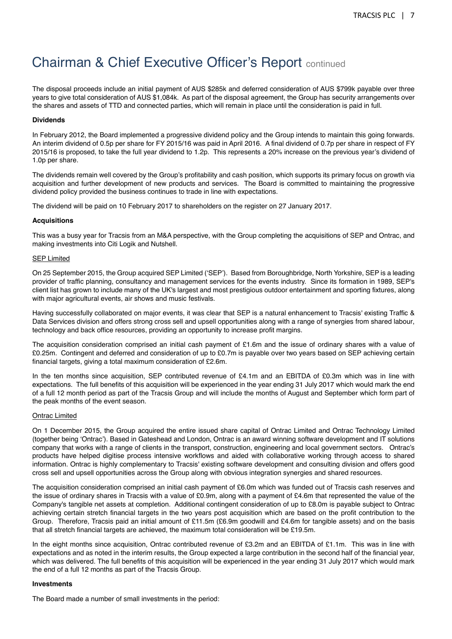The disposal proceeds include an initial payment of AUS \$285k and deferred consideration of AUS \$799k payable over three years to give total consideration of AUS \$1,084k. As part of the disposal agreement, the Group has security arrangements over the shares and assets of TTD and connected parties, which will remain in place until the consideration is paid in full.

### **Dividends**

In February 2012, the Board implemented a progressive dividend policy and the Group intends to maintain this going forwards. An interim dividend of 0.5p per share for FY 2015/16 was paid in April 2016. A final dividend of 0.7p per share in respect of FY 2015/16 is proposed, to take the full year dividend to 1.2p. This represents a 20% increase on the previous year's dividend of 1.0p per share.

The dividends remain well covered by the Group's profitability and cash position, which supports its primary focus on growth via acquisition and further development of new products and services. The Board is committed to maintaining the progressive dividend policy provided the business continues to trade in line with expectations.

The dividend will be paid on 10 February 2017 to shareholders on the register on 27 January 2017.

### **Acquisitions**

This was a busy year for Tracsis from an M&A perspective, with the Group completing the acquisitions of SEP and Ontrac, and making investments into Citi Logik and Nutshell.

### SEP Limited

On 25 September 2015, the Group acquired SEP Limited ('SEP'). Based from Boroughbridge, North Yorkshire, SEP is a leading provider of traffic planning, consultancy and management services for the events industry. Since its formation in 1989, SEP's client list has grown to include many of the UK's largest and most prestigious outdoor entertainment and sporting fixtures, along with major agricultural events, air shows and music festivals.

Having successfully collaborated on major events, it was clear that SEP is a natural enhancement to Tracsis' existing Traffic & Data Services division and offers strong cross sell and upsell opportunities along with a range of synergies from shared labour, technology and back office resources, providing an opportunity to increase profit margins.

The acquisition consideration comprised an initial cash payment of £1.6m and the issue of ordinary shares with a value of £0.25m. Contingent and deferred and consideration of up to £0.7m is payable over two years based on SEP achieving certain financial targets, giving a total maximum consideration of £2.6m.

In the ten months since acquisition, SEP contributed revenue of £4.1m and an EBITDA of £0.3m which was in line with expectations. The full benefits of this acquisition will be experienced in the year ending 31 July 2017 which would mark the end of a full 12 month period as part of the Tracsis Group and will include the months of August and September which form part of the peak months of the event season.

### Ontrac Limited

On 1 December 2015, the Group acquired the entire issued share capital of Ontrac Limited and Ontrac Technology Limited (together being 'Ontrac'). Based in Gateshead and London, Ontrac is an award winning software development and IT solutions company that works with a range of clients in the transport, construction, engineering and local government sectors. Ontrac's products have helped digitise process intensive workflows and aided with collaborative working through access to shared information. Ontrac is highly complementary to Tracsis' existing software development and consulting division and offers good cross sell and upsell opportunities across the Group along with obvious integration synergies and shared resources.

The acquisition consideration comprised an initial cash payment of £6.0m which was funded out of Tracsis cash reserves and the issue of ordinary shares in Tracsis with a value of £0.9m, along with a payment of £4.6m that represented the value of the Company's tangible net assets at completion. Additional contingent consideration of up to £8.0m is payable subject to Ontrac achieving certain stretch financial targets in the two years post acquisition which are based on the profit contribution to the Group. Therefore, Tracsis paid an initial amount of £11.5m (£6.9m goodwill and £4.6m for tangible assets) and on the basis that all stretch financial targets are achieved, the maximum total consideration will be £19.5m.

In the eight months since acquisition, Ontrac contributed revenue of £3.2m and an EBITDA of £1.1m. This was in line with expectations and as noted in the interim results, the Group expected a large contribution in the second half of the financial year, which was delivered. The full benefits of this acquisition will be experienced in the year ending 31 July 2017 which would mark the end of a full 12 months as part of the Tracsis Group.

### **Investments**

The Board made a number of small investments in the period: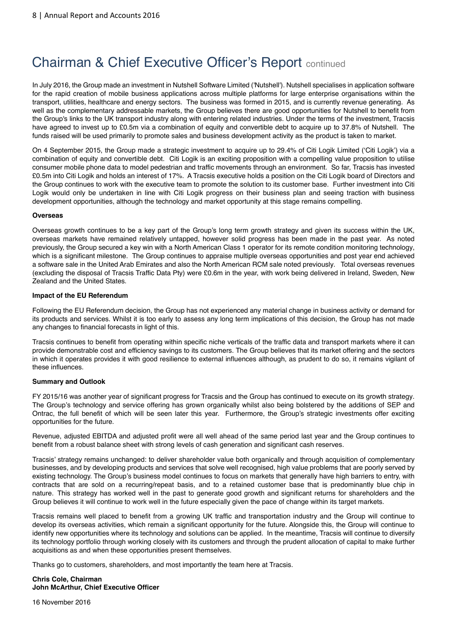In July 2016, the Group made an investment in Nutshell Software Limited ('Nutshell'). Nutshell specialises in application software for the rapid creation of mobile business applications across multiple platforms for large enterprise organisations within the transport, utilities, healthcare and energy sectors. The business was formed in 2015, and is currently revenue generating. As well as the complementary addressable markets, the Group believes there are good opportunities for Nutshell to benefit from the Group's links to the UK transport industry along with entering related industries. Under the terms of the investment, Tracsis have agreed to invest up to £0.5m via a combination of equity and convertible debt to acquire up to 37.8% of Nutshell. The funds raised will be used primarily to promote sales and business development activity as the product is taken to market.

On 4 September 2015, the Group made a strategic investment to acquire up to 29.4% of Citi Logik Limited ('Citi Logik') via a combination of equity and convertible debt. Citi Logik is an exciting proposition with a compelling value proposition to utilise consumer mobile phone data to model pedestrian and traffic movements through an environment. So far, Tracsis has invested £0.5m into Citi Logik and holds an interest of 17%. A Tracsis executive holds a position on the Citi Logik board of Directors and the Group continues to work with the executive team to promote the solution to its customer base. Further investment into Citi Logik would only be undertaken in line with Citi Logik progress on their business plan and seeing traction with business development opportunities, although the technology and market opportunity at this stage remains compelling.

### **Overseas**

Overseas growth continues to be a key part of the Group's long term growth strategy and given its success within the UK, overseas markets have remained relatively untapped, however solid progress has been made in the past year. As noted previously, the Group secured a key win with a North American Class 1 operator for its remote condition monitoring technology, which is a significant milestone. The Group continues to appraise multiple overseas opportunities and post year end achieved a software sale in the United Arab Emirates and also the North American RCM sale noted previously. Total overseas revenues (excluding the disposal of Tracsis Traffic Data Pty) were £0.6m in the year, with work being delivered in Ireland, Sweden, New Zealand and the United States.

### **Impact of the EU Referendum**

Following the EU Referendum decision, the Group has not experienced any material change in business activity or demand for its products and services. Whilst it is too early to assess any long term implications of this decision, the Group has not made any changes to financial forecasts in light of this.

Tracsis continues to benefit from operating within specific niche verticals of the traffic data and transport markets where it can provide demonstrable cost and efficiency savings to its customers. The Group believes that its market offering and the sectors in which it operates provides it with good resilience to external influences although, as prudent to do so, it remains vigilant of these influences.

### **Summary and Outlook**

FY 2015/16 was another year of significant progress for Tracsis and the Group has continued to execute on its growth strategy. The Group's technology and service offering has grown organically whilst also being bolstered by the additions of SEP and Ontrac, the full benefit of which will be seen later this year. Furthermore, the Group's strategic investments offer exciting opportunities for the future.

Revenue, adjusted EBITDA and adjusted profit were all well ahead of the same period last year and the Group continues to benefit from a robust balance sheet with strong levels of cash generation and significant cash reserves.

Tracsis' strategy remains unchanged: to deliver shareholder value both organically and through acquisition of complementary businesses, and by developing products and services that solve well recognised, high value problems that are poorly served by existing technology. The Group's business model continues to focus on markets that generally have high barriers to entry, with contracts that are sold on a recurring/repeat basis, and to a retained customer base that is predominantly blue chip in nature. This strategy has worked well in the past to generate good growth and significant returns for shareholders and the Group believes it will continue to work well in the future especially given the pace of change within its target markets.

Tracsis remains well placed to benefit from a growing UK traffic and transportation industry and the Group will continue to develop its overseas activities, which remain a significant opportunity for the future. Alongside this, the Group will continue to identify new opportunities where its technology and solutions can be applied. In the meantime, Tracsis will continue to diversify its technology portfolio through working closely with its customers and through the prudent allocation of capital to make further acquisitions as and when these opportunities present themselves.

Thanks go to customers, shareholders, and most importantly the team here at Tracsis.

### **Chris Cole, Chairman John McArthur, Chief Executive Officer**

16 November 2016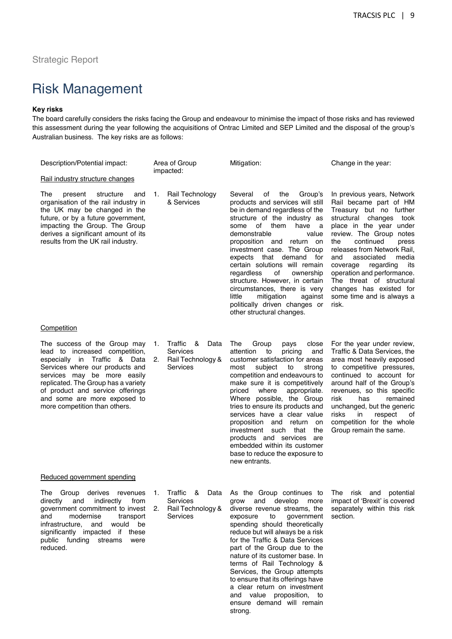## Risk Management

### **Key risks**

The board carefully considers the risks facing the Group and endeavour to minimise the impact of those risks and has reviewed this assessment during the year following the acquisitions of Ontrac Limited and SEP Limited and the disposal of the group's Australian business. The key risks are as follows:

| Description/Potential impact:<br>Rail industry structure changes                                                                                                                                                                                                                                                | Area of Group<br>impacted:                                                        | Mitigation:                                                                                                                                                                                                                                                                                                                                                                                                                                                                                                                           | Change in the year:                                                                                                                                                                                                                                                                                                                                                                                                      |  |
|-----------------------------------------------------------------------------------------------------------------------------------------------------------------------------------------------------------------------------------------------------------------------------------------------------------------|-----------------------------------------------------------------------------------|---------------------------------------------------------------------------------------------------------------------------------------------------------------------------------------------------------------------------------------------------------------------------------------------------------------------------------------------------------------------------------------------------------------------------------------------------------------------------------------------------------------------------------------|--------------------------------------------------------------------------------------------------------------------------------------------------------------------------------------------------------------------------------------------------------------------------------------------------------------------------------------------------------------------------------------------------------------------------|--|
| The<br>structure<br>present<br>and<br>organisation of the rail industry in<br>the UK may be changed in the<br>future, or by a future government,<br>impacting the Group. The Group<br>derives a significant amount of its<br>results from the UK rail industry.                                                 | Rail Technology<br>1.<br>& Services                                               | Several<br>of<br>the<br>Group's<br>products and services will still<br>be in demand regardless of the<br>structure of the industry as<br>of<br>them<br>some<br>have<br>a<br>demonstrable<br>value<br>proposition and<br>return<br>on<br>investment case. The Group<br>expects that demand<br>for<br>certain solutions will remain<br>regardless<br>of<br>ownership<br>structure. However, in certain<br>circumstances, there is very<br>mitigation<br>little<br>against<br>politically driven changes or<br>other structural changes. | In previous years, Network<br>Rail became part of HM<br>Treasury but no further<br>structural changes<br>took<br>place in the year under<br>review. The Group notes<br>continued<br>the<br>press<br>releases from Network Rail,<br>media<br>and<br>associated<br>regarding<br>its<br>coverage<br>operation and performance.<br>The threat of structural<br>changes has existed for<br>some time and is always a<br>risk. |  |
| Competition                                                                                                                                                                                                                                                                                                     |                                                                                   |                                                                                                                                                                                                                                                                                                                                                                                                                                                                                                                                       |                                                                                                                                                                                                                                                                                                                                                                                                                          |  |
| The success of the Group may<br>lead to increased competition,<br>Traffic & Data<br>especially in<br>Services where our products and<br>services may be more easily<br>replicated. The Group has a variety<br>of product and service offerings<br>and some are more exposed to<br>more competition than others. | Traffic<br>- &<br>Data<br>1.<br>Services<br>Rail Technology &<br>2.<br>Services   | The<br>Group<br>pays<br>close<br>attention<br>to<br>pricing<br>and<br>customer satisfaction for areas<br>most<br>subject<br>to<br>strong<br>competition and endeavours to<br>make sure it is competitively<br>where<br>appropriate.<br>priced<br>Where possible, the Group<br>tries to ensure its products and<br>services have a clear value<br>proposition and<br>return<br>on<br>such that<br>the<br>investment<br>products and services<br>are<br>embedded within its customer<br>base to reduce the exposure to<br>new entrants. | For the year under review,<br>Traffic & Data Services, the<br>area most heavily exposed<br>to competitive pressures,<br>continued to account for<br>around half of the Group's<br>revenues, so this specific<br>risk<br>remained<br>has<br>unchanged, but the generic<br>risks<br>in<br>respect<br>οf<br>competition for the whole<br>Group remain the same.                                                             |  |
| Reduced government spending                                                                                                                                                                                                                                                                                     |                                                                                   |                                                                                                                                                                                                                                                                                                                                                                                                                                                                                                                                       |                                                                                                                                                                                                                                                                                                                                                                                                                          |  |
| The Group derives revenues<br>and<br>from<br>directly<br>indirectly<br>government commitment to invest<br>modernise<br>and<br>transport<br>would<br>infrastructure,<br>and<br>be<br>significantly impacted if these<br>public funding streams<br>were<br>reduced.                                               | Traffic &<br>1.<br>Data<br><b>Services</b><br>Rail Technology &<br>2.<br>Services | As the Group continues to<br>and develop<br>more<br>grow<br>diverse revenue streams, the<br>to<br>government<br>exposure<br>spending should theoretically<br>reduce but will always be a risk<br>for the Traffic & Data Services<br>part of the Group due to the                                                                                                                                                                                                                                                                      | The risk and potential<br>impact of 'Brexit' is covered<br>separately within this risk<br>section.                                                                                                                                                                                                                                                                                                                       |  |

nature of its customer base. In terms of Rail Technology & Services, the Group attempts to ensure that its offerings have a clear return on investment and value proposition, to ensure demand will remain

strong.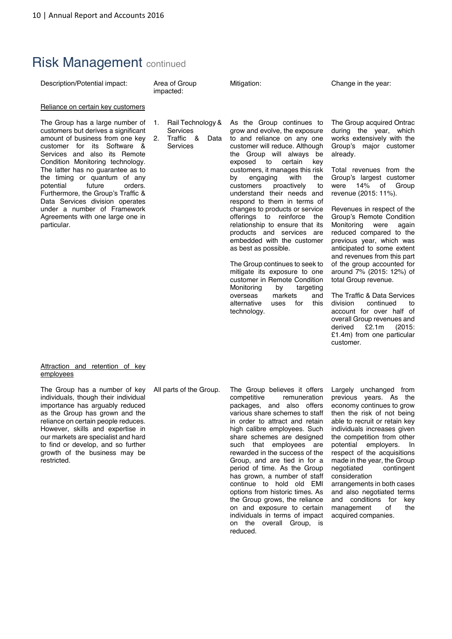### **Risk Management continued**

Description/Potential impact: Area of Group

impacted:

Mitigation: Change in the year:

Reliance on certain key customers

The Group has a large number of customers but derives a significant amount of business from one key customer for its Software & Services and also its Remote Condition Monitoring technology. The latter has no guarantee as to the timing or quantum of any<br>potential future orders. potential Furthermore, the Group's Traffic & Data Services division operates under a number of Framework Agreements with one large one in particular.

1. Rail Technology & Services

2. Traffic & Data **Services** 

As the Group continues to grow and evolve, the exposure to and reliance on any one customer will reduce. Although the Group will always be exposed to certain key customers, it manages this risk by engaging with the customers proactively to understand their needs and respond to them in terms of changes to products or service offerings to reinforce the relationship to ensure that its products and services are embedded with the customer as best as possible.

The Group continues to seek to mitigate its exposure to one customer in Remote Condition Monitoring by targeting overseas markets and<br>alternative uses for this uses for technology.

The Group acquired Ontrac during the year, which works extensively with the Group's major customer already.

Total revenues from the Group's largest customer were 14% of Group revenue (2015: 11%).

Revenues in respect of the Group's Remote Condition Monitoring were again reduced compared to the previous year, which was anticipated to some extent and revenues from this part of the group accounted for around 7% (2015: 12%) of total Group revenue.

The Traffic & Data Services division continued to account for over half of overall Group revenues and derived £2.1m (2015: £1.4m) from one particular customer.

### Attraction and retention of key employees

The Group has a number of key individuals, though their individual importance has arguably reduced as the Group has grown and the reliance on certain people reduces. However, skills and expertise in our markets are specialist and hard to find or develop, and so further growth of the business may be restricted.

All parts of the Group. The Group believes it offers competitive remuneration packages, and also offers various share schemes to staff in order to attract and retain high calibre employees. Such share schemes are designed such that employees are rewarded in the success of the Group, and are tied in for a period of time. As the Group has grown, a number of staff continue to hold old EMI options from historic times. As the Group grows, the reliance on and exposure to certain individuals in terms of impact on the overall Group, is reduced.

Largely unchanged from previous years. As the economy continues to grow then the risk of not being able to recruit or retain key individuals increases given the competition from other potential employers. In respect of the acquisitions made in the year, the Group<br>negotiated contingent contingent consideration arrangements in both cases and also negotiated terms and conditions for key

management of the acquired companies.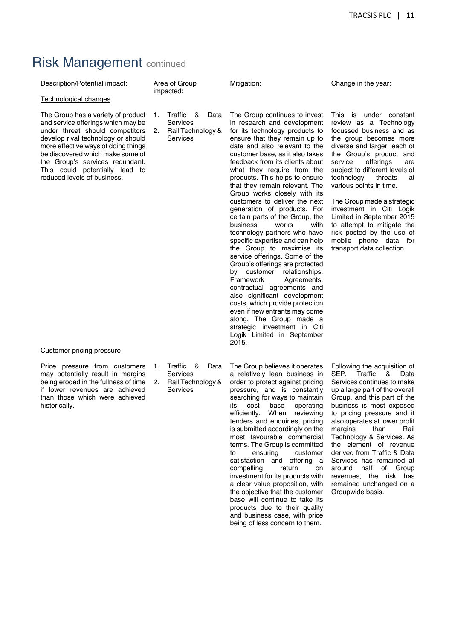### **Risk Management continued**

Description/Potential impact: Area of Group

Technological changes

The Group has a variety of product and service offerings which may be under threat should competitors develop rival technology or should more effective ways of doing things be discovered which make some of the Group's services redundant. This could potentially lead to reduced levels of business.

impacted:

1. Traffic & Data Services 2. Rail Technology & **Services** 

The Group continues to invest in research and development for its technology products to ensure that they remain up to date and also relevant to the customer base, as it also takes feedback from its clients about what they require from the products. This helps to ensure that they remain relevant. The Group works closely with its customers to deliver the next generation of products. For certain parts of the Group, the business works with technology partners who have specific expertise and can help the Group to maximise its service offerings. Some of the Group's offerings are protected by customer relationships, Framework Agreements, contractual agreements and also significant development costs, which provide protection even if new entrants may come along. The Group made a strategic investment in Citi Logik Limited in September

Mitigation: Change in the year:

This is under constant review as a Technology focussed business and as the group becomes more diverse and larger, each of the Group's product and<br>service offerings are offerings are subject to different levels of<br>technology threats at technology threats at various points in time.

The Group made a strategic investment in Citi Logik Limited in September 2015 to attempt to mitigate the risk posted by the use of mobile phone data for transport data collection.

### Customer pricing pressure

Price pressure from customers may potentially result in margins being eroded in the fullness of time if lower revenues are achieved than those which were achieved historically.

1. Traffic & Data Services

2015.

2. Rail Technology & **Services** 

The Group believes it operates a relatively lean business in order to protect against pricing pressure, and is constantly searching for ways to maintain<br>its cost base operating its cost base operating efficiently. When reviewing tenders and enquiries, pricing is submitted accordingly on the most favourable commercial terms. The Group is committed<br>to ensuring customer to ensuring satisfaction and offering a<br>compelling return on compelling return on investment for its products with a clear value proposition, with the objective that the customer base will continue to take its products due to their quality and business case, with price being of less concern to them.

Following the acquisition of SEP, Traffic & Data Services continues to make up a large part of the overall Group, and this part of the business is most exposed to pricing pressure and it also operates at lower profit<br>margins than Bail margins Technology & Services. As the element of revenue derived from Traffic & Data Services has remained at around half of Group revenues, the risk has remained unchanged on a Groupwide basis.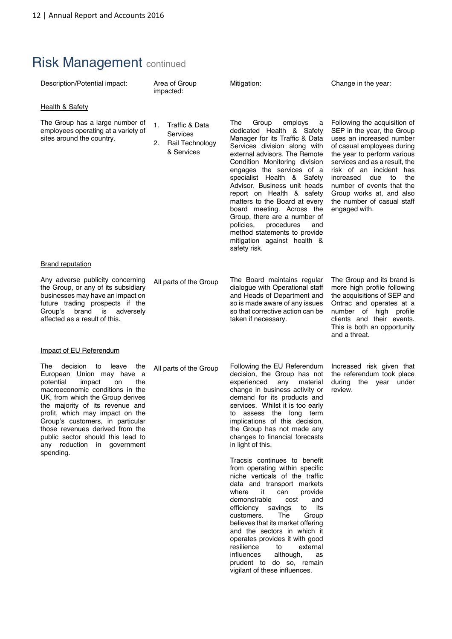# Risk Management continued

| Description/Potential impact:                                                                                                                                                                                                                                                                                                                                                                         | Area of Group<br>impacted:                                              | Mitigation:                                                                                                                                                                                                                                                                                                                                                                                                                                                                                                                          | Change in the year:                                                                                                                                                                                                                                                                                                                                      |
|-------------------------------------------------------------------------------------------------------------------------------------------------------------------------------------------------------------------------------------------------------------------------------------------------------------------------------------------------------------------------------------------------------|-------------------------------------------------------------------------|--------------------------------------------------------------------------------------------------------------------------------------------------------------------------------------------------------------------------------------------------------------------------------------------------------------------------------------------------------------------------------------------------------------------------------------------------------------------------------------------------------------------------------------|----------------------------------------------------------------------------------------------------------------------------------------------------------------------------------------------------------------------------------------------------------------------------------------------------------------------------------------------------------|
| <b>Health &amp; Safety</b>                                                                                                                                                                                                                                                                                                                                                                            |                                                                         |                                                                                                                                                                                                                                                                                                                                                                                                                                                                                                                                      |                                                                                                                                                                                                                                                                                                                                                          |
| The Group has a large number of<br>employees operating at a variety of<br>sites around the country.                                                                                                                                                                                                                                                                                                   | 1.<br>Traffic & Data<br>Services<br>Rail Technology<br>2.<br>& Services | The<br>employs<br>Group<br>a<br>dedicated Health & Safety<br>Manager for its Traffic & Data<br>Services division along with<br>external advisors. The Remote<br>Condition Monitoring division<br>engages the services of a<br>specialist Health & Safety<br>Advisor. Business unit heads<br>report on Health & safety<br>matters to the Board at every<br>board meeting. Across the<br>Group, there are a number of<br>policies,<br>procedures<br>and<br>method statements to provide<br>mitigation against health &<br>safety risk. | Following the acquisition of<br>SEP in the year, the Group<br>uses an increased number<br>of casual employees during<br>the year to perform various<br>services and as a result, the<br>risk of an incident has<br>increased<br>due<br>the<br>to<br>number of events that the<br>Group works at, and also<br>the number of casual staff<br>engaged with. |
| <b>Brand reputation</b>                                                                                                                                                                                                                                                                                                                                                                               |                                                                         |                                                                                                                                                                                                                                                                                                                                                                                                                                                                                                                                      |                                                                                                                                                                                                                                                                                                                                                          |
| Any adverse publicity concerning<br>the Group, or any of its subsidiary<br>businesses may have an impact on<br>future trading prospects if the<br>brand is<br>adversely<br>Group's<br>affected as a result of this.                                                                                                                                                                                   | All parts of the Group                                                  | The Board maintains regular<br>dialogue with Operational staff<br>and Heads of Department and<br>so is made aware of any issues<br>so that corrective action can be<br>taken if necessary.                                                                                                                                                                                                                                                                                                                                           | The Group and its brand is<br>more high profile following<br>the acquisitions of SEP and<br>Ontrac and operates at a<br>number of high profile<br>clients and their events.<br>This is both an opportunity<br>and a threat.                                                                                                                              |
| Impact of EU Referendum                                                                                                                                                                                                                                                                                                                                                                               |                                                                         |                                                                                                                                                                                                                                                                                                                                                                                                                                                                                                                                      |                                                                                                                                                                                                                                                                                                                                                          |
| The<br>decision<br>the<br>to<br>leave<br>European Union may have a<br>potential<br>impact<br>the<br><b>on</b><br>macroeconomic conditions in the<br>UK, from which the Group derives<br>the majority of its revenue and<br>profit, which may impact on the<br>Group's customers, in particular<br>those revenues derived from the<br>public sector should this lead to<br>any reduction in government | All parts of the Group                                                  | Following the EU Referendum<br>decision, the Group has not<br>experienced<br>any<br>material<br>change in business activity or<br>demand for its products and<br>services. Whilst it is too early<br>assess the<br>long<br>term<br>to<br>implications of this decision,<br>the Group has not made any<br>changes to financial forecasts<br>in light of this.                                                                                                                                                                         | Increased risk given that<br>the referendum took place<br>during<br>the year<br>under<br>review.                                                                                                                                                                                                                                                         |
| spending.                                                                                                                                                                                                                                                                                                                                                                                             |                                                                         | Tracsis continues to benefit<br>from operating within specific<br>niche verticals of the traffic<br>data and transport markets<br>where<br>it<br>can<br>provide<br>demonstrable<br>and<br>cost<br>efficiency<br>savings<br>to<br>its<br>The<br>customers.<br>Group<br>believes that its market offering<br>and the sectors in which it<br>operates provides it with good<br>resilience<br>external<br>to<br>influences<br>although,<br>as<br>prudent to do so, remain                                                                |                                                                                                                                                                                                                                                                                                                                                          |

vigilant of these influences.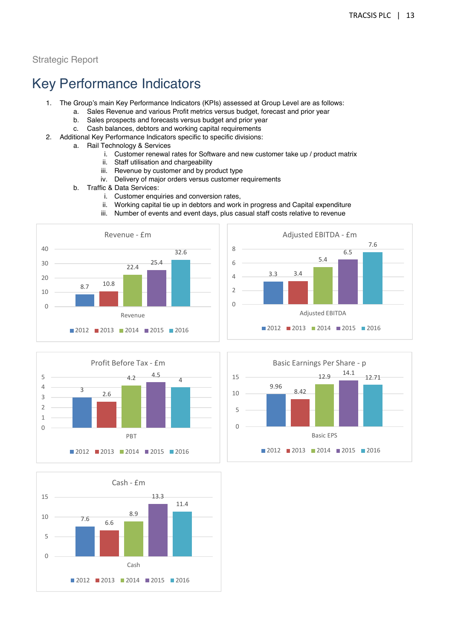## Key Performance Indicators

- 1. The Group's main Key Performance Indicators (KPIs) assessed at Group Level are as follows:
	- a. Sales Revenue and various Profit metrics versus budget, forecast and prior year
	- Sales prospects and forecasts versus budget and prior year
	- c. Cash balances, debtors and working capital requirements
- 2. Additional Key Performance Indicators specific to specific divisions:
	- a. Rail Technology & Services
		- i. Customer renewal rates for Software and new customer take up / product matrix
		- ii. Staff utilisation and chargeability
		- iii. Revenue by customer and by product type
		- iv. Delivery of major orders versus customer requirements
	- b. Traffic & Data Services:
		- i. Customer enquiries and conversion rates,
		- ii. Working capital tie up in debtors and work in progress and Capital expenditure
		- iii. Number of events and event days, plus casual staff costs relative to revenue









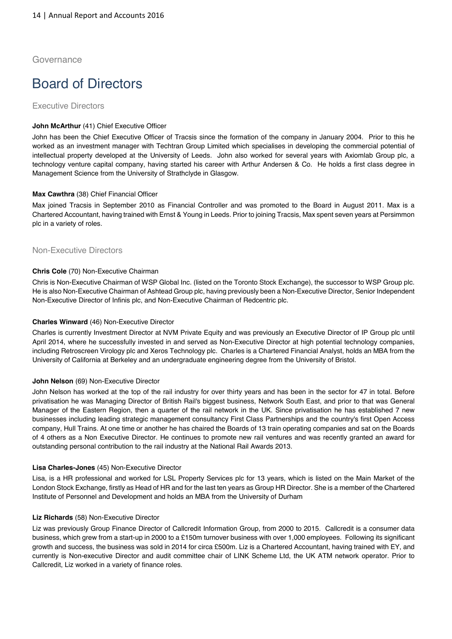Governance

# Board of Directors

### Executive Directors

### **John McArthur (41) Chief Executive Officer**

John has been the Chief Executive Officer of Tracsis since the formation of the company in January 2004. Prior to this he worked as an investment manager with Techtran Group Limited which specialises in developing the commercial potential of intellectual property developed at the University of Leeds. John also worked for several years with Axiomlab Group plc, a technology venture capital company, having started his career with Arthur Andersen & Co. He holds a first class degree in Management Science from the University of Strathclyde in Glasgow.

### **Max Cawthra** (38) Chief Financial Officer

Max joined Tracsis in September 2010 as Financial Controller and was promoted to the Board in August 2011. Max is a Chartered Accountant, having trained with Ernst & Young in Leeds. Prior to joining Tracsis, Max spent seven years at Persimmon plc in a variety of roles.

### Non-Executive Directors

### **Chris Cole** (70) Non-Executive Chairman

Chris is Non-Executive Chairman of WSP Global Inc. (listed on the Toronto Stock Exchange), the successor to WSP Group plc. He is also Non-Executive Chairman of Ashtead Group plc, having previously been a Non-Executive Director, Senior Independent Non-Executive Director of Infinis plc, and Non-Executive Chairman of Redcentric plc.

### **Charles Winward** (46) Non-Executive Director

Charles is currently Investment Director at NVM Private Equity and was previously an Executive Director of IP Group plc until April 2014, where he successfully invested in and served as Non-Executive Director at high potential technology companies, including Retroscreen Virology plc and Xeros Technology plc. Charles is a Chartered Financial Analyst, holds an MBA from the University of California at Berkeley and an undergraduate engineering degree from the University of Bristol.

### **John Nelson** (69) Non-Executive Director

John Nelson has worked at the top of the rail industry for over thirty years and has been in the sector for 47 in total. Before privatisation he was Managing Director of British Rail's biggest business, Network South East, and prior to that was General Manager of the Eastern Region, then a quarter of the rail network in the UK. Since privatisation he has established 7 new businesses including leading strategic management consultancy First Class Partnerships and the country's first Open Access company, Hull Trains. At one time or another he has chaired the Boards of 13 train operating companies and sat on the Boards of 4 others as a Non Executive Director. He continues to promote new rail ventures and was recently granted an award for outstanding personal contribution to the rail industry at the National Rail Awards 2013.

### **Lisa Charles-Jones** (45) Non-Executive Director

Lisa, is a HR professional and worked for LSL Property Services plc for 13 years, which is listed on the Main Market of the London Stock Exchange, firstly as Head of HR and for the last ten years as Group HR Director. She is a member of the Chartered Institute of Personnel and Development and holds an MBA from the University of Durham

### **Liz Richards** (58) Non-Executive Director

Liz was previously Group Finance Director of Callcredit Information Group, from 2000 to 2015. Callcredit is a consumer data business, which grew from a start-up in 2000 to a £150m turnover business with over 1,000 employees. Following its significant growth and success, the business was sold in 2014 for circa £500m. Liz is a Chartered Accountant, having trained with EY, and currently is Non-executive Director and audit committee chair of LINK Scheme Ltd, the UK ATM network operator. Prior to Callcredit, Liz worked in a variety of finance roles.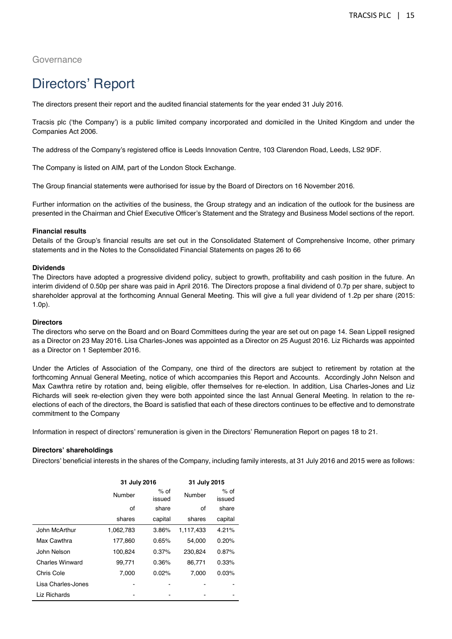### Governance

## Directors' Report

The directors present their report and the audited financial statements for the year ended 31 July 2016.

Tracsis plc ('the Company') is a public limited company incorporated and domiciled in the United Kingdom and under the Companies Act 2006.

The address of the Company's registered office is Leeds Innovation Centre, 103 Clarendon Road, Leeds, LS2 9DF.

The Company is listed on AIM, part of the London Stock Exchange.

The Group financial statements were authorised for issue by the Board of Directors on 16 November 2016.

Further information on the activities of the business, the Group strategy and an indication of the outlook for the business are presented in the Chairman and Chief Executive Officer's Statement and the Strategy and Business Model sections of the report.

### **Financial results**

Details of the Group's financial results are set out in the Consolidated Statement of Comprehensive Income, other primary statements and in the Notes to the Consolidated Financial Statements on pages 26 to 66

#### **Dividends**

The Directors have adopted a progressive dividend policy, subject to growth, profitability and cash position in the future. An interim dividend of 0.50p per share was paid in April 2016. The Directors propose a final dividend of 0.7p per share, subject to shareholder approval at the forthcoming Annual General Meeting. This will give a full year dividend of 1.2p per share (2015: 1.0p).

#### **Directors**

The directors who serve on the Board and on Board Committees during the year are set out on page 14. Sean Lippell resigned as a Director on 23 May 2016. Lisa Charles-Jones was appointed as a Director on 25 August 2016. Liz Richards was appointed as a Director on 1 September 2016.

Under the Articles of Association of the Company, one third of the directors are subject to retirement by rotation at the forthcoming Annual General Meeting, notice of which accompanies this Report and Accounts. Accordingly John Nelson and Max Cawthra retire by rotation and, being eligible, offer themselves for re-election. In addition, Lisa Charles-Jones and Liz Richards will seek re-election given they were both appointed since the last Annual General Meeting. In relation to the reelections of each of the directors, the Board is satisfied that each of these directors continues to be effective and to demonstrate commitment to the Company

Information in respect of directors' remuneration is given in the Directors' Remuneration Report on pages 18 to 21.

### **Directors' shareholdings**

Directors' beneficial interests in the shares of the Company, including family interests, at 31 July 2016 and 2015 were as follows:

|                        | 31 July 2016 |                  | 31 July 2015 |                  |
|------------------------|--------------|------------------|--------------|------------------|
|                        | Number       | $%$ of<br>issued | Number       | $%$ of<br>issued |
|                        | οf           | share            | οf           | share            |
|                        | shares       | capital          | shares       | capital          |
| John McArthur          | 1,062,783    | 3.86%            | 1,117,433    | 4.21%            |
| Max Cawthra            | 177,860      | 0.65%            | 54,000       | 0.20%            |
| John Nelson            | 100,824      | 0.37%            | 230.824      | 0.87%            |
| <b>Charles Winward</b> | 99,771       | 0.36%            | 86,771       | 0.33%            |
| Chris Cole             | 7,000        | 0.02%            | 7,000        | 0.03%            |
| Lisa Charles-Jones     |              |                  |              |                  |
| Liz Richards           |              |                  |              |                  |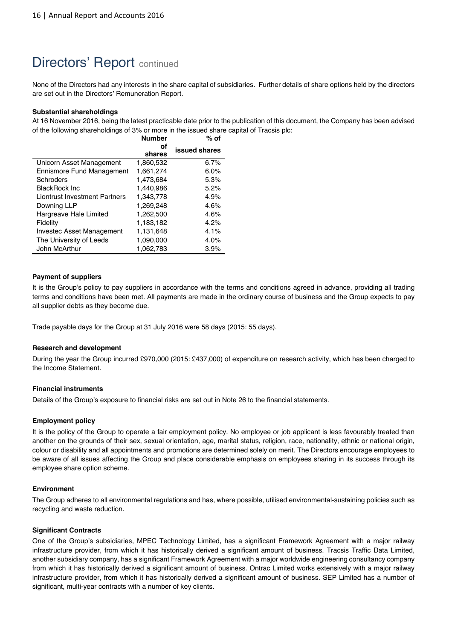# **Directors' Report continued**

None of the Directors had any interests in the share capital of subsidiaries. Further details of share options held by the directors are set out in the Directors' Remuneration Report.

### **Substantial shareholdings**

At 16 November 2016, being the latest practicable date prior to the publication of this document, the Company has been advised of the following shareholdings of 3% or more in the issued share capital of Tracsis plc:

|                                      | <b>Number</b> | % of          |
|--------------------------------------|---------------|---------------|
|                                      | οf<br>shares  | issued shares |
| Unicorn Asset Management             | 1,860,532     | 6.7%          |
| <b>Ennismore Fund Management</b>     | 1,661,274     | $6.0\%$       |
| Schroders                            | 1,473,684     | 5.3%          |
| <b>BlackRock Inc</b>                 | 1,440,986     | 5.2%          |
| <b>Liontrust Investment Partners</b> | 1,343,778     | 4.9%          |
| Downing LLP                          | 1,269,248     | 4.6%          |
| Hargreave Hale Limited               | 1,262,500     | 4.6%          |
| Fidelity                             | 1,183,182     | 4.2%          |
| Investec Asset Management            | 1,131,648     | 4.1%          |
| The University of Leeds              | 1,090,000     | 4.0%          |
| John McArthur                        | 1,062,783     | 3.9%          |

### **Payment of suppliers**

It is the Group's policy to pay suppliers in accordance with the terms and conditions agreed in advance, providing all trading terms and conditions have been met. All payments are made in the ordinary course of business and the Group expects to pay all supplier debts as they become due.

Trade payable days for the Group at 31 July 2016 were 58 days (2015: 55 days).

### **Research and development**

During the year the Group incurred £970,000 (2015: £437,000) of expenditure on research activity, which has been charged to the Income Statement.

### **Financial instruments**

Details of the Group's exposure to financial risks are set out in Note 26 to the financial statements.

### **Employment policy**

It is the policy of the Group to operate a fair employment policy. No employee or job applicant is less favourably treated than another on the grounds of their sex, sexual orientation, age, marital status, religion, race, nationality, ethnic or national origin, colour or disability and all appointments and promotions are determined solely on merit. The Directors encourage employees to be aware of all issues affecting the Group and place considerable emphasis on employees sharing in its success through its employee share option scheme.

### **Environment**

The Group adheres to all environmental regulations and has, where possible, utilised environmental-sustaining policies such as recycling and waste reduction.

### **Significant Contracts**

One of the Group's subsidiaries, MPEC Technology Limited, has a significant Framework Agreement with a major railway infrastructure provider, from which it has historically derived a significant amount of business. Tracsis Traffic Data Limited, another subsidiary company, has a significant Framework Agreement with a major worldwide engineering consultancy company from which it has historically derived a significant amount of business. Ontrac Limited works extensively with a major railway infrastructure provider, from which it has historically derived a significant amount of business. SEP Limited has a number of significant, multi-year contracts with a number of key clients.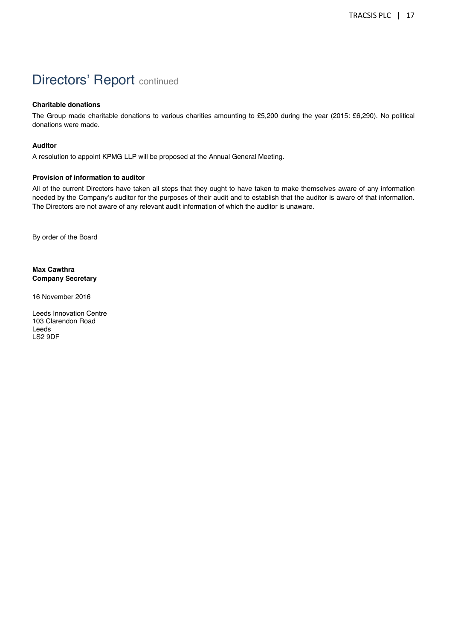# Directors' Report continued

### **Charitable donations**

The Group made charitable donations to various charities amounting to £5,200 during the year (2015: £6,290). No political donations were made.

### **Auditor**

A resolution to appoint KPMG LLP will be proposed at the Annual General Meeting.

### **Provision of information to auditor**

All of the current Directors have taken all steps that they ought to have taken to make themselves aware of any information needed by the Company's auditor for the purposes of their audit and to establish that the auditor is aware of that information. The Directors are not aware of any relevant audit information of which the auditor is unaware.

By order of the Board

**Max Cawthra Company Secretary** 

16 November 2016

Leeds Innovation Centre 103 Clarendon Road Leeds LS2 9DF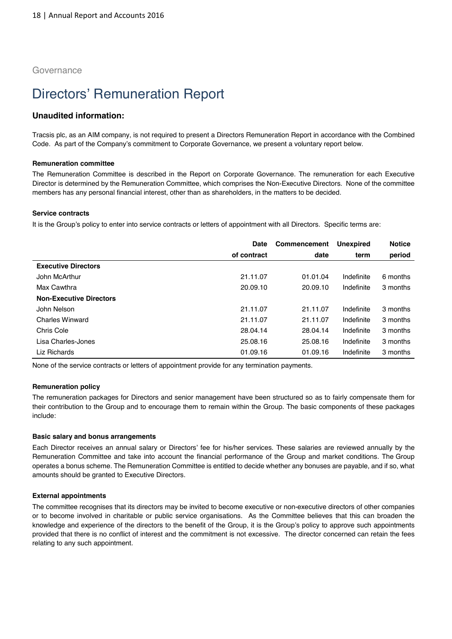Governance

## Directors' Remuneration Report

### **Unaudited information:**

Tracsis plc, as an AIM company, is not required to present a Directors Remuneration Report in accordance with the Combined Code. As part of the Company's commitment to Corporate Governance, we present a voluntary report below.

### **Remuneration committee**

The Remuneration Committee is described in the Report on Corporate Governance. The remuneration for each Executive Director is determined by the Remuneration Committee, which comprises the Non-Executive Directors. None of the committee members has any personal financial interest, other than as shareholders, in the matters to be decided.

### **Service contracts**

It is the Group's policy to enter into service contracts or letters of appointment with all Directors. Specific terms are:

|                                | <b>Date</b> | <b>Commencement</b> | <b>Unexpired</b> | <b>Notice</b> |
|--------------------------------|-------------|---------------------|------------------|---------------|
|                                | of contract | date                | term             | period        |
| <b>Executive Directors</b>     |             |                     |                  |               |
| John McArthur                  | 21.11.07    | 01.01.04            | Indefinite       | 6 months      |
| Max Cawthra                    | 20.09.10    | 20.09.10            | Indefinite       | 3 months      |
| <b>Non-Executive Directors</b> |             |                     |                  |               |
| John Nelson                    | 21.11.07    | 21.11.07            | Indefinite       | 3 months      |
| <b>Charles Winward</b>         | 21.11.07    | 21.11.07            | Indefinite       | 3 months      |
| Chris Cole                     | 28.04.14    | 28.04.14            | Indefinite       | 3 months      |
| Lisa Charles-Jones             | 25.08.16    | 25.08.16            | Indefinite       | 3 months      |
| Liz Richards                   | 01.09.16    | 01.09.16            | Indefinite       | 3 months      |

None of the service contracts or letters of appointment provide for any termination payments.

### **Remuneration policy**

The remuneration packages for Directors and senior management have been structured so as to fairly compensate them for their contribution to the Group and to encourage them to remain within the Group. The basic components of these packages include:

### **Basic salary and bonus arrangements**

Each Director receives an annual salary or Directors' fee for his/her services. These salaries are reviewed annually by the Remuneration Committee and take into account the financial performance of the Group and market conditions. The Group operates a bonus scheme. The Remuneration Committee is entitled to decide whether any bonuses are payable, and if so, what amounts should be granted to Executive Directors.

### **External appointments**

The committee recognises that its directors may be invited to become executive or non-executive directors of other companies or to become involved in charitable or public service organisations. As the Committee believes that this can broaden the knowledge and experience of the directors to the benefit of the Group, it is the Group's policy to approve such appointments provided that there is no conflict of interest and the commitment is not excessive. The director concerned can retain the fees relating to any such appointment.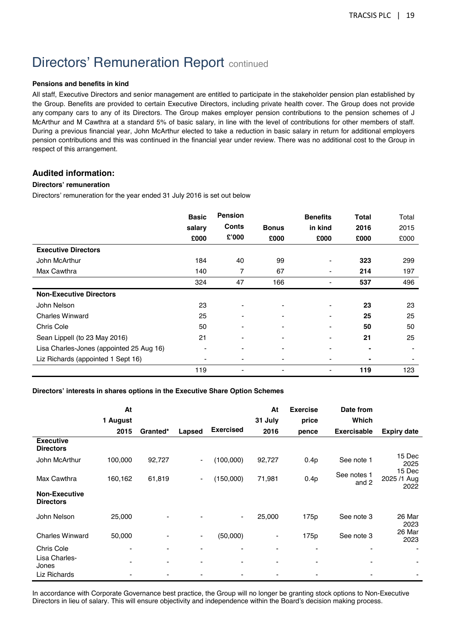# **Directors' Remuneration Report continued**

### **Pensions and benefits in kind**

All staff, Executive Directors and senior management are entitled to participate in the stakeholder pension plan established by the Group. Benefits are provided to certain Executive Directors, including private health cover. The Group does not provide any company cars to any of its Directors. The Group makes employer pension contributions to the pension schemes of J McArthur and M Cawthra at a standard 5% of basic salary, in line with the level of contributions for other members of staff. During a previous financial year, John McArthur elected to take a reduction in basic salary in return for additional employers pension contributions and this was continued in the financial year under review. There was no additional cost to the Group in respect of this arrangement.

### **Audited information:**

### **Directors' remuneration**

Directors' remuneration for the year ended 31 July 2016 is set out below

|                                          | <b>Basic</b><br>salary<br>£000 | <b>Pension</b><br>Conts<br>£'000 | <b>Bonus</b><br>£000         | <b>Benefits</b><br>in kind<br>£000 | Total<br>2016<br>£000 | Total<br>2015<br>£000 |
|------------------------------------------|--------------------------------|----------------------------------|------------------------------|------------------------------------|-----------------------|-----------------------|
| <b>Executive Directors</b>               |                                |                                  |                              |                                    |                       |                       |
| John McArthur                            | 184                            | 40                               | 99                           |                                    | 323                   | 299                   |
| Max Cawthra                              | 140                            | 7                                | 67                           |                                    | 214                   | 197                   |
|                                          | 324                            | 47                               | 166                          |                                    | 537                   | 496                   |
| <b>Non-Executive Directors</b>           |                                |                                  |                              |                                    |                       |                       |
| John Nelson                              | 23                             | $\overline{\phantom{0}}$         |                              |                                    | 23                    | 23                    |
| <b>Charles Winward</b>                   | 25                             | $\overline{\phantom{0}}$         | $\overline{\phantom{0}}$     |                                    | 25                    | 25                    |
| Chris Cole                               | 50                             | $\blacksquare$                   | $\qquad \qquad \blacksquare$ | $\blacksquare$                     | 50                    | 50                    |
| Sean Lippell (to 23 May 2016)            | 21                             | $\blacksquare$                   | $\blacksquare$               |                                    | 21                    | 25                    |
| Lisa Charles-Jones (appointed 25 Aug 16) | $\blacksquare$                 | $\overline{\phantom{a}}$         | $\qquad \qquad \blacksquare$ | $\overline{\phantom{a}}$           | $\blacksquare$        |                       |
| Liz Richards (appointed 1 Sept 16)       | -                              |                                  | ٠                            |                                    |                       |                       |
|                                          | 119                            |                                  | $\qquad \qquad \blacksquare$ |                                    | 119                   | 123                   |

### **Directors' interests in shares options in the Executive Share Option Schemes**

|                                          | At<br>1 August           |          |                          |                          | At<br>31 July                | <b>Exercise</b><br>price | Date from<br>Which   |                               |
|------------------------------------------|--------------------------|----------|--------------------------|--------------------------|------------------------------|--------------------------|----------------------|-------------------------------|
|                                          | 2015                     | Granted* | Lapsed                   | <b>Exercised</b>         | 2016                         | pence                    | <b>Exercisable</b>   | <b>Expiry date</b>            |
| <b>Executive</b><br><b>Directors</b>     |                          |          |                          |                          |                              |                          |                      |                               |
| John McArthur                            | 100,000                  | 92,727   | $\blacksquare$           | (100,000)                | 92,727                       | 0.4p                     | See note 1           | 15 Dec<br>2025                |
| Max Cawthra                              | 160,162                  | 61,819   | $\overline{\phantom{a}}$ | (150,000)                | 71,981                       | 0.4p                     | See notes 1<br>and 2 | 15 Dec<br>2025 /1 Aug<br>2022 |
| <b>Non-Executive</b><br><b>Directors</b> |                          |          |                          |                          |                              |                          |                      |                               |
| John Nelson                              | 25,000                   |          | ٠                        | ۰.                       | 25,000                       | 175p                     | See note 3           | 26 Mar<br>2023                |
| <b>Charles Winward</b>                   | 50,000                   |          | ٠                        | (50,000)                 | $\qquad \qquad \blacksquare$ | 175p                     | See note 3           | 26 Mar<br>2023                |
| <b>Chris Cole</b>                        | $\overline{\phantom{0}}$ | ٠        | $\blacksquare$           | $\overline{\phantom{a}}$ |                              |                          | $\blacksquare$       |                               |
| Lisa Charles-<br>Jones                   |                          |          | $\blacksquare$           | -                        |                              |                          |                      |                               |
| Liz Richards                             |                          |          | $\overline{\phantom{a}}$ | ٠                        |                              |                          |                      |                               |

In accordance with Corporate Governance best practice, the Group will no longer be granting stock options to Non-Executive Directors in lieu of salary. This will ensure objectivity and independence within the Board's decision making process.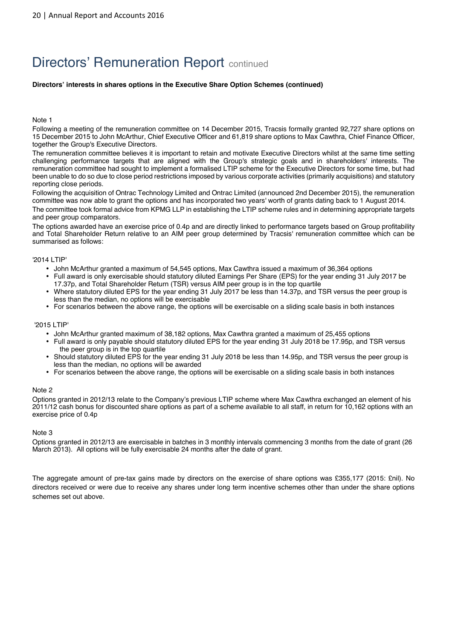# **Directors' Remuneration Report continued**

### **Directors' interests in shares options in the Executive Share Option Schemes (continued)**

### Note 1

Following a meeting of the remuneration committee on 14 December 2015, Tracsis formally granted 92,727 share options on 15 December 2015 to John McArthur, Chief Executive Officer and 61,819 share options to Max Cawthra, Chief Finance Officer, together the Group's Executive Directors.

The remuneration committee believes it is important to retain and motivate Executive Directors whilst at the same time setting challenging performance targets that are aligned with the Group's strategic goals and in shareholders' interests. The remuneration committee had sought to implement a formalised LTIP scheme for the Executive Directors for some time, but had been unable to do so due to close period restrictions imposed by various corporate activities (primarily acquisitions) and statutory reporting close periods.

Following the acquisition of Ontrac Technology Limited and Ontrac Limited (announced 2nd December 2015), the remuneration committee was now able to grant the options and has incorporated two years' worth of grants dating back to 1 August 2014.

The committee took formal advice from KPMG LLP in establishing the LTIP scheme rules and in determining appropriate targets and peer group comparators.

The options awarded have an exercise price of 0.4p and are directly linked to performance targets based on Group profitability and Total Shareholder Return relative to an AIM peer group determined by Tracsis' remuneration committee which can be summarised as follows:

### '2014 LTIP'

- John McArthur granted a maximum of 54,545 options, Max Cawthra issued a maximum of 36,364 options
- Full award is only exercisable should statutory diluted Earnings Per Share (EPS) for the year ending 31 July 2017 be 17.37p, and Total Shareholder Return (TSR) versus AIM peer group is in the top quartile
- Where statutory diluted EPS for the year ending 31 July 2017 be less than 14.37p, and TSR versus the peer group is less than the median, no options will be exercisable
- For scenarios between the above range, the options will be exercisable on a sliding scale basis in both instances

### '2015 LTIP'

- John McArthur granted maximum of 38,182 options, Max Cawthra granted a maximum of 25,455 options
- Full award is only payable should statutory diluted EPS for the year ending 31 July 2018 be 17.95p, and TSR versus the peer group is in the top quartile
- Should statutory diluted EPS for the year ending 31 July 2018 be less than 14.95p, and TSR versus the peer group is less than the median, no options will be awarded
- For scenarios between the above range, the options will be exercisable on a sliding scale basis in both instances

### Note<sub>2</sub>

Options granted in 2012/13 relate to the Company's previous LTIP scheme where Max Cawthra exchanged an element of his 2011/12 cash bonus for discounted share options as part of a scheme available to all staff, in return for 10,162 options with an exercise price of 0.4p

### Note 3

Options granted in 2012/13 are exercisable in batches in 3 monthly intervals commencing 3 months from the date of grant (26 March 2013). All options will be fully exercisable 24 months after the date of grant.

The aggregate amount of pre-tax gains made by directors on the exercise of share options was £355,177 (2015: £nil). No directors received or were due to receive any shares under long term incentive schemes other than under the share options schemes set out above.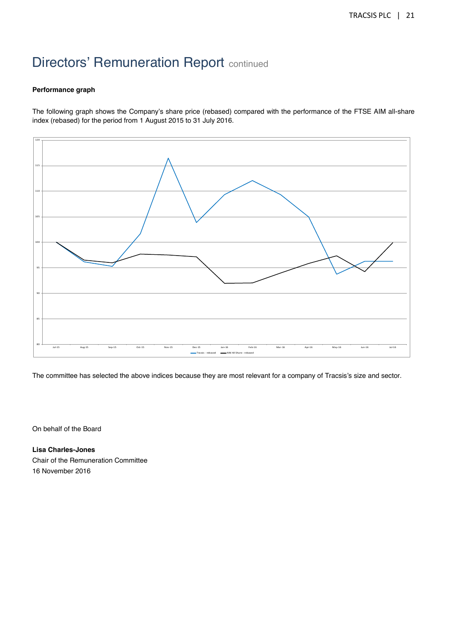## **Directors' Remuneration Report continued**

### **Performance graph**

The following graph shows the Company's share price (rebased) compared with the performance of the FTSE AIM all-share index (rebased) for the period from 1 August 2015 to 31 July 2016.



The committee has selected the above indices because they are most relevant for a company of Tracsis's size and sector.

On behalf of the Board

**Lisa Charles-Jones**  Chair of the Remuneration Committee 16 November 2016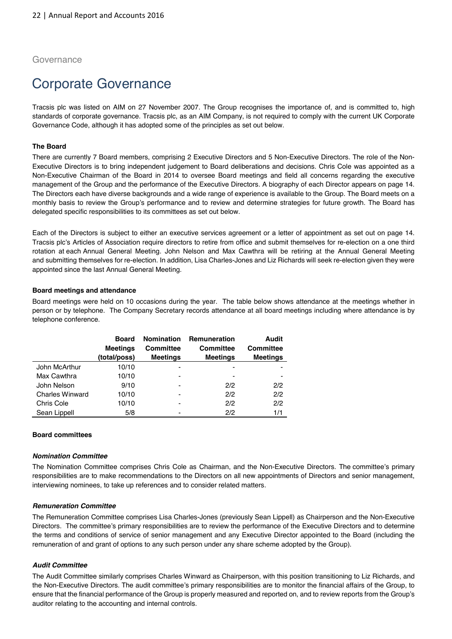### Governance

## Corporate Governance

Tracsis plc was listed on AIM on 27 November 2007. The Group recognises the importance of, and is committed to, high standards of corporate governance. Tracsis plc, as an AIM Company, is not required to comply with the current UK Corporate Governance Code, although it has adopted some of the principles as set out below.

### **The Board**

There are currently 7 Board members, comprising 2 Executive Directors and 5 Non-Executive Directors. The role of the Non-Executive Directors is to bring independent judgement to Board deliberations and decisions. Chris Cole was appointed as a Non-Executive Chairman of the Board in 2014 to oversee Board meetings and field all concerns regarding the executive management of the Group and the performance of the Executive Directors. A biography of each Director appears on page 14. The Directors each have diverse backgrounds and a wide range of experience is available to the Group. The Board meets on a monthly basis to review the Group's performance and to review and determine strategies for future growth. The Board has delegated specific responsibilities to its committees as set out below.

Each of the Directors is subject to either an executive services agreement or a letter of appointment as set out on page 14. Tracsis plc's Articles of Association require directors to retire from office and submit themselves for re-election on a one third rotation at each Annual General Meeting. John Nelson and Max Cawthra will be retiring at the Annual General Meeting and submitting themselves for re-election. In addition, Lisa Charles-Jones and Liz Richards will seek re-election given they were appointed since the last Annual General Meeting.

### **Board meetings and attendance**

Board meetings were held on 10 occasions during the year. The table below shows attendance at the meetings whether in person or by telephone. The Company Secretary records attendance at all board meetings including where attendance is by telephone conference.

|                        | <b>Board</b><br><b>Meetings</b><br>(total/poss) | <b>Nomination</b><br><b>Committee</b><br><b>Meetings</b> | <b>Remuneration</b><br><b>Committee</b><br><b>Meetings</b> | Audit<br><b>Committee</b><br><b>Meetings</b> |
|------------------------|-------------------------------------------------|----------------------------------------------------------|------------------------------------------------------------|----------------------------------------------|
| John McArthur          | 10/10                                           |                                                          |                                                            |                                              |
| Max Cawthra            | 10/10                                           | -                                                        |                                                            |                                              |
| John Nelson            | 9/10                                            |                                                          | 2/2                                                        | 2/2                                          |
| <b>Charles Winward</b> | 10/10                                           |                                                          | 2/2                                                        | 2/2                                          |
| Chris Cole             | 10/10                                           |                                                          | 2/2                                                        | 2/2                                          |
| Sean Lippell           | 5/8                                             |                                                          | 2/2                                                        | 1/1                                          |

### **Board committees**

### *Nomination Committee*

The Nomination Committee comprises Chris Cole as Chairman, and the Non-Executive Directors. The committee's primary responsibilities are to make recommendations to the Directors on all new appointments of Directors and senior management, interviewing nominees, to take up references and to consider related matters.

### *Remuneration Committee*

The Remuneration Committee comprises Lisa Charles-Jones (previously Sean Lippell) as Chairperson and the Non-Executive Directors. The committee's primary responsibilities are to review the performance of the Executive Directors and to determine the terms and conditions of service of senior management and any Executive Director appointed to the Board (including the remuneration of and grant of options to any such person under any share scheme adopted by the Group).

### *Audit Committee*

The Audit Committee similarly comprises Charles Winward as Chairperson, with this position transitioning to Liz Richards, and the Non-Executive Directors. The audit committee's primary responsibilities are to monitor the financial affairs of the Group, to ensure that the financial performance of the Group is properly measured and reported on, and to review reports from the Group's auditor relating to the accounting and internal controls.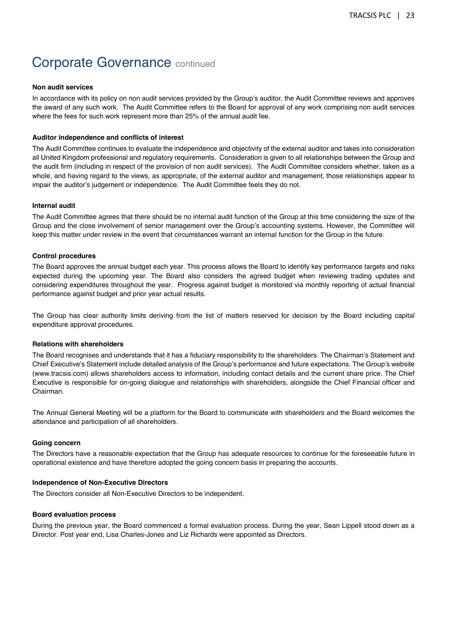# **Corporate Governance continued**

### **Non audit services**

In accordance with its policy on non audit services provided by the Group's auditor, the Audit Committee reviews and approves the award of any such work. The Audit Committee refers to the Board for approval of any work comprising non audit services where the fees for such work represent more than 25% of the annual audit fee.

### **Auditor independence and conflicts of interest**

The Audit Committee continues to evaluate the independence and objectivity of the external auditor and takes into consideration all United Kingdom professional and regulatory requirements. Consideration is given to all relationships between the Group and the audit firm (including in respect of the provision of non audit services). The Audit Committee considers whether, taken as a whole, and having regard to the views, as appropriate, of the external auditor and management, those relationships appear to impair the auditor's judgement or independence. The Audit Committee feels they do not.

### **Internal audit**

The Audit Committee agrees that there should be no internal audit function of the Group at this time considering the size of the Group and the close involvement of senior management over the Group's accounting systems. However, the Committee will keep this matter under review in the event that circumstances warrant an internal function for the Group in the future.

### **Control procedures**

The Board approves the annual budget each year. This process allows the Board to identify key performance targets and risks expected during the upcoming year. The Board also considers the agreed budget when reviewing trading updates and considering expenditures throughout the year. Progress against budget is monitored via monthly reporting of actual financial performance against budget and prior year actual results.

The Group has clear authority limits deriving from the list of matters reserved for decision by the Board including capital expenditure approval procedures.

### **Relations with shareholders**

The Board recognises and understands that it has a fiduciary responsibility to the shareholders. The Chairman's Statement and Chief Executive's Statement include detailed analysis of the Group's performance and future expectations. The Group's website (www.tracsis.com) allows shareholders access to information, including contact details and the current share price. The Chief Executive is responsible for on-going dialogue and relationships with shareholders, alongside the Chief Financial officer and Chairman.

The Annual General Meeting will be a platform for the Board to communicate with shareholders and the Board welcomes the attendance and participation of all shareholders.

### **Going concern**

The Directors have a reasonable expectation that the Group has adequate resources to continue for the foreseeable future in operational existence and have therefore adopted the going concern basis in preparing the accounts.

### **Independence of Non-Executive Directors**

The Directors consider all Non-Executive Directors to be independent.

### **Board evaluation process**

During the previous year, the Board commenced a formal evaluation process. During the year, Sean Lippell stood down as a Director. Post year end, Lisa Charles-Jones and Liz Richards were appointed as Directors.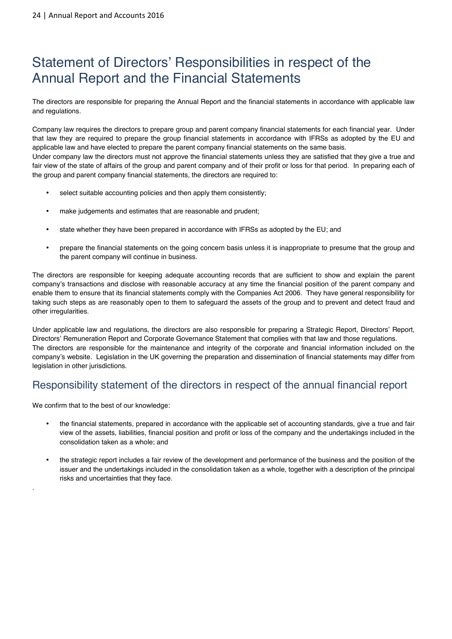## Statement of Directors' Responsibilities in respect of the Annual Report and the Financial Statements

The directors are responsible for preparing the Annual Report and the financial statements in accordance with applicable law and regulations.

Company law requires the directors to prepare group and parent company financial statements for each financial year. Under that law they are required to prepare the group financial statements in accordance with IFRSs as adopted by the EU and applicable law and have elected to prepare the parent company financial statements on the same basis. Under company law the directors must not approve the financial statements unless they are satisfied that they give a true and fair view of the state of affairs of the group and parent company and of their profit or loss for that period. In preparing each of

the group and parent company financial statements, the directors are required to:

- select suitable accounting policies and then apply them consistently;
- make judgements and estimates that are reasonable and prudent;
- state whether they have been prepared in accordance with IFRSs as adopted by the EU; and
- prepare the financial statements on the going concern basis unless it is inappropriate to presume that the group and the parent company will continue in business.

The directors are responsible for keeping adequate accounting records that are sufficient to show and explain the parent company's transactions and disclose with reasonable accuracy at any time the financial position of the parent company and enable them to ensure that its financial statements comply with the Companies Act 2006. They have general responsibility for taking such steps as are reasonably open to them to safeguard the assets of the group and to prevent and detect fraud and other irregularities.

Under applicable law and regulations, the directors are also responsible for preparing a Strategic Report, Directors' Report, Directors' Remuneration Report and Corporate Governance Statement that complies with that law and those regulations. The directors are responsible for the maintenance and integrity of the corporate and financial information included on the company's website. Legislation in the UK governing the preparation and dissemination of financial statements may differ from legislation in other jurisdictions.

### Responsibility statement of the directors in respect of the annual financial report

We confirm that to the best of our knowledge:

.

- the financial statements, prepared in accordance with the applicable set of accounting standards, give a true and fair view of the assets, liabilities, financial position and profit or loss of the company and the undertakings included in the consolidation taken as a whole; and
- the strategic report includes a fair review of the development and performance of the business and the position of the issuer and the undertakings included in the consolidation taken as a whole, together with a description of the principal risks and uncertainties that they face.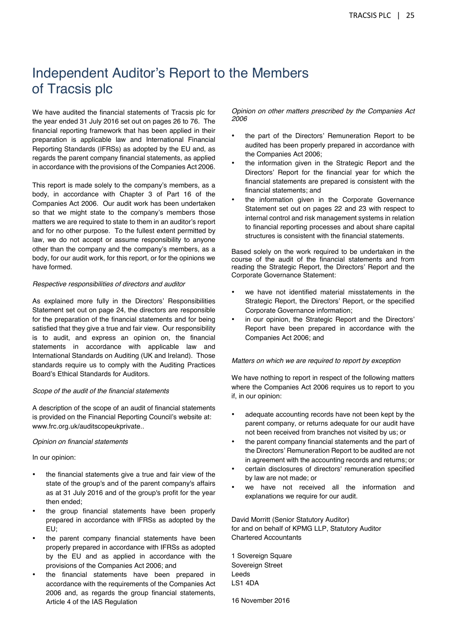### Independent Auditor's Report to the Members of Tracsis plc

We have audited the financial statements of Tracsis plc for the year ended 31 July 2016 set out on pages 26 to 76. The financial reporting framework that has been applied in their preparation is applicable law and International Financial Reporting Standards (IFRSs) as adopted by the EU and, as regards the parent company financial statements, as applied in accordance with the provisions of the Companies Act 2006.

This report is made solely to the company's members, as a body, in accordance with Chapter 3 of Part 16 of the Companies Act 2006. Our audit work has been undertaken so that we might state to the company's members those matters we are required to state to them in an auditor's report and for no other purpose. To the fullest extent permitted by law, we do not accept or assume responsibility to anyone other than the company and the company's members, as a body, for our audit work, for this report, or for the opinions we have formed.

### *Respective responsibilities of directors and auditor*

As explained more fully in the Directors' Responsibilities Statement set out on page 24, the directors are responsible for the preparation of the financial statements and for being satisfied that they give a true and fair view. Our responsibility is to audit, and express an opinion on, the financial statements in accordance with applicable law and International Standards on Auditing (UK and Ireland). Those standards require us to comply with the Auditing Practices Board's Ethical Standards for Auditors.

### *Scope of the audit of the financial statements*

A description of the scope of an audit of financial statements is provided on the Financial Reporting Council's website at: www.frc.org.uk/auditscopeukprivate..

### *Opinion on financial statements*

In our opinion:

- the financial statements give a true and fair view of the state of the group's and of the parent company's affairs as at 31 July 2016 and of the group's profit for the year then ended;
- the group financial statements have been properly prepared in accordance with IFRSs as adopted by the EU;
- the parent company financial statements have been properly prepared in accordance with IFRSs as adopted by the EU and as applied in accordance with the provisions of the Companies Act 2006; and
- the financial statements have been prepared in accordance with the requirements of the Companies Act 2006 and, as regards the group financial statements, Article 4 of the IAS Regulation

*Opinion on other matters prescribed by the Companies Act 2006* 

- the part of the Directors' Remuneration Report to be audited has been properly prepared in accordance with the Companies Act 2006;
- the information given in the Strategic Report and the Directors' Report for the financial year for which the financial statements are prepared is consistent with the financial statements; and
- the information given in the Corporate Governance Statement set out on pages 22 and 23 with respect to internal control and risk management systems in relation to financial reporting processes and about share capital structures is consistent with the financial statements.

Based solely on the work required to be undertaken in the course of the audit of the financial statements and from reading the Strategic Report, the Directors' Report and the Corporate Governance Statement:

- we have not identified material misstatements in the Strategic Report, the Directors' Report, or the specified Corporate Governance information;
- in our opinion, the Strategic Report and the Directors' Report have been prepared in accordance with the Companies Act 2006; and

### *Matters on which we are required to report by exception*

We have nothing to report in respect of the following matters where the Companies Act 2006 requires us to report to you if, in our opinion:

- adequate accounting records have not been kept by the parent company, or returns adequate for our audit have not been received from branches not visited by us; or
- the parent company financial statements and the part of the Directors' Remuneration Report to be audited are not in agreement with the accounting records and returns; or
- certain disclosures of directors' remuneration specified by law are not made; or
- we have not received all the information and explanations we require for our audit.

David Morritt (Senior Statutory Auditor) for and on behalf of KPMG LLP, Statutory Auditor Chartered Accountants

1 Sovereign Square Sovereign Street Leeds LS1 4DA

16 November 2016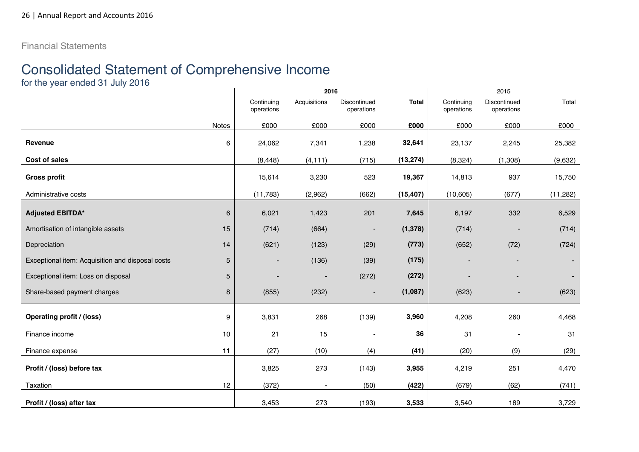### Consolidated Statement of Comprehensive Income

| for the year ended 31 July 2016                  |             | 2016                     |              |                            |              |                          | 2015                       |           |  |
|--------------------------------------------------|-------------|--------------------------|--------------|----------------------------|--------------|--------------------------|----------------------------|-----------|--|
|                                                  |             | Continuing<br>operations | Acquisitions | Discontinued<br>operations | <b>Total</b> | Continuing<br>operations | Discontinued<br>operations | Total     |  |
|                                                  | Notes       | £000                     | £000         | £000                       | £000         | £000                     | £000                       | £000      |  |
| Revenue                                          | 6           | 24,062                   | 7,341        | 1,238                      | 32,641       | 23,137                   | 2,245                      | 25,382    |  |
| Cost of sales                                    |             | (8, 448)                 | (4, 111)     | (715)                      | (13, 274)    | (8, 324)                 | (1,308)                    | (9,632)   |  |
| <b>Gross profit</b>                              |             | 15,614                   | 3,230        | 523                        | 19,367       | 14,813                   | 937                        | 15,750    |  |
| Administrative costs                             |             | (11,783)                 | (2,962)      | (662)                      | (15, 407)    | (10, 605)                | (677)                      | (11, 282) |  |
| <b>Adjusted EBITDA*</b>                          | 6           | 6,021                    | 1,423        | 201                        | 7,645        | 6,197                    | 332                        | 6,529     |  |
| Amortisation of intangible assets                | 15          | (714)                    | (664)        |                            | (1, 378)     | (714)                    |                            | (714)     |  |
| Depreciation                                     | 14          | (621)                    | (123)        | (29)                       | (773)        | (652)                    | (72)                       | (724)     |  |
| Exceptional item: Acquisition and disposal costs | 5           |                          | (136)        | (39)                       | (175)        |                          |                            |           |  |
| Exceptional item: Loss on disposal               | $\mathbf 5$ |                          |              | (272)                      | (272)        |                          |                            |           |  |
| Share-based payment charges                      | 8           | (855)                    | (232)        |                            | (1,087)      | (623)                    |                            | (623)     |  |
| <b>Operating profit / (loss)</b>                 | 9           | 3,831                    | 268          | (139)                      | 3,960        | 4,208                    | 260                        | 4,468     |  |
| Finance income                                   | 10          | 21                       | 15           |                            | 36           | 31                       |                            | 31        |  |
| Finance expense                                  | 11          | (27)                     | (10)         | (4)                        | (41)         | (20)                     | (9)                        | (29)      |  |
| Profit / (loss) before tax                       |             | 3,825                    | 273          | (143)                      | 3,955        | 4,219                    | 251                        | 4,470     |  |
| Taxation                                         | 12          | (372)                    |              | (50)                       | (422)        | (679)                    | (62)                       | (741)     |  |
| Profit / (loss) after tax                        |             | 3,453                    | 273          | (193)                      | 3,533        | 3,540                    | 189                        | 3,729     |  |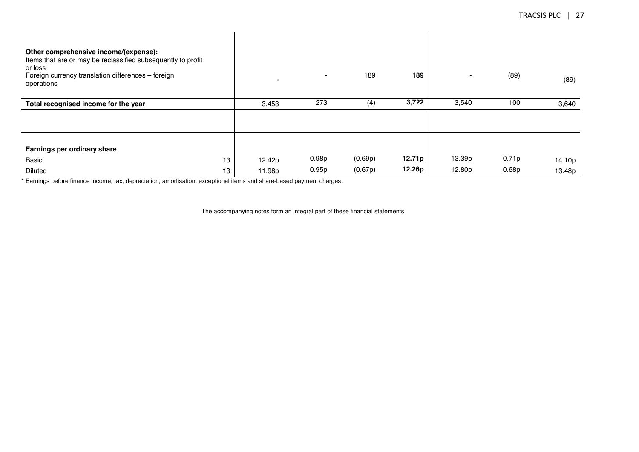| Other comprehensive income/(expense):<br>Items that are or may be reclassified subsequently to profit<br>or loss<br>Foreign currency translation differences - foreign<br>operations |    |        |                   | 189     | 189    |        | (89)  | (89)   |
|--------------------------------------------------------------------------------------------------------------------------------------------------------------------------------------|----|--------|-------------------|---------|--------|--------|-------|--------|
| Total recognised income for the year                                                                                                                                                 |    | 3,453  | 273               | (4)     | 3,722  | 3,540  | 100   | 3,640  |
|                                                                                                                                                                                      |    |        |                   |         |        |        |       |        |
|                                                                                                                                                                                      |    |        |                   |         |        |        |       |        |
| Earnings per ordinary share                                                                                                                                                          |    |        |                   |         |        |        |       |        |
| Basic                                                                                                                                                                                | 13 | 12.42p | 0.98 <sub>p</sub> | (0.69p) | 12.71p | 13.39p | 0.71p | 14.10p |
| <b>Diluted</b>                                                                                                                                                                       | 13 | 11.98p | 0.95p             | (0.67p) | 12.26p | 12.80p | 0.68p | 13.48p |

\* Earnings before finance income, tax, depreciation, amortisation, exceptional items and share-based payment charges.

The accompanying notes form an integral part of these financial statements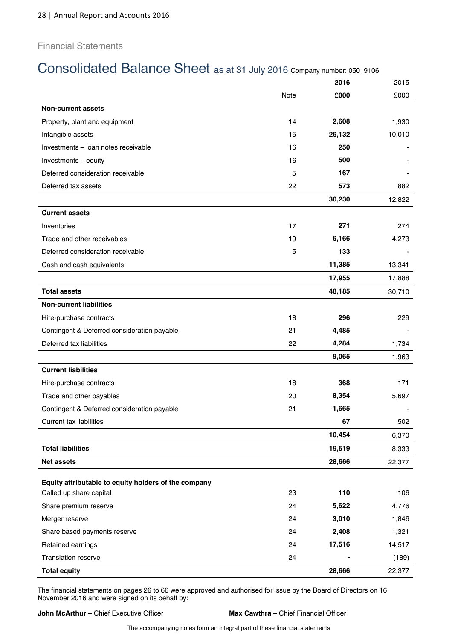### Consolidated Balance Sheet as at 31 July 2016 Company number: 05019106

|                                                                                 |      | 2016   | 2015   |
|---------------------------------------------------------------------------------|------|--------|--------|
|                                                                                 | Note | £000   | £000   |
| <b>Non-current assets</b>                                                       |      |        |        |
| Property, plant and equipment                                                   | 14   | 2,608  | 1,930  |
| Intangible assets                                                               | 15   | 26,132 | 10,010 |
| Investments - loan notes receivable                                             | 16   | 250    |        |
| Investments - equity                                                            | 16   | 500    |        |
| Deferred consideration receivable                                               | 5    | 167    |        |
| Deferred tax assets                                                             | 22   | 573    | 882    |
|                                                                                 |      | 30,230 | 12,822 |
| <b>Current assets</b>                                                           |      |        |        |
| Inventories                                                                     | 17   | 271    | 274    |
| Trade and other receivables                                                     | 19   | 6,166  | 4,273  |
| Deferred consideration receivable                                               | 5    | 133    |        |
| Cash and cash equivalents                                                       |      | 11,385 | 13,341 |
|                                                                                 |      | 17,955 | 17,888 |
| <b>Total assets</b>                                                             |      | 48,185 | 30,710 |
| <b>Non-current liabilities</b>                                                  |      |        |        |
| Hire-purchase contracts                                                         | 18   | 296    | 229    |
| Contingent & Deferred consideration payable                                     | 21   | 4,485  |        |
| Deferred tax liabilities                                                        | 22   | 4,284  | 1,734  |
|                                                                                 |      | 9,065  | 1,963  |
| <b>Current liabilities</b>                                                      |      |        |        |
| Hire-purchase contracts                                                         | 18   | 368    | 171    |
| Trade and other payables                                                        | 20   | 8,354  | 5,697  |
| Contingent & Deferred consideration payable                                     | 21   | 1,665  |        |
| <b>Current tax liabilities</b>                                                  |      | 67     | 502    |
|                                                                                 |      | 10,454 | 6,370  |
| <b>Total liabilities</b>                                                        |      | 19,519 | 8,333  |
| <b>Net assets</b>                                                               |      | 28,666 | 22,377 |
|                                                                                 |      |        |        |
| Equity attributable to equity holders of the company<br>Called up share capital | 23   | 110    | 106    |
| Share premium reserve                                                           | 24   | 5,622  | 4,776  |
| Merger reserve                                                                  | 24   | 3,010  | 1,846  |
| Share based payments reserve                                                    | 24   | 2,408  | 1,321  |
| Retained earnings                                                               | 24   | 17,516 | 14,517 |
| Translation reserve                                                             | 24   |        | (189)  |
| <b>Total equity</b>                                                             |      | 28,666 | 22,377 |

The financial statements on pages 26 to 66 were approved and authorised for issue by the Board of Directors on 16 November 2016 and were signed on its behalf by: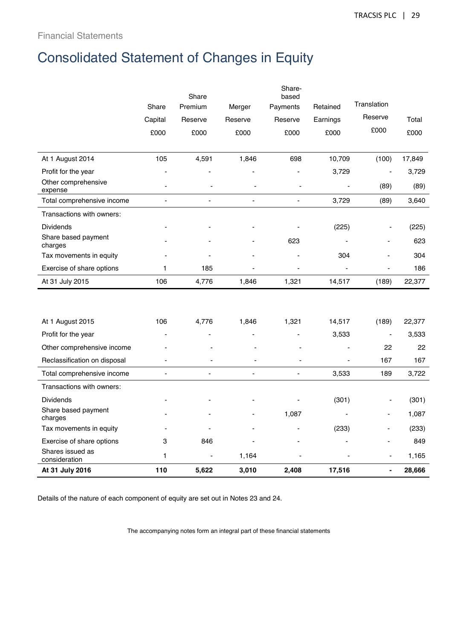# Consolidated Statement of Changes in Equity

|                                   |                          | Share          |         | Share-<br>based |          |                              |        |
|-----------------------------------|--------------------------|----------------|---------|-----------------|----------|------------------------------|--------|
|                                   | Share                    | Premium        | Merger  | Payments        | Retained | Translation                  |        |
|                                   | Capital                  | Reserve        | Reserve | Reserve         | Earnings | Reserve                      | Total  |
|                                   | £000                     | £000           | £000    | £000            | £000     | £000                         | £000   |
|                                   |                          |                |         |                 |          |                              |        |
| At 1 August 2014                  | 105                      | 4,591          | 1,846   | 698             | 10,709   | (100)                        | 17,849 |
| Profit for the year               |                          |                |         |                 | 3,729    |                              | 3,729  |
| Other comprehensive<br>expense    |                          |                |         |                 |          | (89)                         | (89)   |
| Total comprehensive income        | ÷,                       |                |         |                 | 3,729    | (89)                         | 3,640  |
| Transactions with owners:         |                          |                |         |                 |          |                              |        |
| <b>Dividends</b>                  |                          |                |         |                 | (225)    | $\blacksquare$               | (225)  |
| Share based payment<br>charges    |                          |                |         | 623             |          |                              | 623    |
| Tax movements in equity           |                          |                |         |                 | 304      | $\blacksquare$               | 304    |
| Exercise of share options         | 1                        | 185            |         |                 |          | $\qquad \qquad \blacksquare$ | 186    |
| At 31 July 2015                   | 106                      | 4,776          | 1,846   | 1,321           | 14,517   | (189)                        | 22,377 |
|                                   |                          |                |         |                 |          |                              |        |
| At 1 August 2015                  | 106                      | 4,776          | 1,846   | 1,321           | 14,517   | (189)                        | 22,377 |
| Profit for the year               |                          |                |         |                 | 3,533    | $\overline{\phantom{a}}$     | 3,533  |
| Other comprehensive income        |                          |                |         |                 |          | 22                           | 22     |
| Reclassification on disposal      | $\overline{\phantom{a}}$ |                |         |                 | ÷        | 167                          | 167    |
| Total comprehensive income        |                          |                |         |                 | 3,533    | 189                          | 3,722  |
| Transactions with owners:         |                          |                |         |                 |          |                              |        |
| <b>Dividends</b>                  |                          |                |         |                 | (301)    |                              | (301)  |
| Share based payment<br>charges    |                          |                |         | 1,087           |          |                              | 1,087  |
| Tax movements in equity           |                          |                |         |                 | (233)    |                              | (233)  |
| Exercise of share options         | 3                        | 846            |         |                 |          |                              | 849    |
| Shares issued as<br>consideration | 1                        | $\blacksquare$ | 1,164   |                 |          | $\overline{\phantom{a}}$     | 1,165  |
| At 31 July 2016                   | 110                      | 5,622          | 3,010   | 2,408           | 17,516   | $\blacksquare$               | 28,666 |

Details of the nature of each component of equity are set out in Notes 23 and 24.

The accompanying notes form an integral part of these financial statements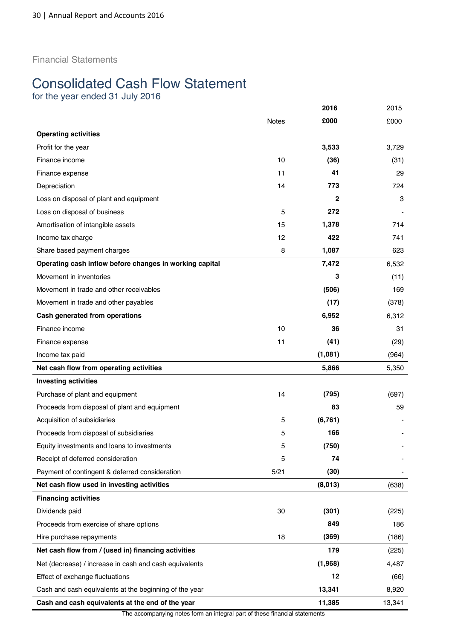# Consolidated Cash Flow Statement

for the year ended 31 July 2016

|                                                         |              | 2016         | 2015   |
|---------------------------------------------------------|--------------|--------------|--------|
|                                                         | <b>Notes</b> | £000         | £000   |
| <b>Operating activities</b>                             |              |              |        |
| Profit for the year                                     |              | 3,533        | 3,729  |
| Finance income                                          | 10           | (36)         | (31)   |
| Finance expense                                         | 11           | 41           | 29     |
| Depreciation                                            | 14           | 773          | 724    |
| Loss on disposal of plant and equipment                 |              | $\mathbf{2}$ | 3      |
| Loss on disposal of business                            | 5            | 272          |        |
| Amortisation of intangible assets                       | 15           | 1,378        | 714    |
| Income tax charge                                       | 12           | 422          | 741    |
| Share based payment charges                             | 8            | 1,087        | 623    |
| Operating cash inflow before changes in working capital |              | 7,472        | 6,532  |
| Movement in inventories                                 |              | 3            | (11)   |
| Movement in trade and other receivables                 |              | (506)        | 169    |
| Movement in trade and other payables                    |              | (17)         | (378)  |
| Cash generated from operations                          |              | 6,952        | 6,312  |
| Finance income                                          | 10           | 36           | 31     |
| Finance expense                                         | 11           | (41)         | (29)   |
| Income tax paid                                         |              | (1,081)      | (964)  |
| Net cash flow from operating activities                 |              | 5,866        | 5,350  |
| <b>Investing activities</b>                             |              |              |        |
| Purchase of plant and equipment                         | 14           | (795)        | (697)  |
| Proceeds from disposal of plant and equipment           |              | 83           | 59     |
| Acquisition of subsidiaries                             | 5            | (6, 761)     |        |
| Proceeds from disposal of subsidiaries                  | 5            | 166          |        |
| Equity investments and loans to investments             | 5            | (750)        |        |
| Receipt of deferred consideration                       | 5            | 74           |        |
| Payment of contingent & deferred consideration          | 5/21         | (30)         |        |
| Net cash flow used in investing activities              |              | (8,013)      | (638)  |
| <b>Financing activities</b>                             |              |              |        |
| Dividends paid                                          | 30           | (301)        | (225)  |
| Proceeds from exercise of share options                 |              | 849          | 186    |
| Hire purchase repayments                                | 18           | (369)        | (186)  |
| Net cash flow from / (used in) financing activities     |              | 179          | (225)  |
| Net (decrease) / increase in cash and cash equivalents  |              | (1,968)      | 4,487  |
| Effect of exchange fluctuations                         |              | 12           | (66)   |
| Cash and cash equivalents at the beginning of the year  |              | 13,341       | 8,920  |
| Cash and cash equivalents at the end of the year        |              | 11,385       | 13,341 |

The accompanying notes form an integral part of these financial statements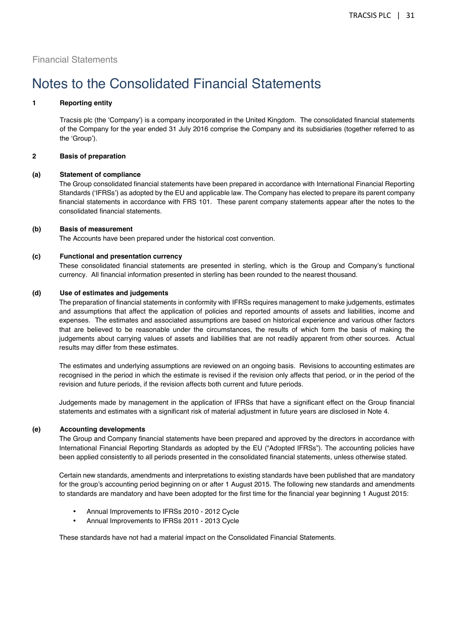### Notes to the Consolidated Financial Statements

### **1 Reporting entity**

Tracsis plc (the 'Company') is a company incorporated in the United Kingdom. The consolidated financial statements of the Company for the year ended 31 July 2016 comprise the Company and its subsidiaries (together referred to as the 'Group').

### **2 Basis of preparation**

### **(a) Statement of compliance**

The Group consolidated financial statements have been prepared in accordance with International Financial Reporting Standards ('IFRSs') as adopted by the EU and applicable law. The Company has elected to prepare its parent company financial statements in accordance with FRS 101. These parent company statements appear after the notes to the consolidated financial statements.

### **(b) Basis of measurement**

The Accounts have been prepared under the historical cost convention.

### **(c) Functional and presentation currency**

These consolidated financial statements are presented in sterling, which is the Group and Company's functional currency. All financial information presented in sterling has been rounded to the nearest thousand.

### **(d) Use of estimates and judgements**

The preparation of financial statements in conformity with IFRSs requires management to make judgements, estimates and assumptions that affect the application of policies and reported amounts of assets and liabilities, income and expenses. The estimates and associated assumptions are based on historical experience and various other factors that are believed to be reasonable under the circumstances, the results of which form the basis of making the judgements about carrying values of assets and liabilities that are not readily apparent from other sources. Actual results may differ from these estimates.

The estimates and underlying assumptions are reviewed on an ongoing basis. Revisions to accounting estimates are recognised in the period in which the estimate is revised if the revision only affects that period, or in the period of the revision and future periods, if the revision affects both current and future periods.

Judgements made by management in the application of IFRSs that have a significant effect on the Group financial statements and estimates with a significant risk of material adjustment in future years are disclosed in Note 4.

### **(e) Accounting developments**

The Group and Company financial statements have been prepared and approved by the directors in accordance with International Financial Reporting Standards as adopted by the EU ("Adopted IFRSs"). The accounting policies have been applied consistently to all periods presented in the consolidated financial statements, unless otherwise stated.

Certain new standards, amendments and interpretations to existing standards have been published that are mandatory for the group's accounting period beginning on or after 1 August 2015. The following new standards and amendments to standards are mandatory and have been adopted for the first time for the financial year beginning 1 August 2015:

- Annual Improvements to IFRSs 2010 2012 Cycle
- Annual Improvements to IFRSs 2011 2013 Cycle

These standards have not had a material impact on the Consolidated Financial Statements.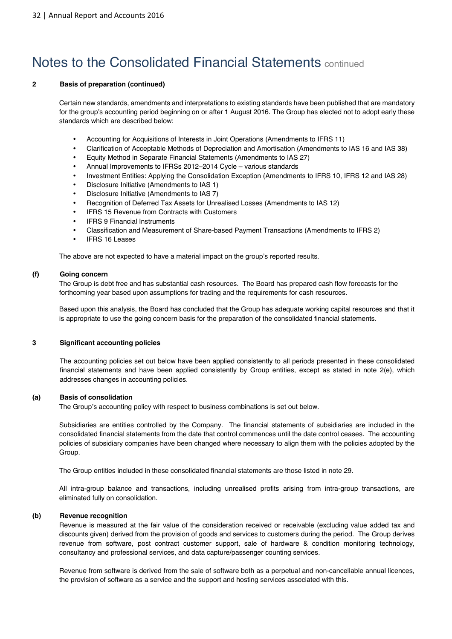### **2 Basis of preparation (continued)**

Certain new standards, amendments and interpretations to existing standards have been published that are mandatory for the group's accounting period beginning on or after 1 August 2016. The Group has elected not to adopt early these standards which are described below:

- Accounting for Acquisitions of Interests in Joint Operations (Amendments to IFRS 11)
- Clarification of Acceptable Methods of Depreciation and Amortisation (Amendments to IAS 16 and IAS 38)
- Equity Method in Separate Financial Statements (Amendments to IAS 27)
- Annual Improvements to IFRSs 2012–2014 Cycle various standards
- Investment Entities: Applying the Consolidation Exception (Amendments to IFRS 10, IFRS 12 and IAS 28)
- Disclosure Initiative (Amendments to IAS 1)
- Disclosure Initiative (Amendments to IAS 7)
- Recognition of Deferred Tax Assets for Unrealised Losses (Amendments to IAS 12)
- IFRS 15 Revenue from Contracts with Customers
- **IFRS 9 Financial Instruments**
- Classification and Measurement of Share-based Payment Transactions (Amendments to IFRS 2)
- IFRS 16 Leases

The above are not expected to have a material impact on the group's reported results.

### **(f) Going concern**

The Group is debt free and has substantial cash resources. The Board has prepared cash flow forecasts for the forthcoming year based upon assumptions for trading and the requirements for cash resources.

Based upon this analysis, the Board has concluded that the Group has adequate working capital resources and that it is appropriate to use the going concern basis for the preparation of the consolidated financial statements.

### **3 Significant accounting policies**

The accounting policies set out below have been applied consistently to all periods presented in these consolidated financial statements and have been applied consistently by Group entities, except as stated in note 2(e), which addresses changes in accounting policies.

### **(a) Basis of consolidation**

The Group's accounting policy with respect to business combinations is set out below.

Subsidiaries are entities controlled by the Company. The financial statements of subsidiaries are included in the consolidated financial statements from the date that control commences until the date control ceases. The accounting policies of subsidiary companies have been changed where necessary to align them with the policies adopted by the Group.

The Group entities included in these consolidated financial statements are those listed in note 29.

All intra-group balance and transactions, including unrealised profits arising from intra-group transactions, are eliminated fully on consolidation.

### **(b) Revenue recognition**

Revenue is measured at the fair value of the consideration received or receivable (excluding value added tax and discounts given) derived from the provision of goods and services to customers during the period. The Group derives revenue from software, post contract customer support, sale of hardware & condition monitoring technology, consultancy and professional services, and data capture/passenger counting services.

Revenue from software is derived from the sale of software both as a perpetual and non-cancellable annual licences, the provision of software as a service and the support and hosting services associated with this.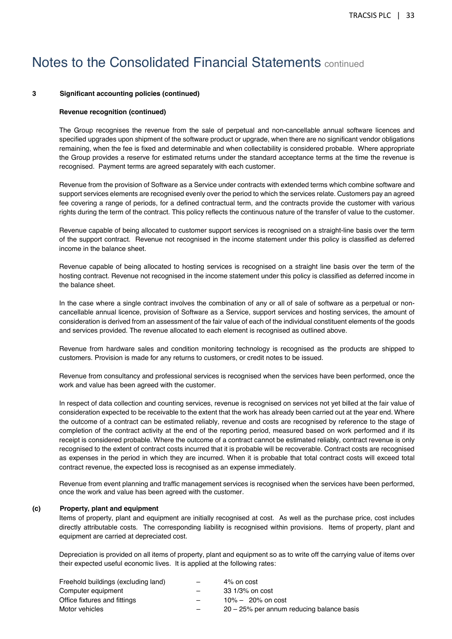### **3 Significant accounting policies (continued)**

#### **Revenue recognition (continued)**

The Group recognises the revenue from the sale of perpetual and non-cancellable annual software licences and specified upgrades upon shipment of the software product or upgrade, when there are no significant vendor obligations remaining, when the fee is fixed and determinable and when collectability is considered probable. Where appropriate the Group provides a reserve for estimated returns under the standard acceptance terms at the time the revenue is recognised. Payment terms are agreed separately with each customer.

Revenue from the provision of Software as a Service under contracts with extended terms which combine software and support services elements are recognised evenly over the period to which the services relate. Customers pay an agreed fee covering a range of periods, for a defined contractual term, and the contracts provide the customer with various rights during the term of the contract. This policy reflects the continuous nature of the transfer of value to the customer.

Revenue capable of being allocated to customer support services is recognised on a straight-line basis over the term of the support contract. Revenue not recognised in the income statement under this policy is classified as deferred income in the balance sheet.

Revenue capable of being allocated to hosting services is recognised on a straight line basis over the term of the hosting contract. Revenue not recognised in the income statement under this policy is classified as deferred income in the balance sheet.

In the case where a single contract involves the combination of any or all of sale of software as a perpetual or noncancellable annual licence, provision of Software as a Service, support services and hosting services, the amount of consideration is derived from an assessment of the fair value of each of the individual constituent elements of the goods and services provided. The revenue allocated to each element is recognised as outlined above.

Revenue from hardware sales and condition monitoring technology is recognised as the products are shipped to customers. Provision is made for any returns to customers, or credit notes to be issued.

Revenue from consultancy and professional services is recognised when the services have been performed, once the work and value has been agreed with the customer.

In respect of data collection and counting services, revenue is recognised on services not yet billed at the fair value of consideration expected to be receivable to the extent that the work has already been carried out at the year end. Where the outcome of a contract can be estimated reliably, revenue and costs are recognised by reference to the stage of completion of the contract activity at the end of the reporting period, measured based on work performed and if its receipt is considered probable. Where the outcome of a contract cannot be estimated reliably, contract revenue is only recognised to the extent of contract costs incurred that it is probable will be recoverable. Contract costs are recognised as expenses in the period in which they are incurred. When it is probable that total contract costs will exceed total contract revenue, the expected loss is recognised as an expense immediately.

Revenue from event planning and traffic management services is recognised when the services have been performed, once the work and value has been agreed with the customer.

#### **(c) Property, plant and equipment**

Items of property, plant and equipment are initially recognised at cost. As well as the purchase price, cost includes directly attributable costs. The corresponding liability is recognised within provisions. Items of property, plant and equipment are carried at depreciated cost.

Depreciation is provided on all items of property, plant and equipment so as to write off the carrying value of items over their expected useful economic lives. It is applied at the following rates:

| Freehold buildings (excluding land) | $\qquad \qquad$          | 4% on cost                                   |
|-------------------------------------|--------------------------|----------------------------------------------|
| Computer equipment                  | $\overline{\phantom{0}}$ | 33 1/3% on cost                              |
| Office fixtures and fittings        | $\qquad \qquad -$        | $10\% - 20\%$ on cost                        |
| Motor vehicles                      | $\qquad \qquad$          | $20 - 25\%$ per annum reducing balance basis |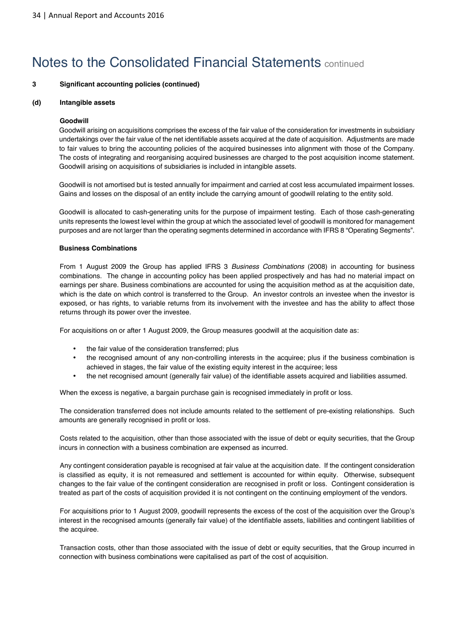### **3 Significant accounting policies (continued)**

### **(d) Intangible assets**

### **Goodwill**

Goodwill arising on acquisitions comprises the excess of the fair value of the consideration for investments in subsidiary undertakings over the fair value of the net identifiable assets acquired at the date of acquisition. Adjustments are made to fair values to bring the accounting policies of the acquired businesses into alignment with those of the Company. The costs of integrating and reorganising acquired businesses are charged to the post acquisition income statement. Goodwill arising on acquisitions of subsidiaries is included in intangible assets.

Goodwill is not amortised but is tested annually for impairment and carried at cost less accumulated impairment losses. Gains and losses on the disposal of an entity include the carrying amount of goodwill relating to the entity sold.

Goodwill is allocated to cash-generating units for the purpose of impairment testing. Each of those cash-generating units represents the lowest level within the group at which the associated level of goodwill is monitored for management purposes and are not larger than the operating segments determined in accordance with IFRS 8 "Operating Segments".

### **Business Combinations**

From 1 August 2009 the Group has applied IFRS 3 *Business Combinations* (2008) in accounting for business combinations. The change in accounting policy has been applied prospectively and has had no material impact on earnings per share. Business combinations are accounted for using the acquisition method as at the acquisition date, which is the date on which control is transferred to the Group. An investor controls an investee when the investor is exposed, or has rights, to variable returns from its involvement with the investee and has the ability to affect those returns through its power over the investee.

For acquisitions on or after 1 August 2009, the Group measures goodwill at the acquisition date as:

- the fair value of the consideration transferred; plus
- the recognised amount of any non-controlling interests in the acquiree; plus if the business combination is achieved in stages, the fair value of the existing equity interest in the acquiree; less
- the net recognised amount (generally fair value) of the identifiable assets acquired and liabilities assumed.

When the excess is negative, a bargain purchase gain is recognised immediately in profit or loss.

The consideration transferred does not include amounts related to the settlement of pre-existing relationships. Such amounts are generally recognised in profit or loss.

Costs related to the acquisition, other than those associated with the issue of debt or equity securities, that the Group incurs in connection with a business combination are expensed as incurred.

Any contingent consideration payable is recognised at fair value at the acquisition date. If the contingent consideration is classified as equity, it is not remeasured and settlement is accounted for within equity. Otherwise, subsequent changes to the fair value of the contingent consideration are recognised in profit or loss. Contingent consideration is treated as part of the costs of acquisition provided it is not contingent on the continuing employment of the vendors.

For acquisitions prior to 1 August 2009, goodwill represents the excess of the cost of the acquisition over the Group's interest in the recognised amounts (generally fair value) of the identifiable assets, liabilities and contingent liabilities of the acquiree.

Transaction costs, other than those associated with the issue of debt or equity securities, that the Group incurred in connection with business combinations were capitalised as part of the cost of acquisition.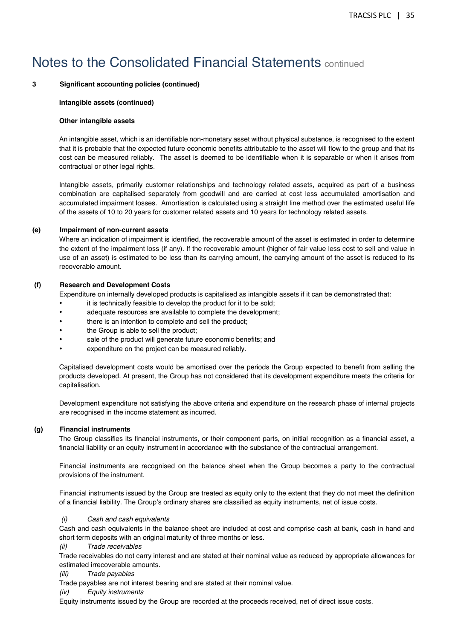### **3 Significant accounting policies (continued)**

### **Intangible assets (continued)**

### **Other intangible assets**

An intangible asset, which is an identifiable non-monetary asset without physical substance, is recognised to the extent that it is probable that the expected future economic benefits attributable to the asset will flow to the group and that its cost can be measured reliably. The asset is deemed to be identifiable when it is separable or when it arises from contractual or other legal rights.

Intangible assets, primarily customer relationships and technology related assets, acquired as part of a business combination are capitalised separately from goodwill and are carried at cost less accumulated amortisation and accumulated impairment losses. Amortisation is calculated using a straight line method over the estimated useful life of the assets of 10 to 20 years for customer related assets and 10 years for technology related assets.

### **(e) Impairment of non-current assets**

Where an indication of impairment is identified, the recoverable amount of the asset is estimated in order to determine the extent of the impairment loss (if any). If the recoverable amount (higher of fair value less cost to sell and value in use of an asset) is estimated to be less than its carrying amount, the carrying amount of the asset is reduced to its recoverable amount.

### **(f) Research and Development Costs**

Expenditure on internally developed products is capitalised as intangible assets if it can be demonstrated that:

- it is technically feasible to develop the product for it to be sold;
- adequate resources are available to complete the development;
- there is an intention to complete and sell the product;
- the Group is able to sell the product;
- sale of the product will generate future economic benefits; and
- expenditure on the project can be measured reliably.

Capitalised development costs would be amortised over the periods the Group expected to benefit from selling the products developed. At present, the Group has not considered that its development expenditure meets the criteria for capitalisation.

Development expenditure not satisfying the above criteria and expenditure on the research phase of internal projects are recognised in the income statement as incurred.

### **(g) Financial instruments**

The Group classifies its financial instruments, or their component parts, on initial recognition as a financial asset, a financial liability or an equity instrument in accordance with the substance of the contractual arrangement.

Financial instruments are recognised on the balance sheet when the Group becomes a party to the contractual provisions of the instrument.

Financial instruments issued by the Group are treated as equity only to the extent that they do not meet the definition of a financial liability. The Group's ordinary shares are classified as equity instruments, net of issue costs.

### *(i) Cash and cash equivalents*

Cash and cash equivalents in the balance sheet are included at cost and comprise cash at bank, cash in hand and short term deposits with an original maturity of three months or less.

*(ii) Trade receivables* 

Trade receivables do not carry interest and are stated at their nominal value as reduced by appropriate allowances for estimated irrecoverable amounts.

*(iii) Trade payables* 

Trade payables are not interest bearing and are stated at their nominal value.

*(iv) Equity instruments* 

Equity instruments issued by the Group are recorded at the proceeds received, net of direct issue costs.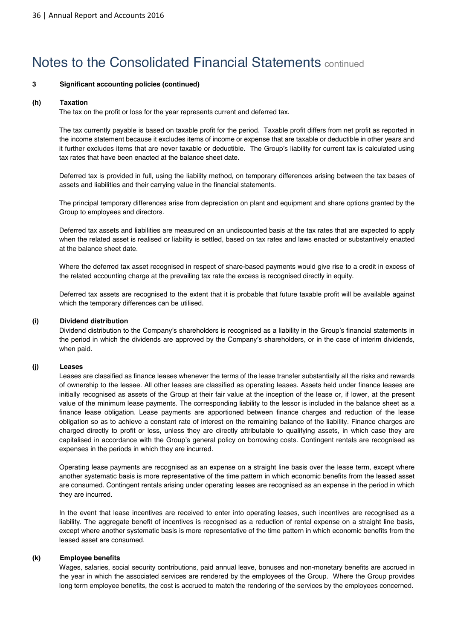## **3 Significant accounting policies (continued)**

### **(h) Taxation**

The tax on the profit or loss for the year represents current and deferred tax.

The tax currently payable is based on taxable profit for the period. Taxable profit differs from net profit as reported in the income statement because it excludes items of income or expense that are taxable or deductible in other years and it further excludes items that are never taxable or deductible. The Group's liability for current tax is calculated using tax rates that have been enacted at the balance sheet date.

Deferred tax is provided in full, using the liability method, on temporary differences arising between the tax bases of assets and liabilities and their carrying value in the financial statements.

The principal temporary differences arise from depreciation on plant and equipment and share options granted by the Group to employees and directors.

Deferred tax assets and liabilities are measured on an undiscounted basis at the tax rates that are expected to apply when the related asset is realised or liability is settled, based on tax rates and laws enacted or substantively enacted at the balance sheet date.

Where the deferred tax asset recognised in respect of share-based payments would give rise to a credit in excess of the related accounting charge at the prevailing tax rate the excess is recognised directly in equity.

Deferred tax assets are recognised to the extent that it is probable that future taxable profit will be available against which the temporary differences can be utilised.

### **(i) Dividend distribution**

Dividend distribution to the Company's shareholders is recognised as a liability in the Group's financial statements in the period in which the dividends are approved by the Company's shareholders, or in the case of interim dividends, when paid.

### **(j) Leases**

Leases are classified as finance leases whenever the terms of the lease transfer substantially all the risks and rewards of ownership to the lessee. All other leases are classified as operating leases. Assets held under finance leases are initially recognised as assets of the Group at their fair value at the inception of the lease or, if lower, at the present value of the minimum lease payments. The corresponding liability to the lessor is included in the balance sheet as a finance lease obligation. Lease payments are apportioned between finance charges and reduction of the lease obligation so as to achieve a constant rate of interest on the remaining balance of the liability. Finance charges are charged directly to profit or loss, unless they are directly attributable to qualifying assets, in which case they are capitalised in accordance with the Group's general policy on borrowing costs. Contingent rentals are recognised as expenses in the periods in which they are incurred.

Operating lease payments are recognised as an expense on a straight line basis over the lease term, except where another systematic basis is more representative of the time pattern in which economic benefits from the leased asset are consumed. Contingent rentals arising under operating leases are recognised as an expense in the period in which they are incurred.

In the event that lease incentives are received to enter into operating leases, such incentives are recognised as a liability. The aggregate benefit of incentives is recognised as a reduction of rental expense on a straight line basis, except where another systematic basis is more representative of the time pattern in which economic benefits from the leased asset are consumed.

### **(k) Employee benefits**

Wages, salaries, social security contributions, paid annual leave, bonuses and non-monetary benefits are accrued in the year in which the associated services are rendered by the employees of the Group. Where the Group provides long term employee benefits, the cost is accrued to match the rendering of the services by the employees concerned.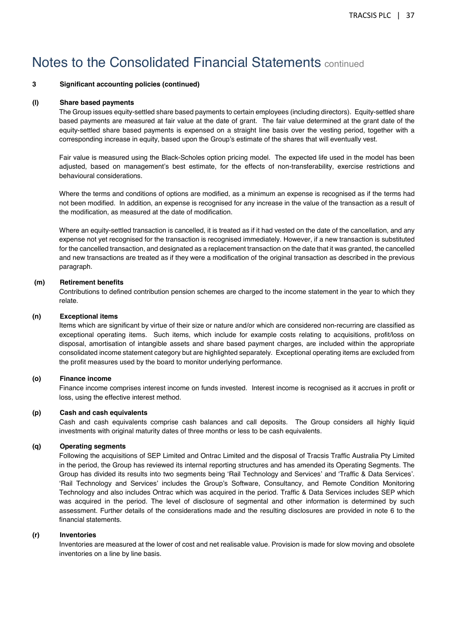## **3 Significant accounting policies (continued)**

### **(l) Share based payments**

The Group issues equity-settled share based payments to certain employees (including directors). Equity-settled share based payments are measured at fair value at the date of grant. The fair value determined at the grant date of the equity-settled share based payments is expensed on a straight line basis over the vesting period, together with a corresponding increase in equity, based upon the Group's estimate of the shares that will eventually vest.

Fair value is measured using the Black-Scholes option pricing model. The expected life used in the model has been adjusted, based on management's best estimate, for the effects of non-transferability, exercise restrictions and behavioural considerations.

Where the terms and conditions of options are modified, as a minimum an expense is recognised as if the terms had not been modified. In addition, an expense is recognised for any increase in the value of the transaction as a result of the modification, as measured at the date of modification.

Where an equity-settled transaction is cancelled, it is treated as if it had vested on the date of the cancellation, and any expense not yet recognised for the transaction is recognised immediately. However, if a new transaction is substituted for the cancelled transaction, and designated as a replacement transaction on the date that it was granted, the cancelled and new transactions are treated as if they were a modification of the original transaction as described in the previous paragraph.

### **(m) Retirement benefits**

Contributions to defined contribution pension schemes are charged to the income statement in the year to which they relate.

### **(n) Exceptional items**

Items which are significant by virtue of their size or nature and/or which are considered non-recurring are classified as exceptional operating items. Such items, which include for example costs relating to acquisitions, profit/loss on disposal, amortisation of intangible assets and share based payment charges, are included within the appropriate consolidated income statement category but are highlighted separately. Exceptional operating items are excluded from the profit measures used by the board to monitor underlying performance.

### **(o) Finance income**

Finance income comprises interest income on funds invested. Interest income is recognised as it accrues in profit or loss, using the effective interest method.

### **(p) Cash and cash equivalents**

Cash and cash equivalents comprise cash balances and call deposits. The Group considers all highly liquid investments with original maturity dates of three months or less to be cash equivalents.

### **(q) Operating segments**

Following the acquisitions of SEP Limited and Ontrac Limited and the disposal of Tracsis Traffic Australia Pty Limited in the period, the Group has reviewed its internal reporting structures and has amended its Operating Segments. The Group has divided its results into two segments being 'Rail Technology and Services' and 'Traffic & Data Services'. 'Rail Technology and Services' includes the Group's Software, Consultancy, and Remote Condition Monitoring Technology and also includes Ontrac which was acquired in the period. Traffic & Data Services includes SEP which was acquired in the period. The level of disclosure of segmental and other information is determined by such assessment. Further details of the considerations made and the resulting disclosures are provided in note 6 to the financial statements.

## **(r) Inventories**

Inventories are measured at the lower of cost and net realisable value. Provision is made for slow moving and obsolete inventories on a line by line basis.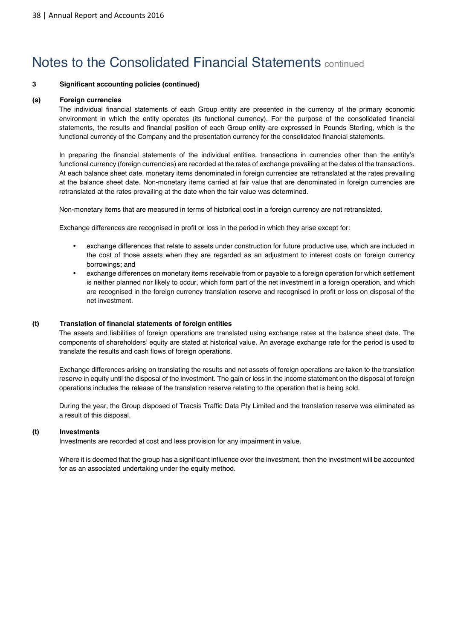## **3 Significant accounting policies (continued)**

## **(s) Foreign currencies**

The individual financial statements of each Group entity are presented in the currency of the primary economic environment in which the entity operates (its functional currency). For the purpose of the consolidated financial statements, the results and financial position of each Group entity are expressed in Pounds Sterling, which is the functional currency of the Company and the presentation currency for the consolidated financial statements.

In preparing the financial statements of the individual entities, transactions in currencies other than the entity's functional currency (foreign currencies) are recorded at the rates of exchange prevailing at the dates of the transactions. At each balance sheet date, monetary items denominated in foreign currencies are retranslated at the rates prevailing at the balance sheet date. Non-monetary items carried at fair value that are denominated in foreign currencies are retranslated at the rates prevailing at the date when the fair value was determined.

Non-monetary items that are measured in terms of historical cost in a foreign currency are not retranslated.

Exchange differences are recognised in profit or loss in the period in which they arise except for:

- exchange differences that relate to assets under construction for future productive use, which are included in the cost of those assets when they are regarded as an adjustment to interest costs on foreign currency borrowings; and
- exchange differences on monetary items receivable from or payable to a foreign operation for which settlement is neither planned nor likely to occur, which form part of the net investment in a foreign operation, and which are recognised in the foreign currency translation reserve and recognised in profit or loss on disposal of the net investment.

### **(t) Translation of financial statements of foreign entities**

The assets and liabilities of foreign operations are translated using exchange rates at the balance sheet date. The components of shareholders' equity are stated at historical value. An average exchange rate for the period is used to translate the results and cash flows of foreign operations.

Exchange differences arising on translating the results and net assets of foreign operations are taken to the translation reserve in equity until the disposal of the investment. The gain or loss in the income statement on the disposal of foreign operations includes the release of the translation reserve relating to the operation that is being sold.

During the year, the Group disposed of Tracsis Traffic Data Pty Limited and the translation reserve was eliminated as a result of this disposal.

### **(t) Investments**

Investments are recorded at cost and less provision for any impairment in value.

Where it is deemed that the group has a significant influence over the investment, then the investment will be accounted for as an associated undertaking under the equity method.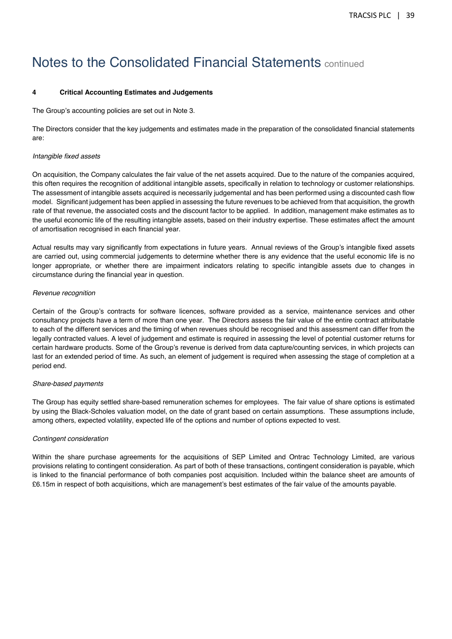## **4 Critical Accounting Estimates and Judgements**

The Group's accounting policies are set out in Note 3.

The Directors consider that the key judgements and estimates made in the preparation of the consolidated financial statements are:

#### *Intangible fixed assets*

On acquisition, the Company calculates the fair value of the net assets acquired. Due to the nature of the companies acquired, this often requires the recognition of additional intangible assets, specifically in relation to technology or customer relationships. The assessment of intangible assets acquired is necessarily judgemental and has been performed using a discounted cash flow model. Significant judgement has been applied in assessing the future revenues to be achieved from that acquisition, the growth rate of that revenue, the associated costs and the discount factor to be applied. In addition, management make estimates as to the useful economic life of the resulting intangible assets, based on their industry expertise. These estimates affect the amount of amortisation recognised in each financial year.

Actual results may vary significantly from expectations in future years. Annual reviews of the Group's intangible fixed assets are carried out, using commercial judgements to determine whether there is any evidence that the useful economic life is no longer appropriate, or whether there are impairment indicators relating to specific intangible assets due to changes in circumstance during the financial year in question.

### *Revenue recognition*

Certain of the Group's contracts for software licences, software provided as a service, maintenance services and other consultancy projects have a term of more than one year. The Directors assess the fair value of the entire contract attributable to each of the different services and the timing of when revenues should be recognised and this assessment can differ from the legally contracted values. A level of judgement and estimate is required in assessing the level of potential customer returns for certain hardware products. Some of the Group's revenue is derived from data capture/counting services, in which projects can last for an extended period of time. As such, an element of judgement is required when assessing the stage of completion at a period end.

### *Share-based payments*

The Group has equity settled share-based remuneration schemes for employees. The fair value of share options is estimated by using the Black-Scholes valuation model, on the date of grant based on certain assumptions. These assumptions include, among others, expected volatility, expected life of the options and number of options expected to vest.

### *Contingent consideration*

Within the share purchase agreements for the acquisitions of SEP Limited and Ontrac Technology Limited, are various provisions relating to contingent consideration. As part of both of these transactions, contingent consideration is payable, which is linked to the financial performance of both companies post acquisition. Included within the balance sheet are amounts of £6.15m in respect of both acquisitions, which are management's best estimates of the fair value of the amounts payable.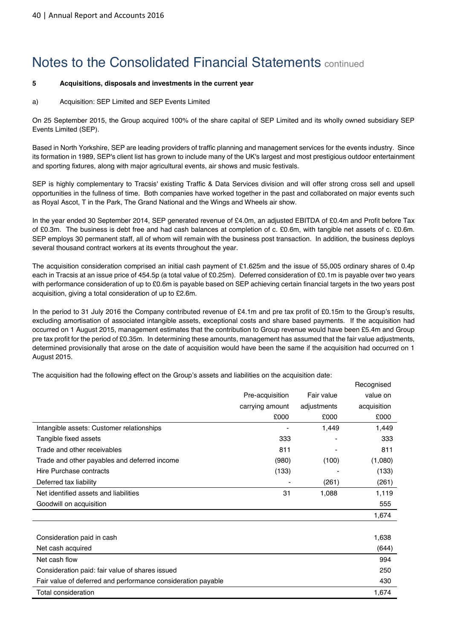## **5 Acquisitions, disposals and investments in the current year**

## a) Acquisition: SEP Limited and SEP Events Limited

On 25 September 2015, the Group acquired 100% of the share capital of SEP Limited and its wholly owned subsidiary SEP Events Limited (SEP).

Based in North Yorkshire, SEP are leading providers of traffic planning and management services for the events industry. Since its formation in 1989, SEP's client list has grown to include many of the UK's largest and most prestigious outdoor entertainment and sporting fixtures, along with major agricultural events, air shows and music festivals.

SEP is highly complementary to Tracsis' existing Traffic & Data Services division and will offer strong cross sell and upsell opportunities in the fullness of time. Both companies have worked together in the past and collaborated on major events such as Royal Ascot, T in the Park, The Grand National and the Wings and Wheels air show.

In the year ended 30 September 2014, SEP generated revenue of £4.0m, an adjusted EBITDA of £0.4m and Profit before Tax of £0.3m. The business is debt free and had cash balances at completion of c. £0.6m, with tangible net assets of c. £0.6m. SEP employs 30 permanent staff, all of whom will remain with the business post transaction. In addition, the business deploys several thousand contract workers at its events throughout the year.

The acquisition consideration comprised an initial cash payment of £1.625m and the issue of 55,005 ordinary shares of 0.4p each in Tracsis at an issue price of 454.5p (a total value of £0.25m). Deferred consideration of £0.1m is payable over two years with performance consideration of up to £0.6m is payable based on SEP achieving certain financial targets in the two years post acquisition, giving a total consideration of up to £2.6m.

In the period to 31 July 2016 the Company contributed revenue of £4.1m and pre tax profit of £0.15m to the Group's results, excluding amortisation of associated intangible assets, exceptional costs and share based payments. If the acquisition had occurred on 1 August 2015, management estimates that the contribution to Group revenue would have been £5.4m and Group pre tax profit for the period of £0.35m. In determining these amounts, management has assumed that the fair value adjustments, determined provisionally that arose on the date of acquisition would have been the same if the acquisition had occurred on 1 August 2015.

The acquisition had the following effect on the Group's assets and liabilities on the acquisition date:

|                                              |                 |             | Recognised  |
|----------------------------------------------|-----------------|-------------|-------------|
|                                              | Pre-acquisition | Fair value  | value on    |
|                                              | carrying amount | adjustments | acquisition |
|                                              | £000            | £000        | £000        |
| Intangible assets: Customer relationships    |                 | 1,449       | 1,449       |
| Tangible fixed assets                        | 333             |             | 333         |
| Trade and other receivables                  | 811             |             | 811         |
| Trade and other payables and deferred income | (980)           | (100)       | (1,080)     |
| Hire Purchase contracts                      | (133)           |             | (133)       |
| Deferred tax liability                       |                 | (261)       | (261)       |
| Net identified assets and liabilities        | 31              | 1,088       | 1,119       |
| Goodwill on acquisition                      |                 |             | 555         |
|                                              |                 |             | 1,674       |

| Consideration paid in cash                                   | 1,638 |
|--------------------------------------------------------------|-------|
| Net cash acquired                                            | (644) |
| Net cash flow                                                | 994   |
| Consideration paid: fair value of shares issued              | 250   |
| Fair value of deferred and performance consideration payable | 430   |
| Total consideration                                          | 1.674 |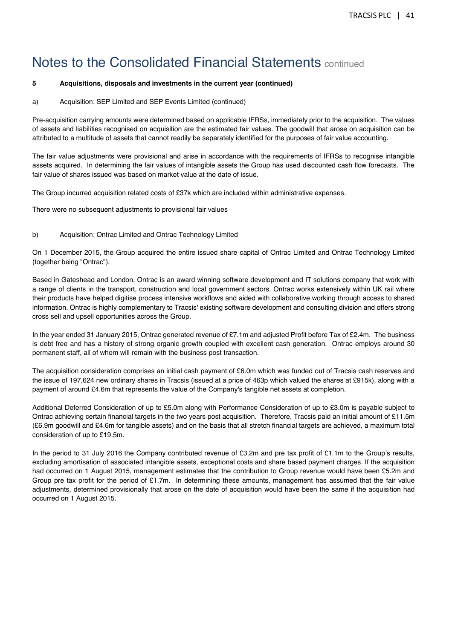### **5 Acquisitions, disposals and investments in the current year (continued)**

### a) Acquisition: SEP Limited and SEP Events Limited (continued)

Pre-acquisition carrying amounts were determined based on applicable IFRSs, immediately prior to the acquisition. The values of assets and liabilities recognised on acquisition are the estimated fair values. The goodwill that arose on acquisition can be attributed to a multitude of assets that cannot readily be separately identified for the purposes of fair value accounting.

The fair value adjustments were provisional and arise in accordance with the requirements of IFRSs to recognise intangible assets acquired. In determining the fair values of intangible assets the Group has used discounted cash flow forecasts. The fair value of shares issued was based on market value at the date of issue.

The Group incurred acquisition related costs of £37k which are included within administrative expenses.

There were no subsequent adjustments to provisional fair values

## b) Acquisition: Ontrac Limited and Ontrac Technology Limited

On 1 December 2015, the Group acquired the entire issued share capital of Ontrac Limited and Ontrac Technology Limited (together being "Ontrac").

Based in Gateshead and London, Ontrac is an award winning software development and IT solutions company that work with a range of clients in the transport, construction and local government sectors. Ontrac works extensively within UK rail where their products have helped digitise process intensive workflows and aided with collaborative working through access to shared information. Ontrac is highly complementary to Tracsis' existing software development and consulting division and offers strong cross sell and upsell opportunities across the Group.

In the year ended 31 January 2015, Ontrac generated revenue of £7.1m and adjusted Profit before Tax of £2.4m. The business is debt free and has a history of strong organic growth coupled with excellent cash generation. Ontrac employs around 30 permanent staff, all of whom will remain with the business post transaction.

The acquisition consideration comprises an initial cash payment of £6.0m which was funded out of Tracsis cash reserves and the issue of 197,624 new ordinary shares in Tracsis (issued at a price of 463p which valued the shares at £915k), along with a payment of around £4.6m that represents the value of the Company's tangible net assets at completion.

Additional Deferred Consideration of up to £5.0m along with Performance Consideration of up to £3.0m is payable subject to Ontrac achieving certain financial targets in the two years post acquisition. Therefore, Tracsis paid an initial amount of £11.5m (£6.9m goodwill and £4.6m for tangible assets) and on the basis that all stretch financial targets are achieved, a maximum total consideration of up to £19.5m.

In the period to 31 July 2016 the Company contributed revenue of £3.2m and pre tax profit of £1.1m to the Group's results, excluding amortisation of associated intangible assets, exceptional costs and share based payment charges. If the acquisition had occurred on 1 August 2015, management estimates that the contribution to Group revenue would have been £5.2m and Group pre tax profit for the period of £1.7m. In determining these amounts, management has assumed that the fair value adjustments, determined provisionally that arose on the date of acquisition would have been the same if the acquisition had occurred on 1 August 2015.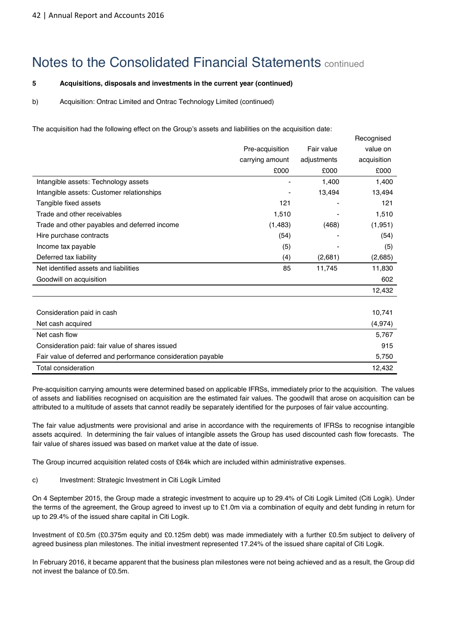## **5 Acquisitions, disposals and investments in the current year (continued)**

b) Acquisition: Ontrac Limited and Ontrac Technology Limited (continued)

The acquisition had the following effect on the Group's assets and liabilities on the acquisition date:

|                                                              |                 |             | Recognised  |
|--------------------------------------------------------------|-----------------|-------------|-------------|
|                                                              | Pre-acquisition | Fair value  | value on    |
|                                                              | carrying amount | adjustments | acquisition |
|                                                              | £000            | £000        | £000        |
| Intangible assets: Technology assets                         |                 | 1,400       | 1,400       |
| Intangible assets: Customer relationships                    |                 | 13,494      | 13,494      |
| Tangible fixed assets                                        | 121             |             | 121         |
| Trade and other receivables                                  | 1,510           |             | 1,510       |
| Trade and other payables and deferred income                 | (1, 483)        | (468)       | (1,951)     |
| Hire purchase contracts                                      | (54)            |             | (54)        |
| Income tax payable                                           | (5)             |             | (5)         |
| Deferred tax liability                                       | (4)             | (2,681)     | (2,685)     |
| Net identified assets and liabilities                        | 85              | 11,745      | 11,830      |
| Goodwill on acquisition                                      |                 |             | 602         |
|                                                              |                 |             | 12,432      |
|                                                              |                 |             |             |
| Consideration paid in cash                                   |                 |             | 10,741      |
| Net cash acquired                                            |                 |             | (4,974)     |
| Net cash flow                                                |                 |             | 5,767       |
| Consideration paid: fair value of shares issued              |                 |             | 915         |
| Fair value of deferred and performance consideration payable |                 |             | 5,750       |
| <b>Total consideration</b>                                   |                 |             | 12,432      |

Pre-acquisition carrying amounts were determined based on applicable IFRSs, immediately prior to the acquisition. The values of assets and liabilities recognised on acquisition are the estimated fair values. The goodwill that arose on acquisition can be attributed to a multitude of assets that cannot readily be separately identified for the purposes of fair value accounting.

The fair value adjustments were provisional and arise in accordance with the requirements of IFRSs to recognise intangible assets acquired. In determining the fair values of intangible assets the Group has used discounted cash flow forecasts. The fair value of shares issued was based on market value at the date of issue.

The Group incurred acquisition related costs of £64k which are included within administrative expenses.

### c) Investment: Strategic Investment in Citi Logik Limited

On 4 September 2015, the Group made a strategic investment to acquire up to 29.4% of Citi Logik Limited (Citi Logik). Under the terms of the agreement, the Group agreed to invest up to £1.0m via a combination of equity and debt funding in return for up to 29.4% of the issued share capital in Citi Logik.

Investment of £0.5m (£0.375m equity and £0.125m debt) was made immediately with a further £0.5m subject to delivery of agreed business plan milestones. The initial investment represented 17.24% of the issued share capital of Citi Logik.

In February 2016, it became apparent that the business plan milestones were not being achieved and as a result, the Group did not invest the balance of £0.5m.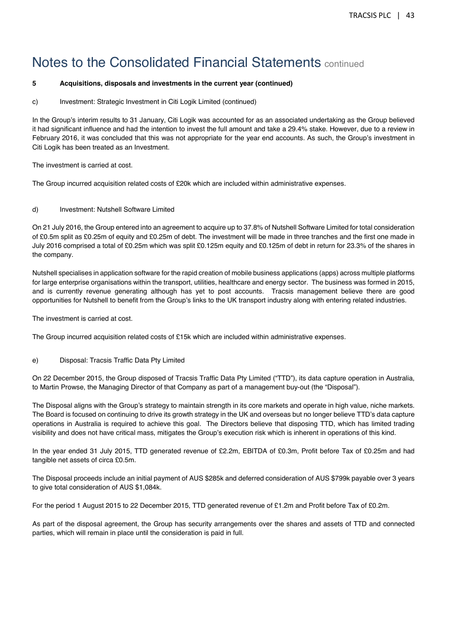## **5 Acquisitions, disposals and investments in the current year (continued)**

## c) Investment: Strategic Investment in Citi Logik Limited (continued)

In the Group's interim results to 31 January, Citi Logik was accounted for as an associated undertaking as the Group believed it had significant influence and had the intention to invest the full amount and take a 29.4% stake. However, due to a review in February 2016, it was concluded that this was not appropriate for the year end accounts. As such, the Group's investment in Citi Logik has been treated as an Investment.

The investment is carried at cost.

The Group incurred acquisition related costs of £20k which are included within administrative expenses.

## d) Investment: Nutshell Software Limited

On 21 July 2016, the Group entered into an agreement to acquire up to 37.8% of Nutshell Software Limited for total consideration of £0.5m split as £0.25m of equity and £0.25m of debt. The investment will be made in three tranches and the first one made in July 2016 comprised a total of £0.25m which was split £0.125m equity and £0.125m of debt in return for 23.3% of the shares in the company.

Nutshell specialises in application software for the rapid creation of mobile business applications (apps) across multiple platforms for large enterprise organisations within the transport, utilities, healthcare and energy sector. The business was formed in 2015, and is currently revenue generating although has yet to post accounts. Tracsis management believe there are good opportunities for Nutshell to benefit from the Group's links to the UK transport industry along with entering related industries.

The investment is carried at cost.

The Group incurred acquisition related costs of £15k which are included within administrative expenses.

e) Disposal: Tracsis Traffic Data Pty Limited

On 22 December 2015, the Group disposed of Tracsis Traffic Data Pty Limited ("TTD"), its data capture operation in Australia, to Martin Prowse, the Managing Director of that Company as part of a management buy-out (the "Disposal").

The Disposal aligns with the Group's strategy to maintain strength in its core markets and operate in high value, niche markets. The Board is focused on continuing to drive its growth strategy in the UK and overseas but no longer believe TTD's data capture operations in Australia is required to achieve this goal. The Directors believe that disposing TTD, which has limited trading visibility and does not have critical mass, mitigates the Group's execution risk which is inherent in operations of this kind.

In the year ended 31 July 2015, TTD generated revenue of £2.2m, EBITDA of £0.3m, Profit before Tax of £0.25m and had tangible net assets of circa £0.5m.

The Disposal proceeds include an initial payment of AUS \$285k and deferred consideration of AUS \$799k payable over 3 years to give total consideration of AUS \$1,084k.

For the period 1 August 2015 to 22 December 2015, TTD generated revenue of £1.2m and Profit before Tax of £0.2m.

As part of the disposal agreement, the Group has security arrangements over the shares and assets of TTD and connected parties, which will remain in place until the consideration is paid in full.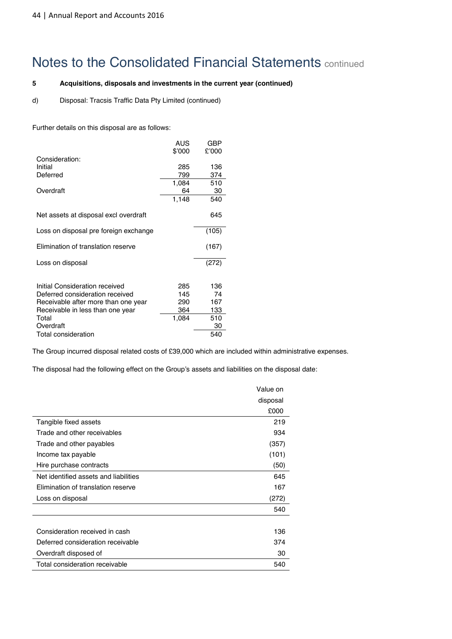## **5 Acquisitions, disposals and investments in the current year (continued)**

d) Disposal: Tracsis Traffic Data Pty Limited (continued)

Further details on this disposal are as follows:

|                                       | AUS    | GBP   |
|---------------------------------------|--------|-------|
|                                       | \$'000 | £'000 |
| Consideration:                        |        |       |
| Initial                               | 285    | 136   |
| Deferred                              | 799    | 374   |
|                                       | 1,084  | 510   |
| Overdraft                             | 64     | 30    |
|                                       | 1,148  | 540   |
| Net assets at disposal excl overdraft |        | 645   |
| Loss on disposal pre foreign exchange |        | (105) |
| Elimination of translation reserve    |        | (167) |
| Loss on disposal                      |        | (272) |
|                                       |        |       |
| Initial Consideration received        | 285    | 136   |
| Deferred consideration received       | 145    | 74    |
| Receivable after more than one year   | 290    | 167   |
| Receivable in less than one year      | 364    | 133   |
| Total                                 | 1,084  | 510   |
| Overdraft                             |        | 30    |
| Total consideration                   |        | 540   |

The Group incurred disposal related costs of £39,000 which are included within administrative expenses.

The disposal had the following effect on the Group's assets and liabilities on the disposal date:

|                                       | Value on |
|---------------------------------------|----------|
|                                       | disposal |
|                                       | £000     |
| Tangible fixed assets                 | 219      |
| Trade and other receivables           | 934      |
| Trade and other payables              | (357)    |
| Income tax payable                    | (101)    |
| Hire purchase contracts               | (50)     |
| Net identified assets and liabilities | 645      |
| Elimination of translation reserve    | 167      |
| Loss on disposal                      | (272)    |
|                                       | 540      |
|                                       |          |
| Consideration received in cash        | 136      |
| Deferred consideration receivable     | 374      |
| Overdraft disposed of                 | 30       |
| Total consideration receivable        | 540      |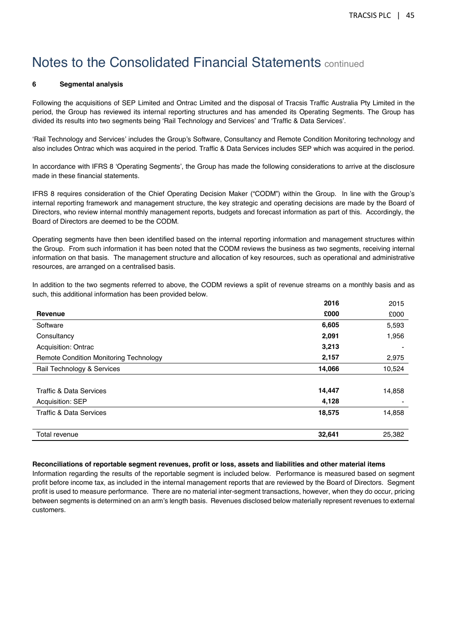### **6 Segmental analysis**

Following the acquisitions of SEP Limited and Ontrac Limited and the disposal of Tracsis Traffic Australia Pty Limited in the period, the Group has reviewed its internal reporting structures and has amended its Operating Segments. The Group has divided its results into two segments being 'Rail Technology and Services' and 'Traffic & Data Services'.

'Rail Technology and Services' includes the Group's Software, Consultancy and Remote Condition Monitoring technology and also includes Ontrac which was acquired in the period. Traffic & Data Services includes SEP which was acquired in the period.

In accordance with IFRS 8 'Operating Segments', the Group has made the following considerations to arrive at the disclosure made in these financial statements.

IFRS 8 requires consideration of the Chief Operating Decision Maker ("CODM") within the Group. In line with the Group's internal reporting framework and management structure, the key strategic and operating decisions are made by the Board of Directors, who review internal monthly management reports, budgets and forecast information as part of this. Accordingly, the Board of Directors are deemed to be the CODM.

Operating segments have then been identified based on the internal reporting information and management structures within the Group. From such information it has been noted that the CODM reviews the business as two segments, receiving internal information on that basis. The management structure and allocation of key resources, such as operational and administrative resources, are arranged on a centralised basis.

In addition to the two segments referred to above, the CODM reviews a split of revenue streams on a monthly basis and as such, this additional information has been provided below.

|                                               | 2016   | 2015   |
|-----------------------------------------------|--------|--------|
| Revenue                                       | £000   | £000   |
| Software                                      | 6,605  | 5,593  |
| Consultancy                                   | 2,091  | 1,956  |
| Acquisition: Ontrac                           | 3,213  |        |
| <b>Remote Condition Monitoring Technology</b> | 2,157  | 2,975  |
| Rail Technology & Services                    | 14,066 | 10,524 |
|                                               |        |        |
| <b>Traffic &amp; Data Services</b>            | 14,447 | 14,858 |
| Acquisition: SEP                              | 4,128  |        |
| <b>Traffic &amp; Data Services</b>            | 18,575 | 14,858 |
|                                               |        |        |
| Total revenue                                 | 32,641 | 25,382 |

### **Reconciliations of reportable segment revenues, profit or loss, assets and liabilities and other material items**

Information regarding the results of the reportable segment is included below. Performance is measured based on segment profit before income tax, as included in the internal management reports that are reviewed by the Board of Directors. Segment profit is used to measure performance. There are no material inter-segment transactions, however, when they do occur, pricing between segments is determined on an arm's length basis. Revenues disclosed below materially represent revenues to external customers.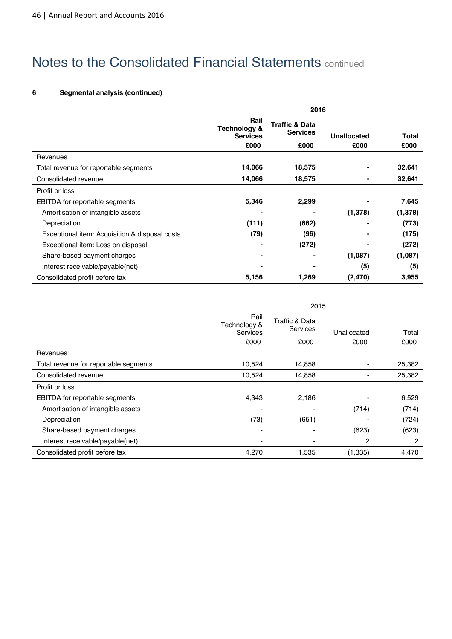## **6 Segmental analysis (continued)**

|                                                | 2016                                    |                                              |          |          |  |
|------------------------------------------------|-----------------------------------------|----------------------------------------------|----------|----------|--|
|                                                | Rail<br>Technology &<br><b>Services</b> | <b>Traffic &amp; Data</b><br><b>Services</b> |          | Total    |  |
|                                                | £000                                    | £000                                         | £000     | £000     |  |
| Revenues                                       |                                         |                                              |          |          |  |
| Total revenue for reportable segments          | 14,066                                  | 18,575                                       |          | 32,641   |  |
| Consolidated revenue                           | 14,066                                  | 18,575                                       |          | 32,641   |  |
| Profit or loss                                 |                                         |                                              |          |          |  |
| EBITDA for reportable segments                 | 5,346                                   | 2,299                                        |          | 7,645    |  |
| Amortisation of intangible assets              |                                         |                                              | (1, 378) | (1, 378) |  |
| Depreciation                                   | (111)                                   | (662)                                        |          | (773)    |  |
| Exceptional item: Acquisition & disposal costs | (79)                                    | (96)                                         |          | (175)    |  |
| Exceptional item: Loss on disposal             |                                         | (272)                                        |          | (272)    |  |
| Share-based payment charges                    |                                         |                                              | (1,087)  | (1,087)  |  |
| Interest receivable/payable(net)               |                                         |                                              | (5)      | (5)      |  |
| Consolidated profit before tax                 | 5,156                                   | 1,269                                        | (2, 470) | 3,955    |  |

|                                       | 2015                             |                                              |                          |        |  |
|---------------------------------------|----------------------------------|----------------------------------------------|--------------------------|--------|--|
|                                       | Rail<br>Technology &<br>Services | <b>Traffic &amp; Data</b><br><b>Services</b> | Unallocated              | Total  |  |
|                                       | £000                             | £000                                         | £000                     | £000   |  |
| Revenues                              |                                  |                                              |                          |        |  |
| Total revenue for reportable segments | 10,524                           | 14,858                                       | $\overline{\phantom{a}}$ | 25,382 |  |
| Consolidated revenue                  | 10,524                           | 14,858                                       |                          | 25,382 |  |
| Profit or loss                        |                                  |                                              |                          |        |  |
| EBITDA for reportable segments        | 4,343                            | 2,186                                        |                          | 6,529  |  |
| Amortisation of intangible assets     |                                  |                                              | (714)                    | (714)  |  |
| Depreciation                          | (73)                             | (651)                                        | $\overline{\phantom{a}}$ | (724)  |  |
| Share-based payment charges           |                                  |                                              | (623)                    | (623)  |  |
| Interest receivable/payable(net)      |                                  |                                              | 2                        | 2      |  |
| Consolidated profit before tax        | 4,270                            | 1,535                                        | (1, 335)                 | 4,470  |  |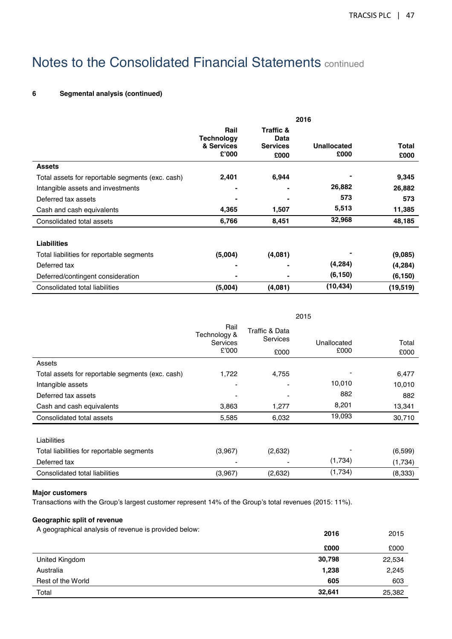## **6 Segmental analysis (continued)**

|                                                  | 2016                                      |                                                     |                     |                      |
|--------------------------------------------------|-------------------------------------------|-----------------------------------------------------|---------------------|----------------------|
|                                                  | Rail<br>Technology<br>& Services<br>£'000 | Traffic &<br><b>Data</b><br><b>Services</b><br>£000 | Unallocated<br>£000 | Total<br><b>COOO</b> |
| <b>Assets</b>                                    |                                           |                                                     |                     |                      |
| Total assets for reportable segments (exc. cash) | 2,401                                     | 6,944                                               |                     | 9,345                |
| Intangible assets and investments                | $\blacksquare$                            |                                                     | 26,882              | 26,882               |
| Deferred tax assets                              |                                           |                                                     | 573                 | 573                  |
| Cash and cash equivalents                        | 4,365                                     | 1,507                                               | 5,513               | 11,385               |
| Consolidated total assets                        | 6,766                                     | 8,451                                               | 32,968              | 48,185               |
| <b>Liabilities</b>                               |                                           |                                                     |                     |                      |
| Total liabilities for reportable segments        | (5,004)                                   | (4,081)                                             |                     | (9,085)              |
| Deferred tax                                     |                                           |                                                     | (4,284)             | (4, 284)             |
| Deferred/contingent consideration                |                                           |                                                     | (6, 150)            | (6, 150)             |
| Consolidated total liabilities                   | (5,004)                                   | (4,081)                                             | (10, 434)           | (19, 519)            |

|                                                  | 2015                                      |                                           |                     |               |
|--------------------------------------------------|-------------------------------------------|-------------------------------------------|---------------------|---------------|
|                                                  | Rail<br>Technology &<br>Services<br>£'000 | Traffic & Data<br><b>Services</b><br>£000 | Unallocated<br>£000 | Total<br>£000 |
| Assets                                           |                                           |                                           |                     |               |
| Total assets for reportable segments (exc. cash) | 1,722                                     | 4,755                                     |                     | 6,477         |
| Intangible assets                                |                                           |                                           | 10,010              | 10,010        |
| Deferred tax assets                              |                                           |                                           | 882                 | 882           |
| Cash and cash equivalents                        | 3,863                                     | 1,277                                     | 8,201               | 13,341        |
| Consolidated total assets                        | 5,585                                     | 6,032                                     | 19,093              | 30,710        |
| Liabilities                                      |                                           |                                           |                     |               |
| Total liabilities for reportable segments        | (3,967)                                   | (2,632)                                   |                     | (6, 599)      |
| Deferred tax                                     |                                           |                                           | (1,734)             | (1,734)       |
| Consolidated total liabilities                   | (3,967)                                   | (2,632)                                   | (1,734)             | (8, 333)      |

## **Major customers**

Transactions with the Group's largest customer represent 14% of the Group's total revenues (2015: 11%).

## **Geographic split of revenue**

| A geographical analysis of revenue is provided below: | 2016   | 2015   |
|-------------------------------------------------------|--------|--------|
|                                                       | £000   | £000   |
| United Kingdom                                        | 30,798 | 22,534 |
| Australia                                             | 1,238  | 2,245  |
| Rest of the World                                     | 605    | 603    |
| Total                                                 | 32,641 | 25,382 |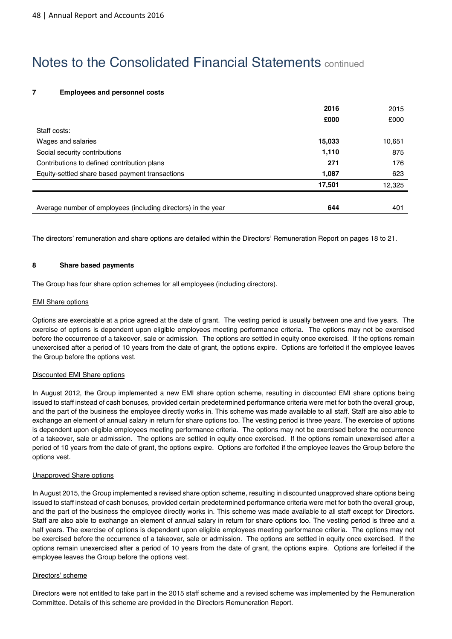## **7 Employees and personnel costs**

|                                                               | 2016   | 2015   |
|---------------------------------------------------------------|--------|--------|
|                                                               | £000   | £000   |
| Staff costs:                                                  |        |        |
| Wages and salaries                                            | 15,033 | 10,651 |
| Social security contributions                                 | 1,110  | 875    |
| Contributions to defined contribution plans                   | 271    | 176    |
| Equity-settled share based payment transactions               | 1,087  | 623    |
|                                                               | 17,501 | 12,325 |
|                                                               |        |        |
| Average number of employees (including directors) in the year | 644    | 401    |

The directors' remuneration and share options are detailed within the Directors' Remuneration Report on pages 18 to 21.

## **8 Share based payments**

The Group has four share option schemes for all employees (including directors).

## EMI Share options

Options are exercisable at a price agreed at the date of grant. The vesting period is usually between one and five years. The exercise of options is dependent upon eligible employees meeting performance criteria. The options may not be exercised before the occurrence of a takeover, sale or admission. The options are settled in equity once exercised. If the options remain unexercised after a period of 10 years from the date of grant, the options expire. Options are forfeited if the employee leaves the Group before the options vest.

## Discounted EMI Share options

In August 2012, the Group implemented a new EMI share option scheme, resulting in discounted EMI share options being issued to staff instead of cash bonuses, provided certain predetermined performance criteria were met for both the overall group, and the part of the business the employee directly works in. This scheme was made available to all staff. Staff are also able to exchange an element of annual salary in return for share options too. The vesting period is three years. The exercise of options is dependent upon eligible employees meeting performance criteria. The options may not be exercised before the occurrence of a takeover, sale or admission. The options are settled in equity once exercised. If the options remain unexercised after a period of 10 years from the date of grant, the options expire. Options are forfeited if the employee leaves the Group before the options vest.

## Unapproved Share options

In August 2015, the Group implemented a revised share option scheme, resulting in discounted unapproved share options being issued to staff instead of cash bonuses, provided certain predetermined performance criteria were met for both the overall group, and the part of the business the employee directly works in. This scheme was made available to all staff except for Directors. Staff are also able to exchange an element of annual salary in return for share options too. The vesting period is three and a half years. The exercise of options is dependent upon eligible employees meeting performance criteria. The options may not be exercised before the occurrence of a takeover, sale or admission. The options are settled in equity once exercised. If the options remain unexercised after a period of 10 years from the date of grant, the options expire. Options are forfeited if the employee leaves the Group before the options vest.

### Directors' scheme

Directors were not entitled to take part in the 2015 staff scheme and a revised scheme was implemented by the Remuneration Committee. Details of this scheme are provided in the Directors Remuneration Report.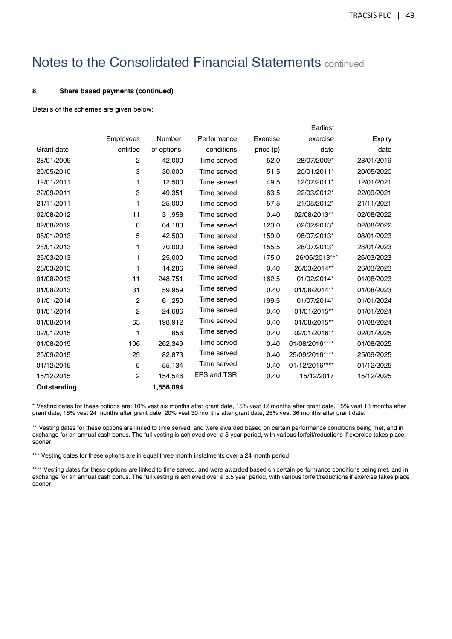### **8 Share based payments (continued)**

Details of the schemes are given below:

|             |                |            |             |           | Earliest        |            |
|-------------|----------------|------------|-------------|-----------|-----------------|------------|
|             | Employees      | Number     | Performance | Exercise  | exercise        | Expiry     |
| Grant date  | entitled       | of options | conditions  | price (p) | date            | date       |
| 28/01/2009  | $\overline{c}$ | 42,000     | Time served | 52.0      | 28/07/2009*     | 28/01/2019 |
| 20/05/2010  | 3              | 30,000     | Time served | 51.5      | 20/01/2011*     | 20/05/2020 |
| 12/01/2011  | 1              | 12,500     | Time served | 49.5      | 12/07/2011*     | 12/01/2021 |
| 22/09/2011  | 3              | 49,351     | Time served | 63.5      | 22/03/2012*     | 22/09/2021 |
| 21/11/2011  | 1              | 25,000     | Time served | 57.5      | 21/05/2012*     | 21/11/2021 |
| 02/08/2012  | 11             | 31,958     | Time served | 0.40      | 02/08/2013**    | 02/08/2022 |
| 02/08/2012  | 8              | 64,183     | Time served | 123.0     | 02/02/2013*     | 02/08/2022 |
| 08/01/2013  | 5              | 42,500     | Time served | 159.0     | 08/07/2013*     | 08/01/2023 |
| 28/01/2013  | 1              | 70,000     | Time served | 155.5     | 28/07/2013*     | 28/01/2023 |
| 26/03/2013  | 1              | 25,000     | Time served | 175.0     | 26/06/2013***   | 26/03/2023 |
| 26/03/2013  | 1              | 14,286     | Time served | 0.40      | 26/03/2014**    | 26/03/2023 |
| 01/08/2013  | 11             | 248,751    | Time served | 162.5     | 01/02/2014*     | 01/08/2023 |
| 01/08/2013  | 31             | 59,959     | Time served | 0.40      | 01/08/2014**    | 01/08/2023 |
| 01/01/2014  | $\overline{c}$ | 61,250     | Time served | 199.5     | 01/07/2014*     | 01/01/2024 |
| 01/01/2014  | $\overline{c}$ | 24,686     | Time served | 0.40      | 01/01/2015**    | 01/01/2024 |
| 01/08/2014  | 63             | 198,912    | Time served | 0.40      | 01/08/2015**    | 01/08/2024 |
| 02/01/2015  | 1              | 856        | Time served | 0.40      | 02/01/2016**    | 02/01/2025 |
| 01/08/2015  | 106            | 262,349    | Time served | 0.40      | 01/08/2016 **** | 01/08/2025 |
| 25/09/2015  | 29             | 82,873     | Time served | 0.40      | 25/09/2016****  | 25/09/2025 |
| 01/12/2015  | 5              | 55,134     | Time served | 0.40      | 01/12/2016****  | 01/12/2025 |
| 15/12/2015  | 2              | 154,546    | EPS and TSR | 0.40      | 15/12/2017      | 15/12/2025 |
| Outstanding |                | 1,556,094  |             |           |                 |            |

\* Vesting dates for these options are: 10% vest six months after grant date, 15% vest 12 months after grant date, 15% vest 18 months after grant date, 15% vest 24 months after grant date, 20% vest 30 months after grant date, 25% vest 36 months after grant date.

\*\* Vesting dates for these options are linked to time served, and were awarded based on certain performance conditions being met, and in exchange for an annual cash bonus. The full vesting is achieved over a 3 year period, with various forfeit/reductions if exercise takes place sooner

\*\*\* Vesting dates for these options are in equal three month instalments over a 24 month period

\*\*\*\* Vesting dates for these options are linked to time served, and were awarded based on certain performance conditions being met, and in exchange for an annual cash bonus. The full vesting is achieved over a 3.5 year period, with various forfeit/reductions if exercise takes place sooner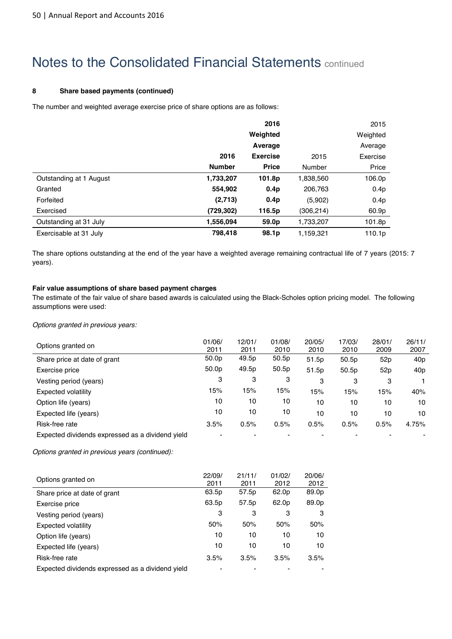## **8 Share based payments (continued)**

The number and weighted average exercise price of share options are as follows:

|                         |               | 2016              |           | 2015               |
|-------------------------|---------------|-------------------|-----------|--------------------|
|                         |               | Weighted          |           | Weighted           |
|                         |               | Average           |           | Average            |
|                         | 2016          | <b>Exercise</b>   | 2015      | Exercise           |
|                         | <b>Number</b> | <b>Price</b>      | Number    | Price              |
| Outstanding at 1 August | 1,733,207     | 101.8p            | 1,838,560 | 106.0p             |
| Granted                 | 554,902       | 0.4 <sub>p</sub>  | 206,763   | 0.4p               |
| Forfeited               | (2,713)       | 0.4 <sub>p</sub>  | (5,902)   | 0.4p               |
| Exercised               | (729, 302)    | 116.5p            | (306,214) | 60.9p              |
| Outstanding at 31 July  | 1,556,094     | 59.0 <sub>p</sub> | 1,733,207 | 101.8p             |
| Exercisable at 31 July  | 798,418       | 98.1p             | 1,159,321 | 110.1 <sub>p</sub> |

The share options outstanding at the end of the year have a weighted average remaining contractual life of 7 years (2015: 7 years).

## **Fair value assumptions of share based payment charges**

The estimate of the fair value of share based awards is calculated using the Black-Scholes option pricing model. The following assumptions were used:

*Options granted in previous years:* 

| Options granted on                               | 01/06/<br>2011    | 12/01/<br>2011 | 01/08/<br>2010 | 20/05/<br>2010 | 17/03/<br>2010 | 28/01/<br>2009  | 26/11/<br>2007  |
|--------------------------------------------------|-------------------|----------------|----------------|----------------|----------------|-----------------|-----------------|
| Share price at date of grant                     | 50.0 <sub>p</sub> | 49.5p          | 50.5p          | 51.5p          | 50.5p          | 52p             | 40 <sub>p</sub> |
| Exercise price                                   | 50.0p             | 49.5p          | 50.5p          | 51.5p          | 50.5p          | 52 <sub>p</sub> | 40 <sub>p</sub> |
| Vesting period (years)                           | 3                 | 3              | 3              | 3              | 3              | 3               |                 |
| Expected volatility                              | 15%               | 15%            | 15%            | 15%            | 15%            | 15%             | 40%             |
| Option life (years)                              | 10                | 10             | 10             | 10             | 10             | 10              | 10              |
| Expected life (years)                            | 10                | 10             | 10             | 10             | 10             | 10              | 10              |
| Risk-free rate                                   | 3.5%              | 0.5%           | 0.5%           | 0.5%           | 0.5%           | 0.5%            | 4.75%           |
| Expected dividends expressed as a dividend yield |                   |                |                |                |                |                 |                 |

*Options granted in previous years (continued):* 

| Options granted on                               | 22/09/<br>2011 | 21/11/<br>2011 | 01/02/<br>2012 | 20/06/<br>2012 |
|--------------------------------------------------|----------------|----------------|----------------|----------------|
| Share price at date of grant                     | 63.5p          | 57.5p          | 62.0p          | 89.0p          |
| Exercise price                                   | 63.5p          | 57.5p          | 62.0p          | 89.0p          |
| Vesting period (years)                           | 3              | 3              | 3              | 3              |
| Expected volatility                              | 50%            | 50%            | 50%            | 50%            |
| Option life (years)                              | 10             | 10             | 10             | 10             |
| Expected life (years)                            | 10             | 10             | 10             | 10             |
| Risk-free rate                                   | 3.5%           | 3.5%           | 3.5%           | 3.5%           |
| Expected dividends expressed as a dividend yield |                |                |                |                |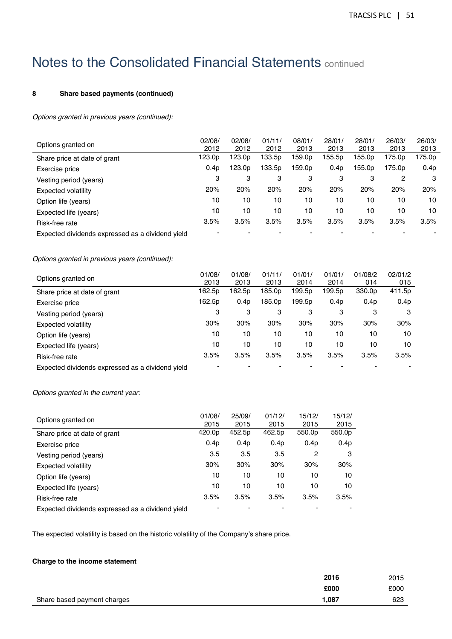## **8 Share based payments (continued)**

*Options granted in previous years (continued):* 

| Options granted on                               | 02/08/<br>2012   | 02/08/<br>2012 | 01/11/<br>2012 | 08/01/<br>2013 | 28/01/<br>2013 | 28/01/<br>2013 | 26/03/<br>2013 | 26/03/<br>2013   |
|--------------------------------------------------|------------------|----------------|----------------|----------------|----------------|----------------|----------------|------------------|
| Share price at date of grant                     | 123.0p           | 123.0p         | 133.5p         | 159.0p         | 155.5p         | 155.0p         | 175.0p         | 175.0p           |
| Exercise price                                   | 0.4 <sub>p</sub> | 123.0p         | 133.5p         | 159.0p         | 0.4p           | 155.0p         | 175.0p         | 0.4 <sub>p</sub> |
| Vesting period (years)                           | 3                | 3              | 3              | 3              | 3              | 3              | 2              | 3                |
| Expected volatility                              | 20%              | 20%            | 20%            | 20%            | 20%            | 20%            | 20%            | 20%              |
| Option life (years)                              | 10               | 10             | 10             | 10             | 10             | 10             | 10             | 10               |
| Expected life (years)                            | 10               | 10             | 10             | 10             | 10             | 10             | 10             | 10               |
| Risk-free rate                                   | 3.5%             | 3.5%           | 3.5%           | 3.5%           | 3.5%           | 3.5%           | 3.5%           | 3.5%             |
| Expected dividends expressed as a dividend yield |                  |                |                |                |                |                |                |                  |

*Options granted in previous years (continued):*

| Options granted on                               | 01/08/<br>2013 | 01/08/<br>2013   | 01/11/<br>2013 | 01/01/<br>2014 | 01/01/<br>2014   | 01/08/2<br>014 | 02/01/2<br>015 |
|--------------------------------------------------|----------------|------------------|----------------|----------------|------------------|----------------|----------------|
| Share price at date of grant                     | 162.5p         | 162.5p           | 185.0p         | 199.5p         | 199.5p           | 330.0p         | 411.5p         |
| Exercise price                                   | 162.5p         | 0.4 <sub>p</sub> | 185.0p         | 199.5p         | 0.4 <sub>p</sub> | 0.4p           | 0.4p           |
| Vesting period (years)                           | 3              | 3                | 3              | 3              | 3                | 3              | 3              |
| Expected volatility                              | 30%            | 30%              | 30%            | 30%            | 30%              | 30%            | 30%            |
| Option life (years)                              | 10             | 10               | 10             | 10             | 10               | 10             | 10             |
| Expected life (years)                            | 10             | 10               | 10             | 10             | 10               | 10             | 10             |
| Risk-free rate                                   | 3.5%           | 3.5%             | 3.5%           | 3.5%           | 3.5%             | 3.5%           | 3.5%           |
| Expected dividends expressed as a dividend yield |                |                  |                |                |                  |                |                |

*Options granted in the current year:* 

| Options granted on                               | 01/08/<br>2015   | 25/09/<br>2015   | 01/12/<br>2015 | 15/12/<br>2015   | 15/12/<br>2015   |
|--------------------------------------------------|------------------|------------------|----------------|------------------|------------------|
| Share price at date of grant                     | 420.0p           | 452.5p           | 462.5p         | 550.0p           | 550.0p           |
| Exercise price                                   | 0.4 <sub>p</sub> | 0.4 <sub>p</sub> | 0.4p           | 0.4 <sub>p</sub> | 0.4 <sub>p</sub> |
| Vesting period (years)                           | 3.5              | 3.5              | 3.5            | 2                | 3                |
| Expected volatility                              | 30%              | 30%              | 30%            | 30%              | 30%              |
| Option life (years)                              | 10               | 10               | 10             | 10               | 10               |
| Expected life (years)                            | 10               | 10               | 10             | 10               | 10               |
| Risk-free rate                                   | 3.5%             | 3.5%             | 3.5%           | 3.5%             | 3.5%             |
| Expected dividends expressed as a dividend yield |                  |                  |                |                  |                  |

The expected volatility is based on the historic volatility of the Company's share price.

## **Charge to the income statement**

|                             | 2016  | 2015 |
|-----------------------------|-------|------|
|                             | £000  | £000 |
| Share based payment charges | 1,087 | 623  |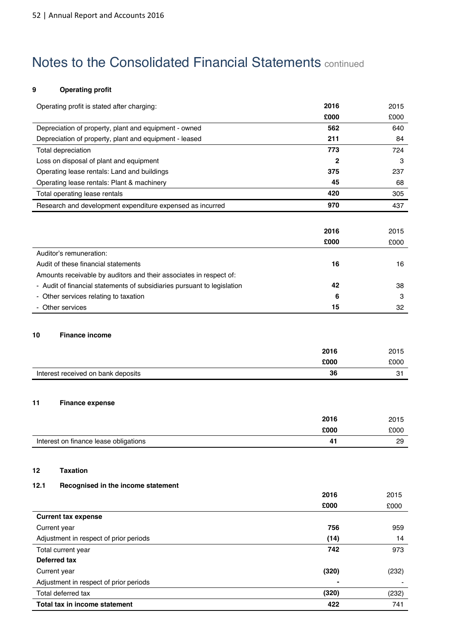## **9 Operating profit**

| Operating profit is stated after charging:                              | 2016<br>£000 | 2015<br>£000 |
|-------------------------------------------------------------------------|--------------|--------------|
| Depreciation of property, plant and equipment - owned                   | 562          | 640          |
| Depreciation of property, plant and equipment - leased                  | 211          | 84           |
| Total depreciation                                                      | 773          | 724          |
| Loss on disposal of plant and equipment                                 | $\mathbf{2}$ | 3            |
| Operating lease rentals: Land and buildings                             | 375          | 237          |
| Operating lease rentals: Plant & machinery                              | 45           | 68           |
| Total operating lease rentals                                           | 420          | 305          |
| Research and development expenditure expensed as incurred               | 970          | 437          |
|                                                                         |              |              |
|                                                                         |              |              |
|                                                                         | 2016         | 2015         |
|                                                                         | £000         | £000         |
| Auditor's remuneration:                                                 |              |              |
| Audit of these financial statements                                     | 16           | 16           |
| Amounts receivable by auditors and their associates in respect of:      |              |              |
| - Audit of financial statements of subsidiaries pursuant to legislation | 42           | 38           |
| - Other services relating to taxation                                   | 6            | 3            |
| - Other services                                                        | 15           | 32           |
| <b>Finance income</b><br>10                                             | 2016<br>£000 | 2015<br>£000 |
| Interest received on bank deposits                                      | 36           | 31           |
|                                                                         |              |              |
| 11<br><b>Finance expense</b>                                            |              |              |
|                                                                         | 2016         | 2015         |
|                                                                         | £000         | £000         |
| Interest on finance lease obligations                                   | 41           | 29           |
| <b>Taxation</b><br>12                                                   |              |              |
| 12.1<br>Recognised in the income statement                              |              |              |
|                                                                         | 2016         | 2015         |
|                                                                         | £000         | £000         |
| <b>Current tax expense</b>                                              |              |              |
| Current year                                                            | 756          | 959          |
| Adjustment in respect of prior periods                                  | (14)         | 14           |
| Total current year                                                      | 742          | 973          |
| Deferred tax                                                            |              |              |
| Current year                                                            | (320)        | (232)        |
| Adjustment in respect of prior periods                                  |              |              |
| Total deferred tax                                                      | (320)        | (232)        |
| Total tax in income statement                                           | 422          | 741          |
|                                                                         |              |              |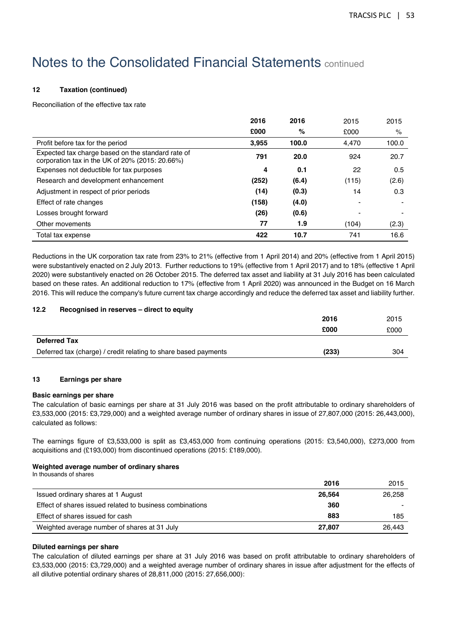## **12 Taxation (continued)**

Reconciliation of the effective tax rate

|                                                                                                         | 2016  | 2016  | 2015  | 2015  |
|---------------------------------------------------------------------------------------------------------|-------|-------|-------|-------|
|                                                                                                         | £000  | %     | £000  | $\%$  |
| Profit before tax for the period                                                                        | 3.955 | 100.0 | 4,470 | 100.0 |
| Expected tax charge based on the standard rate of<br>corporation tax in the UK of $20\%$ (2015: 20.66%) | 791   | 20.0  | 924   | 20.7  |
| Expenses not deductible for tax purposes                                                                | 4     | 0.1   | 22    | 0.5   |
| Research and development enhancement                                                                    | (252) | (6.4) | (115) | (2.6) |
| Adjustment in respect of prior periods                                                                  | (14)  | (0.3) | 14    | 0.3   |
| Effect of rate changes                                                                                  | (158) | (4.0) |       |       |
| Losses brought forward                                                                                  | (26)  | (0.6) |       |       |
| Other movements                                                                                         | 77    | 1.9   | (104) | (2.3) |
| Total tax expense                                                                                       | 422   | 10.7  | 741   | 16.6  |

Reductions in the UK corporation tax rate from 23% to 21% (effective from 1 April 2014) and 20% (effective from 1 April 2015) were substantively enacted on 2 July 2013. Further reductions to 19% (effective from 1 April 2017) and to 18% (effective 1 April 2020) were substantively enacted on 26 October 2015. The deferred tax asset and liability at 31 July 2016 has been calculated based on these rates. An additional reduction to 17% (effective from 1 April 2020) was announced in the Budget on 16 March 2016. This will reduce the company's future current tax charge accordingly and reduce the deferred tax asset and liability further.

## **12.2 Recognised in reserves – direct to equity**

|                                                                 | 2016  | 2015 |
|-----------------------------------------------------------------|-------|------|
|                                                                 | £000  | £000 |
| <b>Deferred Tax</b>                                             |       |      |
| Deferred tax (charge) / credit relating to share based payments | (233) | 304  |

## **13 Earnings per share**

### **Basic earnings per share**

The calculation of basic earnings per share at 31 July 2016 was based on the profit attributable to ordinary shareholders of £3,533,000 (2015: £3,729,000) and a weighted average number of ordinary shares in issue of 27,807,000 (2015: 26,443,000), calculated as follows:

The earnings figure of £3,533,000 is split as £3,453,000 from continuing operations (2015: £3,540,000), £273,000 from acquisitions and (£193,000) from discontinued operations (2015: £189,000).

### **Weighted average number of ordinary shares**

In thousands of shares

|                                                          | 2016   | 2015   |
|----------------------------------------------------------|--------|--------|
| Issued ordinary shares at 1 August                       | 26.564 | 26.258 |
| Effect of shares issued related to business combinations | 360    |        |
| Effect of shares issued for cash                         | 883    | 185    |
| Weighted average number of shares at 31 July             | 27.807 | 26.443 |

## **Diluted earnings per share**

The calculation of diluted earnings per share at 31 July 2016 was based on profit attributable to ordinary shareholders of £3,533,000 (2015: £3,729,000) and a weighted average number of ordinary shares in issue after adjustment for the effects of all dilutive potential ordinary shares of 28,811,000 (2015: 27,656,000):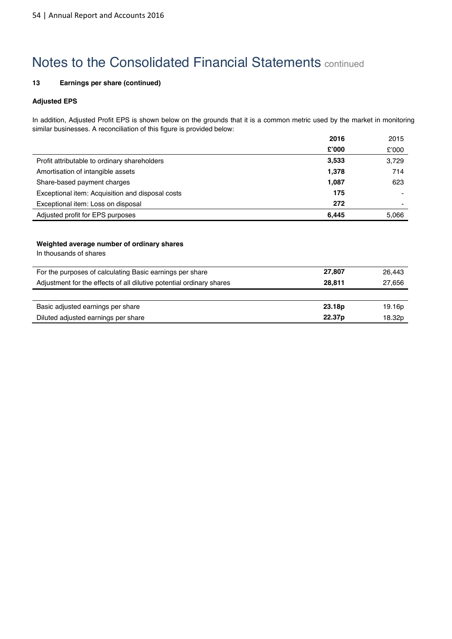## **13 Earnings per share (continued)**

## **Adjusted EPS**

In addition, Adjusted Profit EPS is shown below on the grounds that it is a common metric used by the market in monitoring similar businesses. A reconciliation of this figure is provided below:

|                                                  | 2016  | 2015  |
|--------------------------------------------------|-------|-------|
|                                                  | £'000 | £'000 |
| Profit attributable to ordinary shareholders     | 3,533 | 3,729 |
| Amortisation of intangible assets                | 1,378 | 714   |
| Share-based payment charges                      | 1,087 | 623   |
| Exceptional item: Acquisition and disposal costs | 175   |       |
| Exceptional item: Loss on disposal               | 272   |       |
| Adjusted profit for EPS purposes                 | 6.445 | 5,066 |
|                                                  |       |       |

## **Weighted average number of ordinary shares**

In thousands of shares

| For the purposes of calculating Basic earnings per share             | 27,807             | 26.443             |
|----------------------------------------------------------------------|--------------------|--------------------|
| Adjustment for the effects of all dilutive potential ordinary shares | 28.811             | 27,656             |
|                                                                      |                    |                    |
| Basic adjusted earnings per share                                    | 23.18 <sub>p</sub> | 19.16 <sub>p</sub> |
| Diluted adjusted earnings per share                                  | 22.37 <sub>p</sub> | 18.32p             |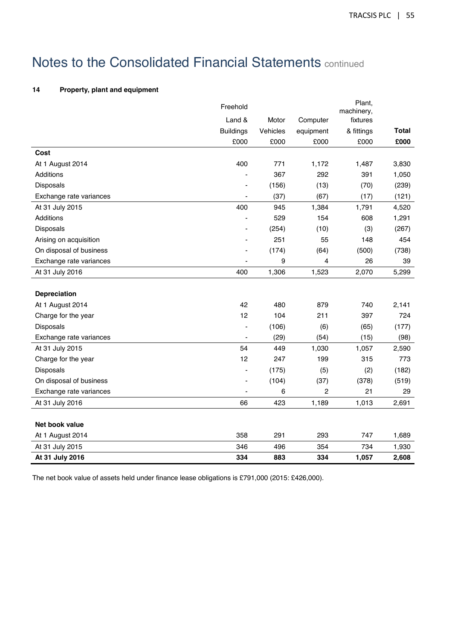## **14 Property, plant and equipment**

|                         | Freehold         |          |           | Plant,<br>machinery, |              |
|-------------------------|------------------|----------|-----------|----------------------|--------------|
|                         | Land &           | Motor    | Computer  | fixtures             |              |
|                         | <b>Buildings</b> | Vehicles | equipment | & fittings           | <b>Total</b> |
|                         | £000             | £000     | £000      | £000                 | £000         |
| Cost                    |                  |          |           |                      |              |
| At 1 August 2014        | 400              | 771      | 1,172     | 1,487                | 3,830        |
| Additions               |                  | 367      | 292       | 391                  | 1,050        |
| <b>Disposals</b>        |                  | (156)    | (13)      | (70)                 | (239)        |
| Exchange rate variances |                  | (37)     | (67)      | (17)                 | (121)        |
| At 31 July 2015         | 400              | 945      | 1,384     | 1,791                | 4,520        |
| Additions               |                  | 529      | 154       | 608                  | 1,291        |
| Disposals               |                  | (254)    | (10)      | (3)                  | (267)        |
| Arising on acquisition  |                  | 251      | 55        | 148                  | 454          |
| On disposal of business |                  | (174)    | (64)      | (500)                | (738)        |
| Exchange rate variances |                  | 9        | 4         | 26                   | 39           |
| At 31 July 2016         | 400              | 1,306    | 1,523     | 2,070                | 5,299        |
|                         |                  |          |           |                      |              |
| Depreciation            |                  |          |           |                      |              |
| At 1 August 2014        | 42               | 480      | 879       | 740                  | 2,141        |
| Charge for the year     | 12               | 104      | 211       | 397                  | 724          |
| <b>Disposals</b>        | ٠                | (106)    | (6)       | (65)                 | (177)        |
| Exchange rate variances |                  | (29)     | (54)      | (15)                 | (98)         |
| At 31 July 2015         | 54               | 449      | 1,030     | 1,057                | 2,590        |
| Charge for the year     | 12               | 247      | 199       | 315                  | 773          |
| Disposals               |                  | (175)    | (5)       | (2)                  | (182)        |
| On disposal of business | $\blacksquare$   | (104)    | (37)      | (378)                | (519)        |
| Exchange rate variances |                  | 6        | 2         | 21                   | 29           |
| At 31 July 2016         | 66               | 423      | 1,189     | 1,013                | 2,691        |
|                         |                  |          |           |                      |              |
| Net book value          |                  |          |           |                      |              |
| At 1 August 2014        | 358              | 291      | 293       | 747                  | 1,689        |
| At 31 July 2015         | 346              | 496      | 354       | 734                  | 1,930        |
| At 31 July 2016         | 334              | 883      | 334       | 1,057                | 2,608        |

The net book value of assets held under finance lease obligations is £791,000 (2015: £426,000).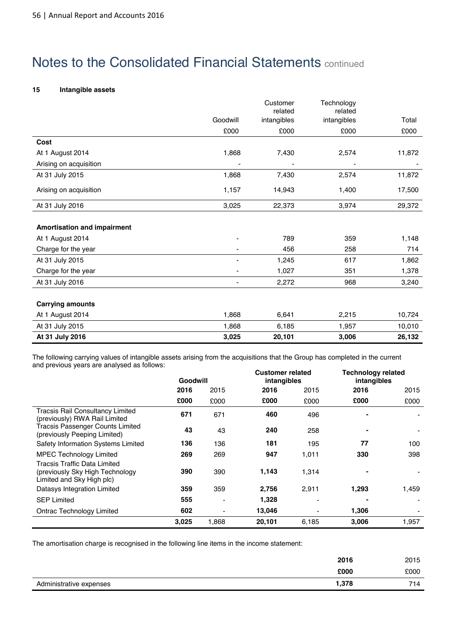## **15 Intangible assets**

|                             |                          | Customer<br>related | Technology<br>related |        |
|-----------------------------|--------------------------|---------------------|-----------------------|--------|
|                             | Goodwill                 | intangibles         | intangibles           | Total  |
|                             | £000                     | £000                | £000                  | £000   |
| Cost                        |                          |                     |                       |        |
| At 1 August 2014            | 1,868                    | 7,430               | 2,574                 | 11,872 |
| Arising on acquisition      |                          |                     |                       |        |
| At 31 July 2015             | 1,868                    | 7,430               | 2,574                 | 11,872 |
| Arising on acquisition      | 1,157                    | 14,943              | 1,400                 | 17,500 |
| At 31 July 2016             | 3,025                    | 22,373              | 3,974                 | 29,372 |
| Amortisation and impairment |                          |                     |                       |        |
| At 1 August 2014            | $\overline{\phantom{0}}$ | 789                 | 359                   | 1,148  |
| Charge for the year         |                          | 456                 | 258                   | 714    |
| At 31 July 2015             |                          | 1,245               | 617                   | 1,862  |
| Charge for the year         |                          | 1,027               | 351                   | 1,378  |
| At 31 July 2016             |                          | 2,272               | 968                   | 3,240  |
| <b>Carrying amounts</b>     |                          |                     |                       |        |
| At 1 August 2014            | 1,868                    | 6,641               | 2,215                 | 10,724 |
| At 31 July 2015             | 1,868                    | 6,185               | 1,957                 | 10,010 |
| At 31 July 2016             | 3,025                    | 20,101              | 3,006                 | 26,132 |

The following carrying values of intangible assets arising from the acquisitions that the Group has completed in the current and previous years are analysed as follows:

|                                                                                               | Goodwill |                          | <b>Customer related</b><br>intangibles |                          | <b>Technology related</b><br>intangibles |       |
|-----------------------------------------------------------------------------------------------|----------|--------------------------|----------------------------------------|--------------------------|------------------------------------------|-------|
|                                                                                               | 2016     | 2015                     | 2016                                   | 2015                     | 2016                                     | 2015  |
|                                                                                               | £000     | £000                     | £000                                   | £000                     | £000                                     | £000  |
| <b>Tracsis Rail Consultancy Limited</b><br>(previously) RWA Rail Limited                      | 671      | 671                      | 460                                    | 496                      |                                          |       |
| <b>Tracsis Passenger Counts Limited</b><br>(previously Peeping Limited)                       | 43       | 43                       | 240                                    | 258                      |                                          |       |
| Safety Information Systems Limited                                                            | 136      | 136                      | 181                                    | 195                      | 77                                       | 100   |
| <b>MPEC Technology Limited</b>                                                                | 269      | 269                      | 947                                    | 1,011                    | 330                                      | 398   |
| Tracsis Traffic Data Limited<br>(previously Sky High Technology)<br>Limited and Sky High plc) | 390      | 390                      | 1,143                                  | 1,314                    |                                          |       |
| Datasys Integration Limited                                                                   | 359      | 359                      | 2,756                                  | 2,911                    | 1,293                                    | 1,459 |
| <b>SEP Limited</b>                                                                            | 555      | $\overline{\phantom{a}}$ | 1,328                                  | $\overline{\phantom{0}}$ |                                          |       |
| <b>Ontrac Technology Limited</b>                                                              | 602      | $\overline{\phantom{a}}$ | 13,046                                 | ٠                        | 1,306                                    |       |
|                                                                                               | 3,025    | 1,868                    | 20,101                                 | 6,185                    | 3,006                                    | 1,957 |

The amortisation charge is recognised in the following line items in the income statement:

|                         | 2016  | 2015 |
|-------------------------|-------|------|
|                         | £000  | £000 |
| Administrative expenses | 1,378 | 714  |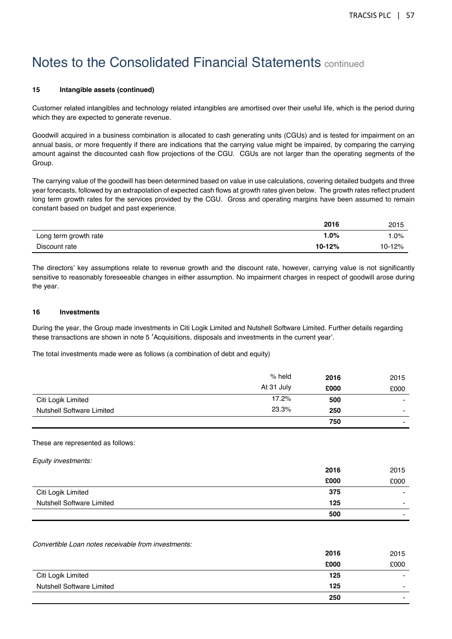## **15 Intangible assets (continued)**

Customer related intangibles and technology related intangibles are amortised over their useful life, which is the period during which they are expected to generate revenue.

Goodwill acquired in a business combination is allocated to cash generating units (CGUs) and is tested for impairment on an annual basis, or more frequently if there are indications that the carrying value might be impaired, by comparing the carrying amount against the discounted cash flow projections of the CGU. CGUs are not larger than the operating segments of the Group.

The carrying value of the goodwill has been determined based on value in use calculations, covering detailed budgets and three year forecasts, followed by an extrapolation of expected cash flows at growth rates given below. The growth rates reflect prudent long term growth rates for the services provided by the CGU. Gross and operating margins have been assumed to remain constant based on budget and past experience.

|                       | 2016   | 2015   |
|-----------------------|--------|--------|
| Long term growth rate | $.0\%$ | $.0\%$ |
| Discount rate         | 10-12% | 10-12% |

The directors' key assumptions relate to revenue growth and the discount rate, however, carrying value is not significantly sensitive to reasonably foreseeable changes in either assumption. No impairment charges in respect of goodwill arose during the year.

### **16 Investments**

During the year, the Group made investments in Citi Logik Limited and Nutshell Software Limited. Further details regarding these transactions are shown in note 5 'Acquisitions, disposals and investments in the current year'.

The total investments made were as follows (a combination of debt and equity)

|                                  | % held     | 2016 | 2015                     |
|----------------------------------|------------|------|--------------------------|
|                                  | At 31 July | £000 | £000                     |
| Citi Logik Limited               | 17.2%      | 500  | $\overline{\phantom{0}}$ |
| <b>Nutshell Software Limited</b> | 23.3%      | 250  |                          |
|                                  |            | 750  | $\overline{\phantom{0}}$ |

### These are represented as follows:

*Equity investments:* 

|                                  | 2016 | 2015                     |
|----------------------------------|------|--------------------------|
|                                  | £000 | £000                     |
| Citi Logik Limited               | 375  | $\overline{\phantom{0}}$ |
| <b>Nutshell Software Limited</b> | 125  | $\overline{\phantom{0}}$ |
|                                  | 500  | $\overline{\phantom{0}}$ |

### *Convertible Loan notes receivable from investments:*

|                                  | 2016 | 2015                     |
|----------------------------------|------|--------------------------|
|                                  | £000 | £000                     |
| Citi Logik Limited               | 125  | $\overline{\phantom{0}}$ |
| <b>Nutshell Software Limited</b> | 125  | $\blacksquare$           |
|                                  | 250  | $\blacksquare$           |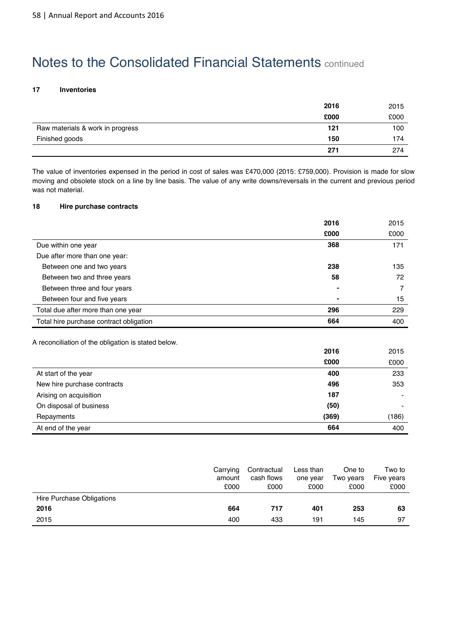## **17 Inventories**

|                                  | 2016 | 2015 |
|----------------------------------|------|------|
|                                  | £000 | £000 |
| Raw materials & work in progress | 121  | 100  |
| Finished goods                   | 150  | 174  |
|                                  | 271  | 274  |

The value of inventories expensed in the period in cost of sales was £470,000 (2015: £759,000). Provision is made for slow moving and obsolete stock on a line by line basis. The value of any write downs/reversals in the current and previous period was not material.

## **18 Hire purchase contracts**

|                                         | 2016           | 2015 |
|-----------------------------------------|----------------|------|
|                                         | £000           | £000 |
| Due within one year                     | 368            | 171  |
| Due after more than one year:           |                |      |
| Between one and two years               | 238            | 135  |
| Between two and three years             | 58             | 72   |
| Between three and four years            | ۰              |      |
| Between four and five years             | $\blacksquare$ | 15   |
| Total due after more than one year      | 296            | 229  |
| Total hire purchase contract obligation | 664            | 400  |

A reconciliation of the obligation is stated below.

|                             | 2016  | 2015                     |
|-----------------------------|-------|--------------------------|
|                             | £000  | £000                     |
| At start of the year        | 400   | 233                      |
| New hire purchase contracts | 496   | 353                      |
| Arising on acquisition      | 187   | -                        |
| On disposal of business     | (50)  | $\overline{\phantom{0}}$ |
| Repayments                  | (369) | (186)                    |
| At end of the year          | 664   | 400                      |

|                           | Carrying<br>amount<br>£000 | Contractual<br>cash flows<br>£000 | Less than<br>one year<br>£000 | One to<br>Two years<br>£000 | Two to<br>Five years<br>£000 |
|---------------------------|----------------------------|-----------------------------------|-------------------------------|-----------------------------|------------------------------|
| Hire Purchase Obligations |                            |                                   |                               |                             |                              |
| 2016                      | 664                        | 717                               | 401                           | 253                         | 63                           |
| 2015                      | 400                        | 433                               | 191                           | 145                         | 97                           |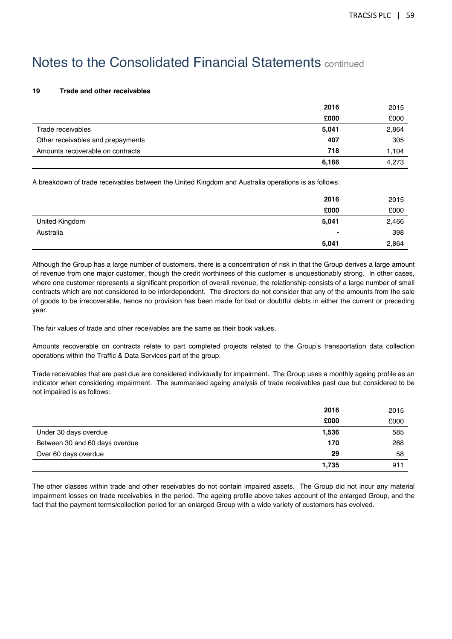## **19 Trade and other receivables**

|                                   | 2016  | 2015  |
|-----------------------------------|-------|-------|
|                                   | £000  | £000  |
| Trade receivables                 | 5,041 | 2,864 |
| Other receivables and prepayments | 407   | 305   |
| Amounts recoverable on contracts  | 718   | 1,104 |
|                                   | 6,166 | 4.273 |

A breakdown of trade receivables between the United Kingdom and Australia operations is as follows:

|                | 2016           | 2015  |
|----------------|----------------|-------|
|                | £000           | £000  |
| United Kingdom | 5,041          | 2,466 |
| Australia      | $\blacksquare$ | 398   |
|                | 5,041          | 2,864 |

Although the Group has a large number of customers, there is a concentration of risk in that the Group derives a large amount of revenue from one major customer, though the credit worthiness of this customer is unquestionably strong. In other cases, where one customer represents a significant proportion of overall revenue, the relationship consists of a large number of small contracts which are not considered to be interdependent. The directors do not consider that any of the amounts from the sale of goods to be irrecoverable, hence no provision has been made for bad or doubtful debts in either the current or preceding year.

The fair values of trade and other receivables are the same as their book values.

Amounts recoverable on contracts relate to part completed projects related to the Group's transportation data collection operations within the Traffic & Data Services part of the group.

Trade receivables that are past due are considered individually for impairment. The Group uses a monthly ageing profile as an indicator when considering impairment. The summarised ageing analysis of trade receivables past due but considered to be not impaired is as follows:

|                                | 2016  | 2015 |
|--------------------------------|-------|------|
|                                | £000  | £000 |
| Under 30 days overdue          | 1,536 | 585  |
| Between 30 and 60 days overdue | 170   | 268  |
| Over 60 days overdue           | 29    | 58   |
|                                | 1,735 | 911  |

The other classes within trade and other receivables do not contain impaired assets. The Group did not incur any material impairment losses on trade receivables in the period. The ageing profile above takes account of the enlarged Group, and the fact that the payment terms/collection period for an enlarged Group with a wide variety of customers has evolved.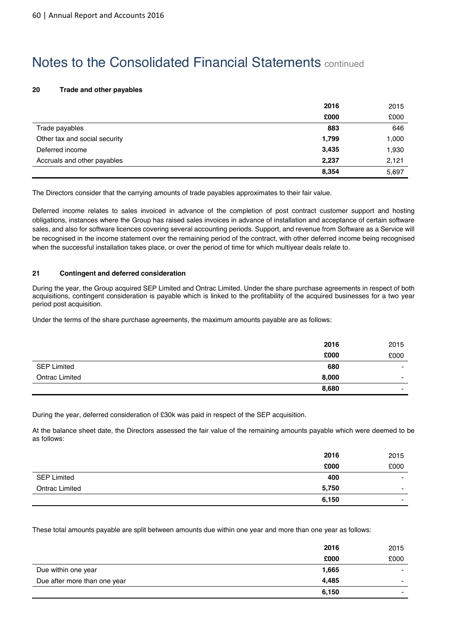## **20 Trade and other payables**

|                               | 2016  | 2015  |
|-------------------------------|-------|-------|
|                               | £000  | £000  |
| Trade payables                | 883   | 646   |
| Other tax and social security | 1,799 | 1,000 |
| Deferred income               | 3,435 | 1,930 |
| Accruals and other payables   | 2,237 | 2,121 |
|                               | 8,354 | 5,697 |

The Directors consider that the carrying amounts of trade payables approximates to their fair value.

Deferred income relates to sales invoiced in advance of the completion of post contract customer support and hosting obligations, instances where the Group has raised sales invoices in advance of installation and acceptance of certain software sales, and also for software licences covering several accounting periods. Support, and revenue from Software as a Service will be recognised in the income statement over the remaining period of the contract, with other deferred income being recognised when the successful installation takes place, or over the period of time for which multiyear deals relate to.

## **21 Contingent and deferred consideration**

During the year, the Group acquired SEP Limited and Ontrac Limited. Under the share purchase agreements in respect of both acquisitions, contingent consideration is payable which is linked to the profitability of the acquired businesses for a two year period post acquisition.

Under the terms of the share purchase agreements, the maximum amounts payable are as follows:

|                       | 2016  | 2015                     |
|-----------------------|-------|--------------------------|
|                       | £000  | £000                     |
| <b>SEP Limited</b>    | 680   | -                        |
| <b>Ontrac Limited</b> | 8,000 | -                        |
|                       | 8,680 | $\overline{\phantom{0}}$ |

During the year, deferred consideration of £30k was paid in respect of the SEP acquisition.

At the balance sheet date, the Directors assessed the fair value of the remaining amounts payable which were deemed to be as follows:

|                       | 2016  | 2015                     |
|-----------------------|-------|--------------------------|
|                       | £000  | £000                     |
| <b>SEP Limited</b>    | 400   | $\overline{\phantom{a}}$ |
| <b>Ontrac Limited</b> | 5,750 | $\overline{\phantom{a}}$ |
|                       | 6,150 | -                        |

These total amounts payable are split between amounts due within one year and more than one year as follows:

|                              | 2016  | 2015                     |
|------------------------------|-------|--------------------------|
|                              | £000  | £000                     |
| Due within one year          | 1,665 | $\overline{\phantom{0}}$ |
| Due after more than one year | 4,485 | $\overline{\phantom{0}}$ |
|                              | 6,150 | $\overline{\phantom{0}}$ |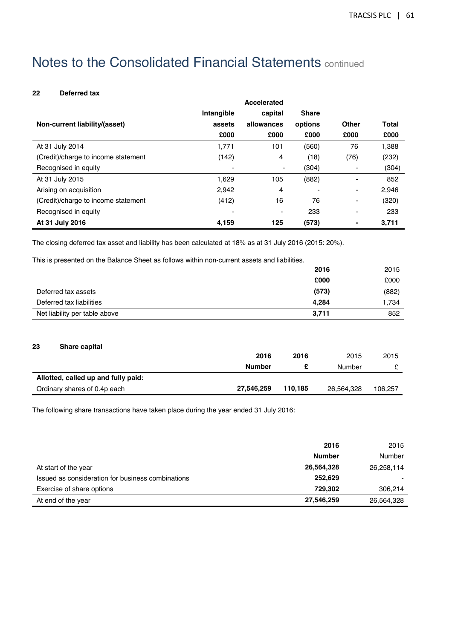## **22 Deferred tax**

|                                     |                          | Accelerated              |              |                          |              |
|-------------------------------------|--------------------------|--------------------------|--------------|--------------------------|--------------|
|                                     | Intangible               | capital                  | <b>Share</b> |                          |              |
| Non-current liability/(asset)       | assets                   | allowances               | options      | Other                    | <b>Total</b> |
|                                     | £000                     | £000                     | £000         | £000                     | £000         |
| At 31 July 2014                     | 1.771                    | 101                      | (560)        | 76                       | 1,388        |
| (Credit)/charge to income statement | (142)                    | 4                        | (18)         | (76)                     | (232)        |
| Recognised in equity                | $\overline{\phantom{a}}$ | $\overline{\phantom{a}}$ | (304)        | $\blacksquare$           | (304)        |
| At 31 July 2015                     | 1,629                    | 105                      | (882)        | $\overline{\phantom{a}}$ | 852          |
| Arising on acquisition              | 2,942                    | 4                        |              | $\overline{\phantom{a}}$ | 2,946        |
| (Credit)/charge to income statement | (412)                    | 16                       | 76           | $\blacksquare$           | (320)        |
| Recognised in equity                | ٠                        | $\overline{\phantom{a}}$ | 233          |                          | 233          |
| At 31 July 2016                     | 4,159                    | 125                      | (573)        | $\blacksquare$           | 3,711        |

The closing deferred tax asset and liability has been calculated at 18% as at 31 July 2016 (2015: 20%).

This is presented on the Balance Sheet as follows within non-current assets and liabilities.

|                               | 2016  | 2015  |
|-------------------------------|-------|-------|
|                               | £000  | £000  |
| Deferred tax assets           | (573) | (882) |
| Deferred tax liabilities      | 4,284 | 1.734 |
| Net liability per table above | 3,711 | 852   |

## **23 Share capital**

|                                     | 2016          | 2016    | 2015       | 2015    |
|-------------------------------------|---------------|---------|------------|---------|
|                                     | <b>Number</b> |         | Number     |         |
| Allotted, called up and fully paid: |               |         |            |         |
| Ordinary shares of 0.4p each        | 27,546,259    | 110.185 | 26,564,328 | 106.257 |

The following share transactions have taken place during the year ended 31 July 2016:

|                                                   | 2016          | 2015       |
|---------------------------------------------------|---------------|------------|
|                                                   | <b>Number</b> | Number     |
| At start of the year                              | 26,564,328    | 26,258,114 |
| Issued as consideration for business combinations | 252.629       |            |
| Exercise of share options                         | 729.302       | 306,214    |
| At end of the year                                | 27,546,259    | 26,564,328 |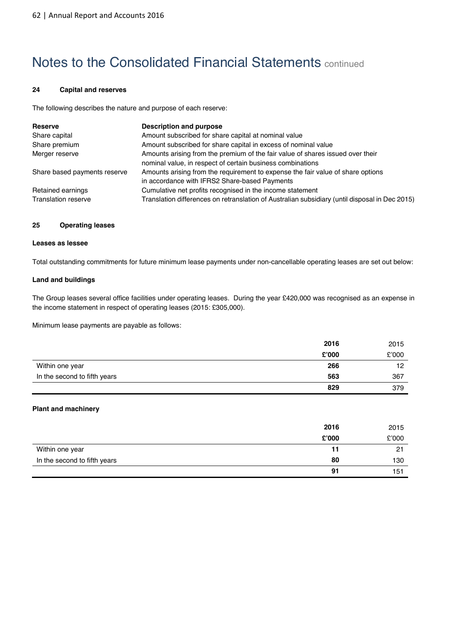## **24 Capital and reserves**

The following describes the nature and purpose of each reserve:

| <b>Reserve</b>               | <b>Description and purpose</b>                                                                 |
|------------------------------|------------------------------------------------------------------------------------------------|
| Share capital                | Amount subscribed for share capital at nominal value                                           |
| Share premium                | Amount subscribed for share capital in excess of nominal value                                 |
| Merger reserve               | Amounts arising from the premium of the fair value of shares issued over their                 |
|                              | nominal value, in respect of certain business combinations                                     |
| Share based payments reserve | Amounts arising from the requirement to expense the fair value of share options                |
|                              | in accordance with IFRS2 Share-based Payments                                                  |
| Retained earnings            | Cumulative net profits recognised in the income statement                                      |
| <b>Translation reserve</b>   | Translation differences on retranslation of Australian subsidiary (until disposal in Dec 2015) |

## **25 Operating leases**

## **Leases as lessee**

Total outstanding commitments for future minimum lease payments under non-cancellable operating leases are set out below:

## **Land and buildings**

The Group leases several office facilities under operating leases. During the year £420,000 was recognised as an expense in the income statement in respect of operating leases (2015: £305,000).

Minimum lease payments are payable as follows:

|                              | 2016  | 2015  |
|------------------------------|-------|-------|
|                              | £'000 | £'000 |
| Within one year              | 266   | 12    |
| In the second to fifth years | 563   | 367   |
|                              | 829   | 379   |

### **Plant and machinery**

|                              | 2016  | 2015  |
|------------------------------|-------|-------|
|                              | £'000 | £'000 |
| Within one year              | 11    | 21    |
| In the second to fifth years | 80    | 130   |
|                              | 91    | 151   |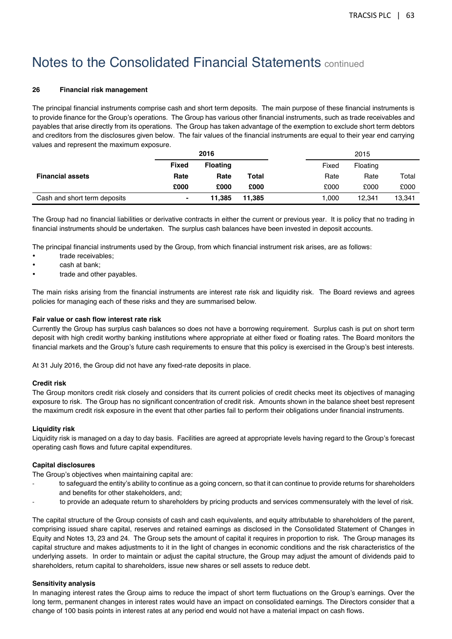## **26 Financial risk management**

The principal financial instruments comprise cash and short term deposits. The main purpose of these financial instruments is to provide finance for the Group's operations. The Group has various other financial instruments, such as trade receivables and payables that arise directly from its operations. The Group has taken advantage of the exemption to exclude short term debtors and creditors from the disclosures given below. The fair values of the financial instruments are equal to their year end carrying values and represent the maximum exposure.

|                              | 2016         |                 | 2015   |  |       |          |        |
|------------------------------|--------------|-----------------|--------|--|-------|----------|--------|
|                              | <b>Fixed</b> | <b>Floating</b> |        |  | Fixed | Floating |        |
| <b>Financial assets</b>      | Rate         | Rate            | Total  |  | Rate  | Rate     | Total  |
|                              | £000         | £000            | £000   |  | £000  | £000     | £000   |
| Cash and short term deposits | ۰            | 11.385          | 11.385 |  | 1.000 | 12.341   | 13,341 |

The Group had no financial liabilities or derivative contracts in either the current or previous year. It is policy that no trading in financial instruments should be undertaken. The surplus cash balances have been invested in deposit accounts.

The principal financial instruments used by the Group, from which financial instrument risk arises, are as follows:

- trade receivables:
- cash at bank;
- trade and other payables.

The main risks arising from the financial instruments are interest rate risk and liquidity risk. The Board reviews and agrees policies for managing each of these risks and they are summarised below.

### **Fair value or cash flow interest rate risk**

Currently the Group has surplus cash balances so does not have a borrowing requirement. Surplus cash is put on short term deposit with high credit worthy banking institutions where appropriate at either fixed or floating rates. The Board monitors the financial markets and the Group's future cash requirements to ensure that this policy is exercised in the Group's best interests.

At 31 July 2016, the Group did not have any fixed-rate deposits in place.

### **Credit risk**

The Group monitors credit risk closely and considers that its current policies of credit checks meet its objectives of managing exposure to risk. The Group has no significant concentration of credit risk. Amounts shown in the balance sheet best represent the maximum credit risk exposure in the event that other parties fail to perform their obligations under financial instruments.

### **Liquidity risk**

Liquidity risk is managed on a day to day basis. Facilities are agreed at appropriate levels having regard to the Group's forecast operating cash flows and future capital expenditures.

### **Capital disclosures**

The Group's objectives when maintaining capital are:

- to safeguard the entity's ability to continue as a going concern, so that it can continue to provide returns for shareholders and benefits for other stakeholders, and;
- to provide an adequate return to shareholders by pricing products and services commensurately with the level of risk.

The capital structure of the Group consists of cash and cash equivalents, and equity attributable to shareholders of the parent, comprising issued share capital, reserves and retained earnings as disclosed in the Consolidated Statement of Changes in Equity and Notes 13, 23 and 24. The Group sets the amount of capital it requires in proportion to risk. The Group manages its capital structure and makes adjustments to it in the light of changes in economic conditions and the risk characteristics of the underlying assets. In order to maintain or adjust the capital structure, the Group may adjust the amount of dividends paid to shareholders, return capital to shareholders, issue new shares or sell assets to reduce debt.

### **Sensitivity analysis**

In managing interest rates the Group aims to reduce the impact of short term fluctuations on the Group's earnings. Over the long term, permanent changes in interest rates would have an impact on consolidated earnings. The Directors consider that a change of 100 basis points in interest rates at any period end would not have a material impact on cash flows.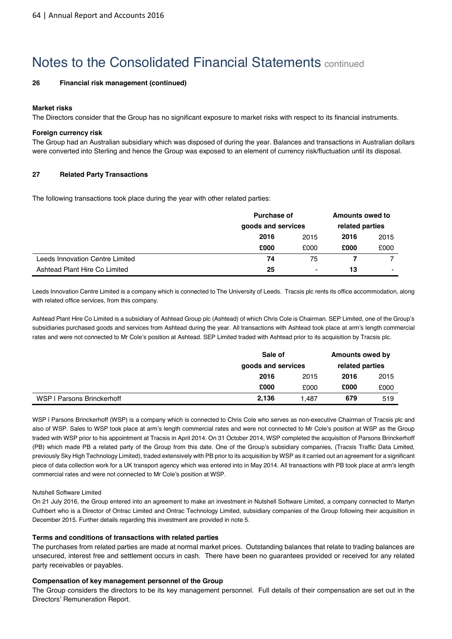## **26 Financial risk management (continued)**

## **Market risks**

The Directors consider that the Group has no significant exposure to market risks with respect to its financial instruments.

### **Foreign currency risk**

The Group had an Australian subsidiary which was disposed of during the year. Balances and transactions in Australian dollars were converted into Sterling and hence the Group was exposed to an element of currency risk/fluctuation until its disposal.

## **27 Related Party Transactions**

The following transactions took place during the year with other related parties:

|                                 | <b>Purchase of</b> | Amounts owed to<br>related parties |      |                          |
|---------------------------------|--------------------|------------------------------------|------|--------------------------|
|                                 | goods and services |                                    |      |                          |
|                                 | 2016               | 2015                               | 2016 | 2015                     |
|                                 | £000               | £000                               | £000 | £000                     |
| Leeds Innovation Centre Limited | 74                 | 75                                 |      |                          |
| Ashtead Plant Hire Co Limited   | 25                 | $\blacksquare$                     | 13   | $\overline{\phantom{0}}$ |

Leeds Innovation Centre Limited is a company which is connected to The University of Leeds. Tracsis plc rents its office accommodation, along with related office services, from this company.

Ashtead Plant Hire Co Limited is a subsidiary of Ashtead Group plc (Ashtead) of which Chris Cole is Chairman. SEP Limited, one of the Group's subsidiaries purchased goods and services from Ashtead during the year. All transactions with Ashtead took place at arm's length commercial rates and were not connected to Mr Cole's position at Ashtead. SEP Limited traded with Ashtead prior to its acquisition by Tracsis plc.

|                            | Sale of            |       | Amounts owed by<br>related parties |      |
|----------------------------|--------------------|-------|------------------------------------|------|
|                            | goods and services |       |                                    |      |
|                            | 2016<br>2015       |       | 2016                               | 2015 |
|                            | £000               | £000  | £000                               | £000 |
| WSP I Parsons Brinckerhoff | 2.136              | 1.487 | 679                                | 519  |

WSP | Parsons Brinckerhoff (WSP) is a company which is connected to Chris Cole who serves as non-executive Chairman of Tracsis plc and also of WSP. Sales to WSP took place at arm's length commercial rates and were not connected to Mr Cole's position at WSP as the Group traded with WSP prior to his appointment at Tracsis in April 2014. On 31 October 2014, WSP completed the acquisition of Parsons Brinckerhoff (PB) which made PB a related party of the Group from this date. One of the Group's subsidiary companies, (Tracsis Traffic Data Limited, previously Sky High Technology Limited), traded extensively with PB prior to its acquisition by WSP as it carried out an agreement for a significant piece of data collection work for a UK transport agency which was entered into in May 2014. All transactions with PB took place at arm's length commercial rates and were not connected to Mr Cole's position at WSP.

### Nutshell Software Limited

On 21 July 2016, the Group entered into an agreement to make an investment in Nutshell Software Limited, a company connected to Martyn Cuthbert who is a Director of Ontrac Limited and Ontrac Technology Limited, subsidiary companies of the Group following their acquisition in December 2015. Further details regarding this investment are provided in note 5.

### **Terms and conditions of transactions with related parties**

The purchases from related parties are made at normal market prices. Outstanding balances that relate to trading balances are unsecured, interest free and settlement occurs in cash. There have been no guarantees provided or received for any related party receivables or payables.

### **Compensation of key management personnel of the Group**

The Group considers the directors to be its key management personnel. Full details of their compensation are set out in the Directors' Remuneration Report.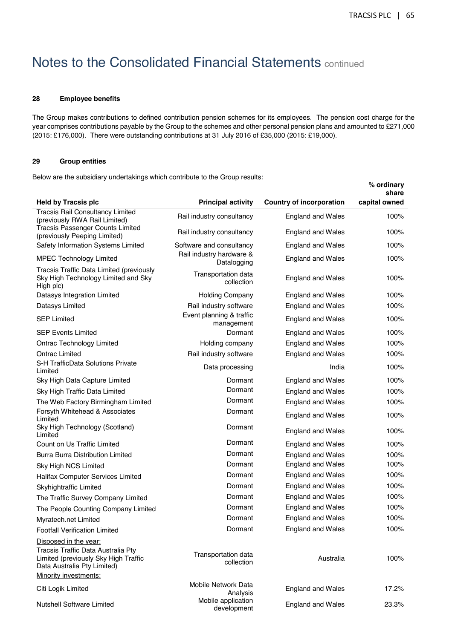## **28 Employee benefits**

The Group makes contributions to defined contribution pension schemes for its employees. The pension cost charge for the year comprises contributions payable by the Group to the schemes and other personal pension plans and amounted to £271,000 (2015: £176,000). There were outstanding contributions at 31 July 2016 of £35,000 (2015: £19,000).

### **29 Group entities**

Below are the subsidiary undertakings which contribute to the Group results:

|                                                                                                           |                                          |                                 | % ordinary<br>share |
|-----------------------------------------------------------------------------------------------------------|------------------------------------------|---------------------------------|---------------------|
| <b>Held by Tracsis plc</b>                                                                                | <b>Principal activity</b>                | <b>Country of incorporation</b> | capital owned       |
| <b>Tracsis Rail Consultancy Limited</b><br>(previously RWA Rail Limited)                                  | Rail industry consultancy                | <b>England and Wales</b>        | 100%                |
| <b>Tracsis Passenger Counts Limited</b><br>(previously Peeping Limited)                                   | Rail industry consultancy                | <b>England and Wales</b>        | 100%                |
| Safety Information Systems Limited                                                                        | Software and consultancy                 | <b>England and Wales</b>        | 100%                |
| <b>MPEC Technology Limited</b>                                                                            | Rail industry hardware &<br>Datalogging  | <b>England and Wales</b>        | 100%                |
| Tracsis Traffic Data Limited (previously<br>Sky High Technology Limited and Sky<br>High plc)              | <b>Transportation data</b><br>collection | <b>England and Wales</b>        | 100%                |
| Datasys Integration Limited                                                                               | <b>Holding Company</b>                   | <b>England and Wales</b>        | 100%                |
| Datasys Limited                                                                                           | Rail industry software                   | <b>England and Wales</b>        | 100%                |
| <b>SEP Limited</b>                                                                                        | Event planning & traffic<br>management   | <b>England and Wales</b>        | 100%                |
| <b>SEP Events Limited</b>                                                                                 | Dormant                                  | <b>England and Wales</b>        | 100%                |
| <b>Ontrac Technology Limited</b>                                                                          | Holding company                          | <b>England and Wales</b>        | 100%                |
| Ontrac Limited                                                                                            | Rail industry software                   | <b>England and Wales</b>        | 100%                |
| S-H TrafficData Solutions Private<br>Limited                                                              | Data processing                          | India                           | 100%                |
| Sky High Data Capture Limited                                                                             | Dormant                                  | <b>England and Wales</b>        | 100%                |
| Sky High Traffic Data Limited                                                                             | Dormant                                  | <b>England and Wales</b>        | 100%                |
| The Web Factory Birmingham Limited                                                                        | Dormant                                  | <b>England and Wales</b>        | 100%                |
| Forsyth Whitehead & Associates<br>Limited                                                                 | Dormant                                  | <b>England and Wales</b>        | 100%                |
| Sky High Technology (Scotland)<br>Limited                                                                 | Dormant                                  | <b>England and Wales</b>        | 100%                |
| Count on Us Traffic Limited                                                                               | Dormant                                  | <b>England and Wales</b>        | 100%                |
| <b>Burra Burra Distribution Limited</b>                                                                   | Dormant                                  | <b>England and Wales</b>        | 100%                |
| Sky High NCS Limited                                                                                      | Dormant                                  | <b>England and Wales</b>        | 100%                |
| Halifax Computer Services Limited                                                                         | Dormant                                  | <b>England and Wales</b>        | 100%                |
| Skyhightraffic Limited                                                                                    | Dormant                                  | <b>England and Wales</b>        | 100%                |
| The Traffic Survey Company Limited                                                                        | Dormant                                  | <b>England and Wales</b>        | 100%                |
| The People Counting Company Limited                                                                       | Dormant                                  | <b>England and Wales</b>        | 100%                |
| Myratech.net Limited                                                                                      | Dormant                                  | <b>England and Wales</b>        | 100%                |
| <b>Footfall Verification Limited</b>                                                                      | Dormant                                  | <b>England and Wales</b>        | 100%                |
| Disposed in the year:                                                                                     |                                          |                                 |                     |
| Tracsis Traffic Data Australia Pty<br>Limited (previously Sky High Traffic<br>Data Australia Pty Limited) | Transportation data<br>collection        | Australia                       | 100%                |
| Minority investments:                                                                                     |                                          |                                 |                     |
| Citi Logik Limited                                                                                        | <b>Mobile Network Data</b><br>Analysis   | <b>England and Wales</b>        | 17.2%               |
| <b>Nutshell Software Limited</b>                                                                          | Mobile application<br>development        | <b>England and Wales</b>        | 23.3%               |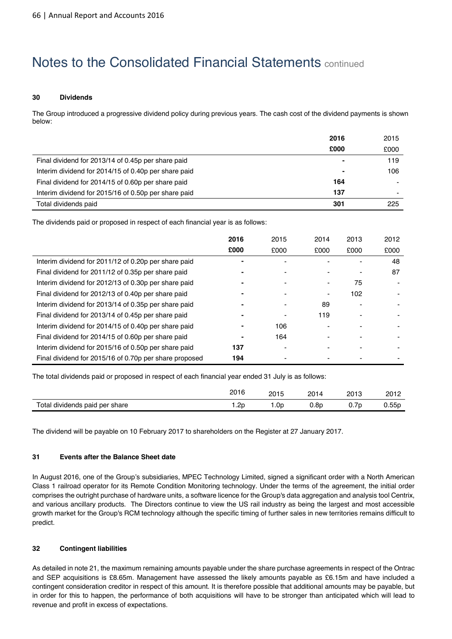## **30 Dividends**

The Group introduced a progressive dividend policy during previous years. The cash cost of the dividend payments is shown below:

|                                                      | 2016 | 2015 |
|------------------------------------------------------|------|------|
|                                                      | £000 | £000 |
| Final dividend for 2013/14 of 0.45p per share paid   | ٠    | 119  |
| Interim dividend for 2014/15 of 0.40p per share paid |      | 106  |
| Final dividend for 2014/15 of 0.60p per share paid   | 164  |      |
| Interim dividend for 2015/16 of 0.50p per share paid | 137  | -    |
| Total dividends paid                                 | 301  | 225  |

The dividends paid or proposed in respect of each financial year is as follows:

|                                                        | 2016 | 2015 | 2014 | 2013 | 2012 |
|--------------------------------------------------------|------|------|------|------|------|
|                                                        | £000 | £000 | £000 | £000 | £000 |
| Interim dividend for 2011/12 of 0.20p per share paid   |      |      |      |      | 48   |
| Final dividend for 2011/12 of 0.35p per share paid     |      |      |      |      | 87   |
| Interim dividend for 2012/13 of 0.30p per share paid   |      |      |      | 75   |      |
| Final dividend for 2012/13 of 0.40p per share paid     |      |      |      | 102  |      |
| Interim dividend for 2013/14 of 0.35p per share paid   |      |      | 89   |      |      |
| Final dividend for 2013/14 of 0.45p per share paid     |      |      | 119  |      |      |
| Interim dividend for 2014/15 of 0.40p per share paid   |      | 106  |      |      |      |
| Final dividend for 2014/15 of 0.60p per share paid     |      | 164  |      |      |      |
| Interim dividend for 2015/16 of 0.50p per share paid   | 137  |      |      |      |      |
| Final dividend for 2015/16 of 0.70p per share proposed | 194  |      |      |      |      |

The total dividends paid or proposed in respect of each financial year ended 31 July is as follows:

|                                | 2016 | 2015  | 2014 | 2013 | 2012  |
|--------------------------------|------|-------|------|------|-------|
| Total dividends paid per share | . 2p | . .0p | 0.8p | 0.7p | 0.55p |

The dividend will be payable on 10 February 2017 to shareholders on the Register at 27 January 2017.

## **31 Events after the Balance Sheet date**

In August 2016, one of the Group's subsidiaries, MPEC Technology Limited, signed a significant order with a North American Class 1 railroad operator for its Remote Condition Monitoring technology. Under the terms of the agreement, the initial order comprises the outright purchase of hardware units, a software licence for the Group's data aggregation and analysis tool Centrix, and various ancillary products. The Directors continue to view the US rail industry as being the largest and most accessible growth market for the Group's RCM technology although the specific timing of further sales in new territories remains difficult to predict.

## **32 Contingent liabilities**

As detailed in note 21, the maximum remaining amounts payable under the share purchase agreements in respect of the Ontrac and SEP acquisitions is £8.65m. Management have assessed the likely amounts payable as £6.15m and have included a contingent consideration creditor in respect of this amount. It is therefore possible that additional amounts may be payable, but in order for this to happen, the performance of both acquisitions will have to be stronger than anticipated which will lead to revenue and profit in excess of expectations.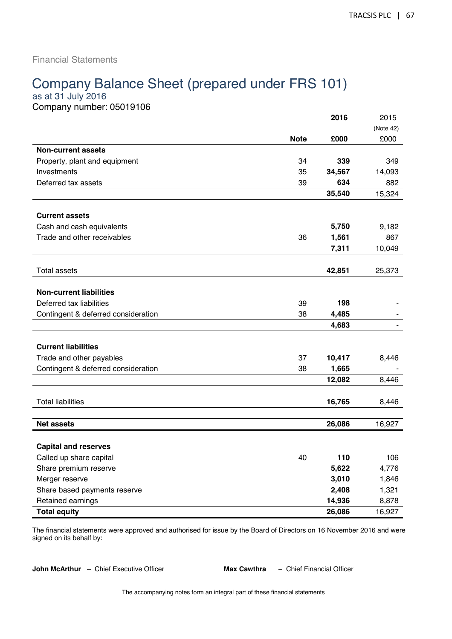Financial Statements

# Company Balance Sheet (prepared under FRS 101)

as at 31 July 2016 Company number: 05019106

|                                     |             | 2016   | 2015      |
|-------------------------------------|-------------|--------|-----------|
|                                     |             |        | (Note 42) |
|                                     | <b>Note</b> | £000   | £000      |
| <b>Non-current assets</b>           |             |        |           |
| Property, plant and equipment       | 34          | 339    | 349       |
| Investments                         | 35          | 34,567 | 14,093    |
| Deferred tax assets                 | 39          | 634    | 882       |
|                                     |             | 35,540 | 15,324    |
|                                     |             |        |           |
| <b>Current assets</b>               |             |        |           |
| Cash and cash equivalents           |             | 5,750  | 9,182     |
| Trade and other receivables         | 36          | 1,561  | 867       |
|                                     |             | 7,311  | 10,049    |
|                                     |             |        |           |
| <b>Total assets</b>                 |             | 42,851 | 25,373    |
|                                     |             |        |           |
| <b>Non-current liabilities</b>      |             |        |           |
| Deferred tax liabilities            | 39          | 198    |           |
| Contingent & deferred consideration | 38          | 4,485  |           |
|                                     |             | 4,683  |           |
|                                     |             |        |           |
| <b>Current liabilities</b>          |             |        |           |
| Trade and other payables            | 37          | 10,417 | 8,446     |
| Contingent & deferred consideration | 38          | 1,665  |           |
|                                     |             | 12,082 | 8,446     |
|                                     |             |        |           |
| <b>Total liabilities</b>            |             | 16,765 | 8,446     |
|                                     |             |        |           |
| <b>Net assets</b>                   |             | 26,086 | 16,927    |
|                                     |             |        |           |
| <b>Capital and reserves</b>         |             |        |           |
| Called up share capital             | 40          | 110    | 106       |
| Share premium reserve               |             | 5,622  | 4,776     |
| Merger reserve                      |             | 3,010  | 1,846     |
| Share based payments reserve        |             | 2,408  | 1,321     |
| Retained earnings                   |             | 14,936 | 8,878     |
| <b>Total equity</b>                 |             | 26,086 | 16,927    |

The financial statements were approved and authorised for issue by the Board of Directors on 16 November 2016 and were signed on its behalf by:

**John McArthur** – Chief Executive Officer **Max Cawthra** – Chief Financial Officer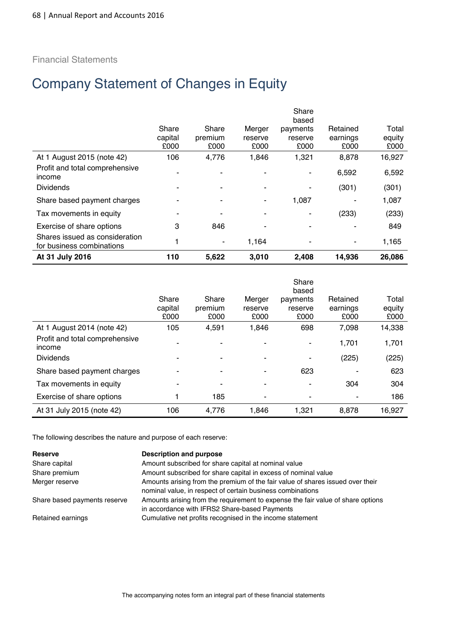## Financial Statements

## Company Statement of Changes in Equity

|                                                             |                          |                          |                           | Share<br>based              |                              |                         |
|-------------------------------------------------------------|--------------------------|--------------------------|---------------------------|-----------------------------|------------------------------|-------------------------|
|                                                             | Share<br>capital<br>£000 | Share<br>premium<br>£000 | Merger<br>reserve<br>£000 | payments<br>reserve<br>£000 | Retained<br>earnings<br>£000 | Total<br>equity<br>£000 |
| At 1 August 2015 (note 42)                                  | 106                      | 4,776                    | 1,846                     | 1,321                       | 8,878                        | 16,927                  |
| Profit and total comprehensive<br>income                    |                          |                          |                           |                             | 6,592                        | 6,592                   |
| <b>Dividends</b>                                            |                          | ۰                        |                           |                             | (301)                        | (301)                   |
| Share based payment charges                                 |                          | ۰                        |                           | 1,087                       |                              | 1,087                   |
| Tax movements in equity                                     |                          |                          |                           |                             | (233)                        | (233)                   |
| Exercise of share options                                   | 3                        | 846                      |                           |                             |                              | 849                     |
| Shares issued as consideration<br>for business combinations | 1                        |                          | 1.164                     |                             |                              | 1,165                   |
| At 31 July 2016                                             | 110                      | 5,622                    | 3,010                     | 2,408                       | 14,936                       | 26,086                  |

|                                          |         |         |         | Share<br>based |          |        |
|------------------------------------------|---------|---------|---------|----------------|----------|--------|
|                                          | Share   | Share   | Merger  | payments       | Retained | Total  |
|                                          | capital | premium | reserve | reserve        | earnings | equity |
|                                          | £000    | £000    | £000    | £000           | £000     | £000   |
| At 1 August 2014 (note 42)               | 105     | 4,591   | 1,846   | 698            | 7,098    | 14,338 |
| Profit and total comprehensive<br>income |         | ۰       |         |                | 1,701    | 1,701  |
| <b>Dividends</b>                         |         | ۰       | ۰       | ۰              | (225)    | (225)  |
| Share based payment charges              |         | ۰       |         | 623            | ٠        | 623    |
| Tax movements in equity                  |         | ۰       |         |                | 304      | 304    |
| Exercise of share options                | ۰       | 185     |         |                |          | 186    |
| At 31 July 2015 (note 42)                | 106     | 4,776   | 1,846   | 1,321          | 8,878    | 16,927 |

The following describes the nature and purpose of each reserve:

**Reserve Constraining Description and purpose** Share capital **Amount** subscribed for share capital at nominal value Share premium Amount subscribed for share capital in excess of nominal value Merger reserve **Amounts** arising from the premium of the fair value of shares issued over their nominal value, in respect of certain business combinations Share based payments reserve Amounts arising from the requirement to expense the fair value of share options in accordance with IFRS2 Share-based Payments Retained earnings Cumulative net profits recognised in the income statement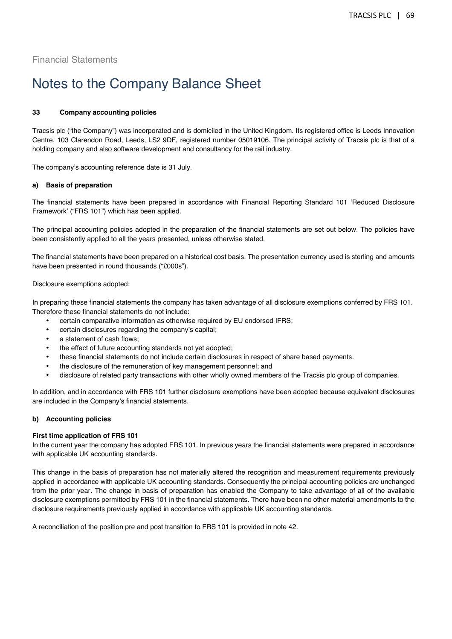Financial Statements

## Notes to the Company Balance Sheet

## **33 Company accounting policies**

Tracsis plc ("the Company") was incorporated and is domiciled in the United Kingdom. Its registered office is Leeds Innovation Centre, 103 Clarendon Road, Leeds, LS2 9DF, registered number 05019106. The principal activity of Tracsis plc is that of a holding company and also software development and consultancy for the rail industry.

The company's accounting reference date is 31 July.

## **a) Basis of preparation**

The financial statements have been prepared in accordance with Financial Reporting Standard 101 'Reduced Disclosure Framework' ("FRS 101") which has been applied.

The principal accounting policies adopted in the preparation of the financial statements are set out below. The policies have been consistently applied to all the years presented, unless otherwise stated.

The financial statements have been prepared on a historical cost basis. The presentation currency used is sterling and amounts have been presented in round thousands ("£000s").

Disclosure exemptions adopted:

In preparing these financial statements the company has taken advantage of all disclosure exemptions conferred by FRS 101. Therefore these financial statements do not include:

- certain comparative information as otherwise required by EU endorsed IFRS;
- certain disclosures regarding the company's capital;
- a statement of cash flows:
- the effect of future accounting standards not yet adopted;
- these financial statements do not include certain disclosures in respect of share based payments.
- the disclosure of the remuneration of key management personnel; and
- disclosure of related party transactions with other wholly owned members of the Tracsis plc group of companies.

In addition, and in accordance with FRS 101 further disclosure exemptions have been adopted because equivalent disclosures are included in the Company's financial statements.

## **b) Accounting policies**

### **First time application of FRS 101**

In the current year the company has adopted FRS 101. In previous years the financial statements were prepared in accordance with applicable UK accounting standards.

This change in the basis of preparation has not materially altered the recognition and measurement requirements previously applied in accordance with applicable UK accounting standards. Consequently the principal accounting policies are unchanged from the prior year. The change in basis of preparation has enabled the Company to take advantage of all of the available disclosure exemptions permitted by FRS 101 in the financial statements. There have been no other material amendments to the disclosure requirements previously applied in accordance with applicable UK accounting standards.

A reconciliation of the position pre and post transition to FRS 101 is provided in note 42.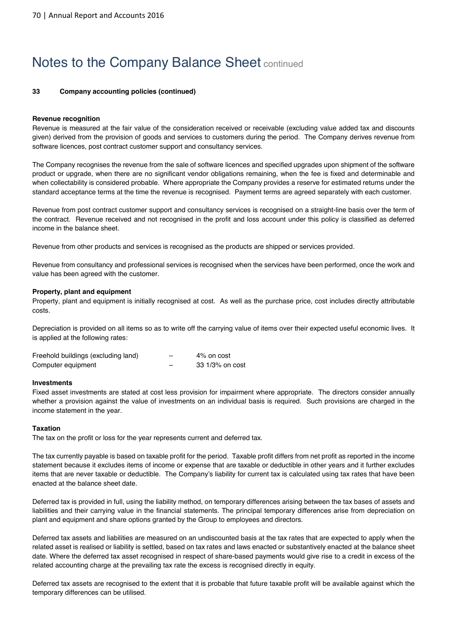# Notes to the Company Balance Sheet continued

## **33 Company accounting policies (continued)**

### **Revenue recognition**

Revenue is measured at the fair value of the consideration received or receivable (excluding value added tax and discounts given) derived from the provision of goods and services to customers during the period. The Company derives revenue from software licences, post contract customer support and consultancy services.

The Company recognises the revenue from the sale of software licences and specified upgrades upon shipment of the software product or upgrade, when there are no significant vendor obligations remaining, when the fee is fixed and determinable and when collectability is considered probable. Where appropriate the Company provides a reserve for estimated returns under the standard acceptance terms at the time the revenue is recognised. Payment terms are agreed separately with each customer.

Revenue from post contract customer support and consultancy services is recognised on a straight-line basis over the term of the contract. Revenue received and not recognised in the profit and loss account under this policy is classified as deferred income in the balance sheet.

Revenue from other products and services is recognised as the products are shipped or services provided.

Revenue from consultancy and professional services is recognised when the services have been performed, once the work and value has been agreed with the customer.

### **Property, plant and equipment**

Property, plant and equipment is initially recognised at cost. As well as the purchase price, cost includes directly attributable costs.

Depreciation is provided on all items so as to write off the carrying value of items over their expected useful economic lives. It is applied at the following rates:

| Freehold buildings (excluding land) | - | 4% on cost      |
|-------------------------------------|---|-----------------|
| Computer equipment                  | - | 33 1/3% on cost |

### **Investments**

Fixed asset investments are stated at cost less provision for impairment where appropriate. The directors consider annually whether a provision against the value of investments on an individual basis is required. Such provisions are charged in the income statement in the year.

## **Taxation**

The tax on the profit or loss for the year represents current and deferred tax.

The tax currently payable is based on taxable profit for the period. Taxable profit differs from net profit as reported in the income statement because it excludes items of income or expense that are taxable or deductible in other years and it further excludes items that are never taxable or deductible. The Company's liability for current tax is calculated using tax rates that have been enacted at the balance sheet date.

Deferred tax is provided in full, using the liability method, on temporary differences arising between the tax bases of assets and liabilities and their carrying value in the financial statements. The principal temporary differences arise from depreciation on plant and equipment and share options granted by the Group to employees and directors.

Deferred tax assets and liabilities are measured on an undiscounted basis at the tax rates that are expected to apply when the related asset is realised or liability is settled, based on tax rates and laws enacted or substantively enacted at the balance sheet date. Where the deferred tax asset recognised in respect of share-based payments would give rise to a credit in excess of the related accounting charge at the prevailing tax rate the excess is recognised directly in equity.

Deferred tax assets are recognised to the extent that it is probable that future taxable profit will be available against which the temporary differences can be utilised.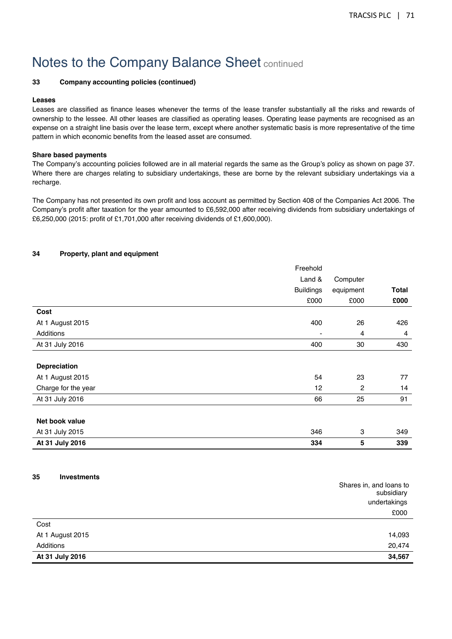## Notes to the Company Balance Sheet continued

## **33 Company accounting policies (continued)**

## **Leases**

Leases are classified as finance leases whenever the terms of the lease transfer substantially all the risks and rewards of ownership to the lessee. All other leases are classified as operating leases. Operating lease payments are recognised as an expense on a straight line basis over the lease term, except where another systematic basis is more representative of the time pattern in which economic benefits from the leased asset are consumed.

## **Share based payments**

The Company's accounting policies followed are in all material regards the same as the Group's policy as shown on page 37. Where there are charges relating to subsidiary undertakings, these are borne by the relevant subsidiary undertakings via a recharge.

The Company has not presented its own profit and loss account as permitted by Section 408 of the Companies Act 2006. The Company's profit after taxation for the year amounted to £6,592,000 after receiving dividends from subsidiary undertakings of £6,250,000 (2015: profit of £1,701,000 after receiving dividends of £1,600,000).

## **34 Property, plant and equipment**

|                          | Freehold         |                         |                            |
|--------------------------|------------------|-------------------------|----------------------------|
|                          | Land &           | Computer                |                            |
|                          | <b>Buildings</b> | equipment               | <b>Total</b>               |
|                          | £000             | £000                    | £000                       |
| Cost                     |                  |                         |                            |
| At 1 August 2015         | 400              | 26                      | 426                        |
| Additions                |                  | 4                       | 4                          |
| At 31 July 2016          | 400              | 30                      | 430                        |
|                          |                  |                         |                            |
| Depreciation             |                  |                         |                            |
| At 1 August 2015         | 54               | 23                      | 77                         |
| Charge for the year      | 12               | $\overline{2}$          | 14                         |
| At 31 July 2016          | 66               | 25                      | 91                         |
|                          |                  |                         |                            |
| Net book value           |                  |                         |                            |
| At 31 July 2015          | 346              | 3                       | 349                        |
| At 31 July 2016          | 334              | $5\phantom{.0}$         | 339                        |
| <b>Investments</b><br>35 |                  | Shares in, and loans to | subsidiary<br>undertakinge |

|                  | $rac{1}{2}$ |
|------------------|-------------|
|                  | £000        |
| Cost             |             |
| At 1 August 2015 | 14,093      |
| Additions        | 20,474      |
| At 31 July 2016  | 34,567      |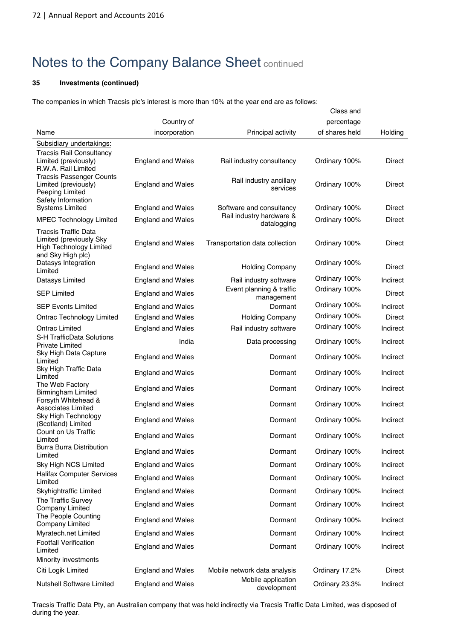## **35 Investments (continued)**

The companies in which Tracsis plc's interest is more than 10% at the year end are as follows:

|                                                                                                               |                          |                                         | Class and      |               |
|---------------------------------------------------------------------------------------------------------------|--------------------------|-----------------------------------------|----------------|---------------|
|                                                                                                               | Country of               |                                         | percentage     |               |
| Name                                                                                                          | incorporation            | Principal activity                      | of shares held | Holding       |
| Subsidiary undertakings:                                                                                      |                          |                                         |                |               |
| <b>Tracsis Rail Consultancy</b><br>Limited (previously)<br>R.W.A. Rail Limited                                | <b>England and Wales</b> | Rail industry consultancy               | Ordinary 100%  | Direct        |
| <b>Tracsis Passenger Counts</b><br>Limited (previously)<br>Peeping Limited<br>Safety Information              | <b>England and Wales</b> | Rail industry ancillary<br>services     | Ordinary 100%  | <b>Direct</b> |
| <b>Systems Limited</b>                                                                                        | <b>England and Wales</b> | Software and consultancy                | Ordinary 100%  | Direct        |
| <b>MPEC Technology Limited</b>                                                                                | <b>England and Wales</b> | Rail industry hardware &<br>datalogging | Ordinary 100%  | <b>Direct</b> |
| <b>Tracsis Traffic Data</b><br>Limited (previously Sky<br><b>High Technology Limited</b><br>and Sky High plc) | <b>England and Wales</b> | Transportation data collection          | Ordinary 100%  | <b>Direct</b> |
| Datasys Integration<br>Limited                                                                                | <b>England and Wales</b> | <b>Holding Company</b>                  | Ordinary 100%  | Direct        |
| Datasys Limited                                                                                               | <b>England and Wales</b> | Rail industry software                  | Ordinary 100%  | Indirect      |
| <b>SEP Limited</b>                                                                                            | <b>England and Wales</b> | Event planning & traffic<br>management  | Ordinary 100%  | <b>Direct</b> |
| <b>SEP Events Limited</b>                                                                                     | <b>England and Wales</b> | Dormant                                 | Ordinary 100%  | Indirect      |
| <b>Ontrac Technology Limited</b>                                                                              | <b>England and Wales</b> | <b>Holding Company</b>                  | Ordinary 100%  | <b>Direct</b> |
| <b>Ontrac Limited</b>                                                                                         | <b>England and Wales</b> | Rail industry software                  | Ordinary 100%  | Indirect      |
| S-H TrafficData Solutions<br><b>Private Limited</b>                                                           | India                    | Data processing                         | Ordinary 100%  | Indirect      |
| Sky High Data Capture<br>Limited                                                                              | <b>England and Wales</b> | Dormant                                 | Ordinary 100%  | Indirect      |
| Sky High Traffic Data<br>Limited                                                                              | <b>England and Wales</b> | Dormant                                 | Ordinary 100%  | Indirect      |
| The Web Factory<br>Birmingham Limited                                                                         | <b>England and Wales</b> | Dormant                                 | Ordinary 100%  | Indirect      |
| Forsyth Whitehead &<br><b>Associates Limited</b>                                                              | <b>England and Wales</b> | Dormant                                 | Ordinary 100%  | Indirect      |
| Sky High Technology<br>(Scotland) Limited                                                                     | <b>England and Wales</b> | Dormant                                 | Ordinary 100%  | Indirect      |
| Count on Us Traffic<br>Limited                                                                                | <b>England and Wales</b> | Dormant                                 | Ordinary 100%  | Indirect      |
| Burra Burra Distribution<br>Limited                                                                           | <b>England and Wales</b> | Dormant                                 | Ordinary 100%  | Indirect      |
| Sky High NCS Limited                                                                                          | <b>England and Wales</b> | Dormant                                 | Ordinary 100%  | Indirect      |
| <b>Halifax Computer Services</b><br>Limited                                                                   | <b>England and Wales</b> | Dormant                                 | Ordinary 100%  | Indirect      |
| Skyhightraffic Limited                                                                                        | <b>England and Wales</b> | Dormant                                 | Ordinary 100%  | Indirect      |
| The Traffic Survey<br><b>Company Limited</b>                                                                  | <b>England and Wales</b> | Dormant                                 | Ordinary 100%  | Indirect      |
| The People Counting<br><b>Company Limited</b>                                                                 | <b>England and Wales</b> | Dormant                                 | Ordinary 100%  | Indirect      |
| Myratech.net Limited                                                                                          | <b>England and Wales</b> | Dormant                                 | Ordinary 100%  | Indirect      |
| <b>Footfall Verification</b><br>Limited                                                                       | <b>England and Wales</b> | Dormant                                 | Ordinary 100%  | Indirect      |
| <b>Minority investments</b>                                                                                   |                          |                                         |                |               |
| Citi Logik Limited                                                                                            | <b>England and Wales</b> | Mobile network data analysis            | Ordinary 17.2% | Direct        |
| Nutshell Software Limited                                                                                     | <b>England and Wales</b> | Mobile application<br>development       | Ordinary 23.3% | Indirect      |

Tracsis Traffic Data Pty, an Australian company that was held indirectly via Tracsis Traffic Data Limited, was disposed of during the year.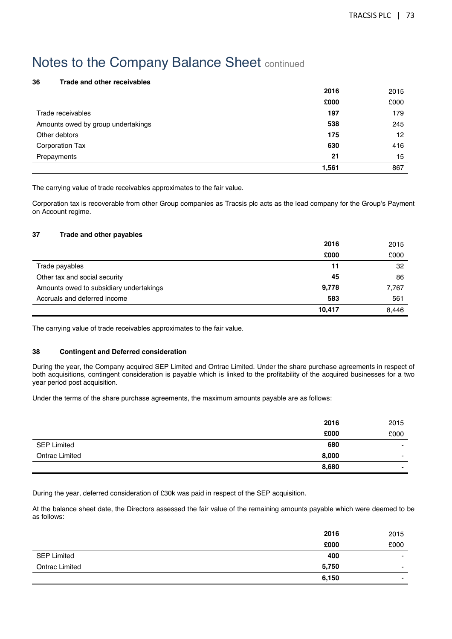### **36 Trade and other receivables**

|                                    | 2016  | 2015 |
|------------------------------------|-------|------|
|                                    | £000  | £000 |
| Trade receivables                  | 197   | 179  |
| Amounts owed by group undertakings | 538   | 245  |
| Other debtors                      | 175   | 12   |
| Corporation Tax                    | 630   | 416  |
| Prepayments                        | 21    | 15   |
|                                    | 1,561 | 867  |

The carrying value of trade receivables approximates to the fair value.

Corporation tax is recoverable from other Group companies as Tracsis plc acts as the lead company for the Group's Payment on Account regime.

### **37 Trade and other payables**

|                                         | 2016   | 2015  |
|-----------------------------------------|--------|-------|
|                                         | £000   | £000  |
| Trade payables                          | 11     | 32    |
| Other tax and social security           | 45     | 86    |
| Amounts owed to subsidiary undertakings | 9,778  | 7,767 |
| Accruals and deferred income            | 583    | 561   |
|                                         | 10,417 | 8,446 |

The carrying value of trade receivables approximates to the fair value.

### **38 Contingent and Deferred consideration**

During the year, the Company acquired SEP Limited and Ontrac Limited. Under the share purchase agreements in respect of both acquisitions, contingent consideration is payable which is linked to the profitability of the acquired businesses for a two year period post acquisition.

Under the terms of the share purchase agreements, the maximum amounts payable are as follows:

|                       | 2016  | 2015                     |
|-----------------------|-------|--------------------------|
|                       | £000  | £000                     |
| <b>SEP Limited</b>    | 680   | $\overline{\phantom{a}}$ |
| <b>Ontrac Limited</b> | 8,000 | $\overline{\phantom{0}}$ |
|                       | 8,680 | $\overline{\phantom{0}}$ |

During the year, deferred consideration of £30k was paid in respect of the SEP acquisition.

At the balance sheet date, the Directors assessed the fair value of the remaining amounts payable which were deemed to be as follows:

|                    | 2016  | 2015                     |
|--------------------|-------|--------------------------|
|                    | £000  | £000                     |
| <b>SEP Limited</b> | 400   | $\overline{\phantom{a}}$ |
| Ontrac Limited     | 5,750 | -                        |
|                    | 6,150 | -                        |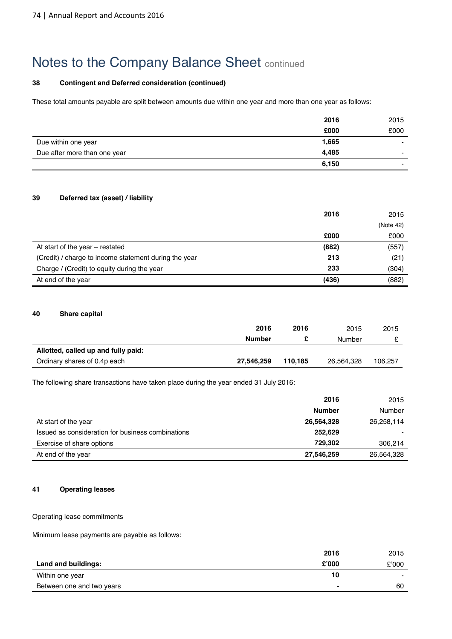### **38 Contingent and Deferred consideration (continued)**

These total amounts payable are split between amounts due within one year and more than one year as follows:

|                              | 2016  | 2015                     |
|------------------------------|-------|--------------------------|
|                              | £000  | £000                     |
| Due within one year          | 1,665 | $\overline{\phantom{0}}$ |
| Due after more than one year | 4,485 | -                        |
|                              | 6,150 | -                        |

### **39 Deferred tax (asset) / liability**

|                                                       | 2016  | 2015      |
|-------------------------------------------------------|-------|-----------|
|                                                       |       | (Note 42) |
|                                                       | £000  | £000      |
| At start of the year – restated                       | (882) | (557)     |
| (Credit) / charge to income statement during the year | 213   | (21)      |
| Charge / (Credit) to equity during the year           | 233   | (304)     |
| At end of the year                                    | (436) | (882)     |

### **40 Share capital**

|                                     | 2016          | 2016    | 2015       | 2015    |
|-------------------------------------|---------------|---------|------------|---------|
|                                     | <b>Number</b> |         | Number     |         |
| Allotted, called up and fully paid: |               |         |            |         |
| Ordinary shares of 0.4p each        | 27,546,259    | 110.185 | 26,564,328 | 106,257 |

The following share transactions have taken place during the year ended 31 July 2016:

|                                                   | 2016          | 2015       |
|---------------------------------------------------|---------------|------------|
|                                                   | <b>Number</b> | Number     |
| At start of the year                              | 26,564,328    | 26,258,114 |
| Issued as consideration for business combinations | 252.629       |            |
| Exercise of share options                         | 729.302       | 306,214    |
| At end of the year                                | 27,546,259    | 26,564,328 |

### **41 Operating leases**

Operating lease commitments

Minimum lease payments are payable as follows:

|                           | 2016           | 2015  |
|---------------------------|----------------|-------|
| Land and buildings:       | £'000          | £'000 |
| Within one year           | 10             | -     |
| Between one and two years | $\blacksquare$ | 60    |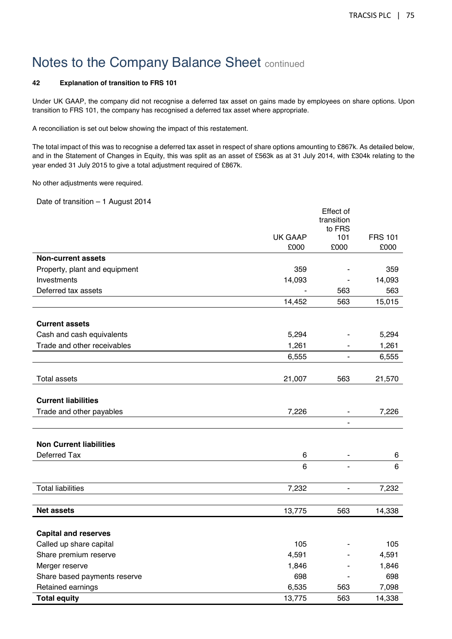### **42 Explanation of transition to FRS 101**

Under UK GAAP, the company did not recognise a deferred tax asset on gains made by employees on share options. Upon transition to FRS 101, the company has recognised a deferred tax asset where appropriate.

A reconciliation is set out below showing the impact of this restatement.

The total impact of this was to recognise a deferred tax asset in respect of share options amounting to £867k. As detailed below, and in the Statement of Changes in Equity, this was split as an asset of £563k as at 31 July 2014, with £304k relating to the year ended 31 July 2015 to give a total adjustment required of £867k.

No other adjustments were required.

Date of transition – 1 August 2014

|                                |                | Effect of<br>transition |                |
|--------------------------------|----------------|-------------------------|----------------|
|                                |                | to FRS                  |                |
|                                | <b>UK GAAP</b> | 101                     | <b>FRS 101</b> |
|                                | £000           | £000                    | £000           |
| <b>Non-current assets</b>      |                |                         |                |
| Property, plant and equipment  | 359            |                         | 359            |
| Investments                    | 14,093         |                         | 14,093         |
| Deferred tax assets            |                | 563                     | 563            |
|                                | 14,452         | 563                     | 15,015         |
|                                |                |                         |                |
| <b>Current assets</b>          |                |                         |                |
| Cash and cash equivalents      | 5,294          |                         | 5,294          |
| Trade and other receivables    | 1,261          |                         | 1,261          |
|                                | 6,555          | ä,                      | 6,555          |
| <b>Total assets</b>            | 21,007         | 563                     | 21,570         |
| <b>Current liabilities</b>     |                |                         |                |
| Trade and other payables       | 7,226          |                         | 7,226          |
|                                |                |                         |                |
|                                |                |                         |                |
| <b>Non Current liabilities</b> |                |                         |                |
| Deferred Tax                   | 6              | $\overline{a}$          | 6              |
|                                | 6              |                         | 6              |
| <b>Total liabilities</b>       | 7,232          | $\blacksquare$          | 7,232          |
|                                |                |                         |                |
| <b>Net assets</b>              | 13,775         | 563                     | 14,338         |
|                                |                |                         |                |
| <b>Capital and reserves</b>    |                |                         |                |
| Called up share capital        | 105            |                         | 105            |
| Share premium reserve          | 4,591          |                         | 4,591          |
| Merger reserve                 | 1,846          |                         | 1,846          |
| Share based payments reserve   | 698            |                         | 698            |
| Retained earnings              | 6,535          | 563                     | 7,098          |
| <b>Total equity</b>            | 13,775         | 563                     | 14,338         |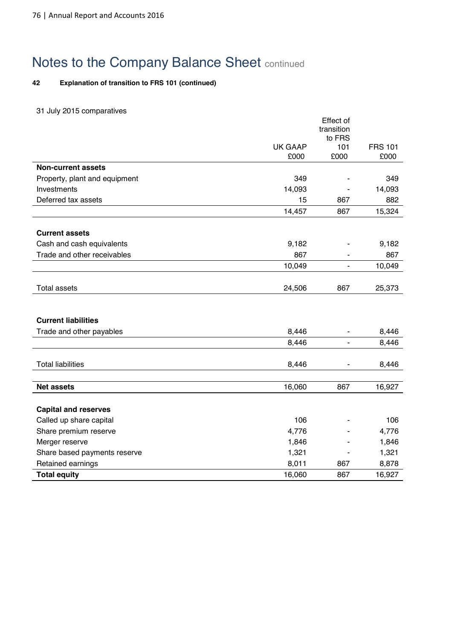## **42 Explanation of transition to FRS 101 (continued)**

## 31 July 2015 comparatives

|                               |                | <b>Effect of</b><br>transition<br>to FRS |                |
|-------------------------------|----------------|------------------------------------------|----------------|
|                               | <b>UK GAAP</b> | 101                                      | <b>FRS 101</b> |
|                               | £000           | £000                                     | £000           |
| <b>Non-current assets</b>     |                |                                          |                |
| Property, plant and equipment | 349            |                                          | 349            |
| Investments                   | 14,093         |                                          | 14,093         |
| Deferred tax assets           | 15             | 867                                      | 882            |
|                               | 14,457         | 867                                      | 15,324         |
|                               |                |                                          |                |
| <b>Current assets</b>         |                |                                          |                |
| Cash and cash equivalents     | 9,182          |                                          | 9,182          |
| Trade and other receivables   | 867            |                                          | 867            |
|                               | 10,049         |                                          | 10,049         |
|                               |                |                                          |                |
| <b>Total assets</b>           | 24,506         | 867                                      | 25,373         |
|                               |                |                                          |                |
| <b>Current liabilities</b>    |                |                                          |                |
| Trade and other payables      | 8,446          | $\overline{\phantom{0}}$                 | 8,446          |
|                               | 8,446          | $\blacksquare$                           | 8,446          |
|                               |                |                                          |                |
| <b>Total liabilities</b>      | 8,446          |                                          | 8,446          |
|                               |                |                                          |                |
| <b>Net assets</b>             | 16,060         | 867                                      | 16,927         |
|                               |                |                                          |                |
| <b>Capital and reserves</b>   |                |                                          |                |
| Called up share capital       | 106            |                                          | 106            |
| Share premium reserve         | 4,776          |                                          | 4,776          |
| Merger reserve                | 1,846          |                                          | 1,846          |
| Share based payments reserve  | 1,321          |                                          | 1,321          |
| Retained earnings             | 8,011          | 867                                      | 8,878          |
| <b>Total equity</b>           | 16,060         | 867                                      | 16,927         |